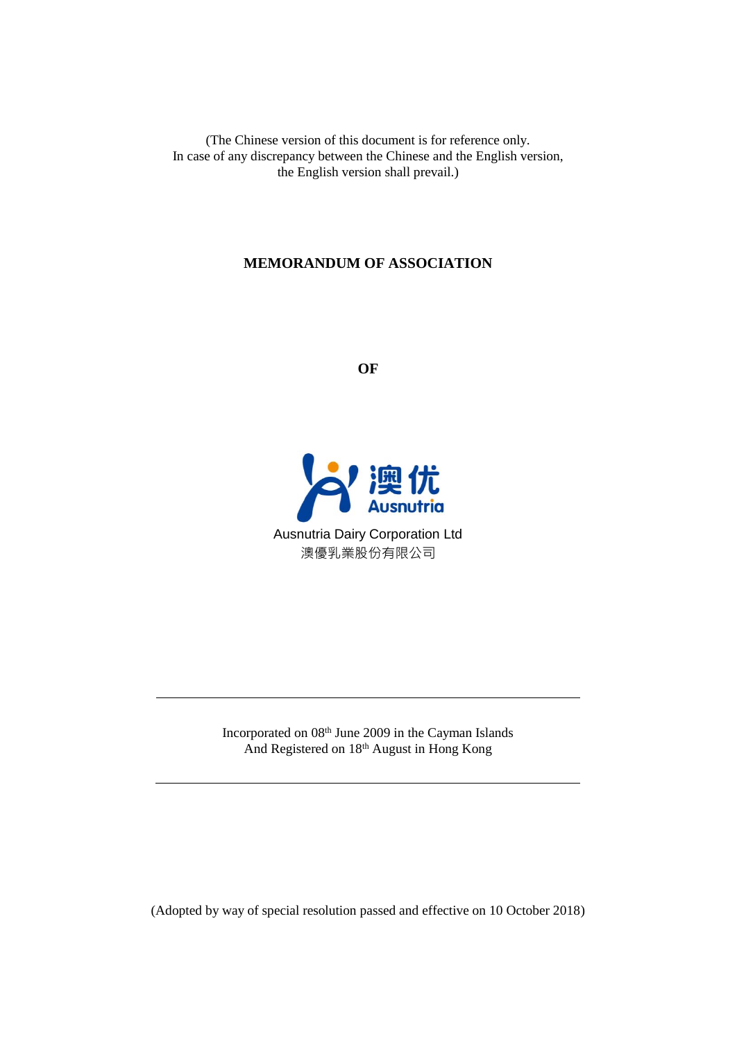(The Chinese version of this document is for reference only. In case of any discrepancy between the Chinese and the English version, the English version shall prevail.)

## **MEMORANDUM OF ASSOCIATION**

**OF**



Incorporated on 08th June 2009 in the Cayman Islands And Registered on 18th August in Hong Kong

(Adopted by way of special resolution passed and effective on 10 October 2018)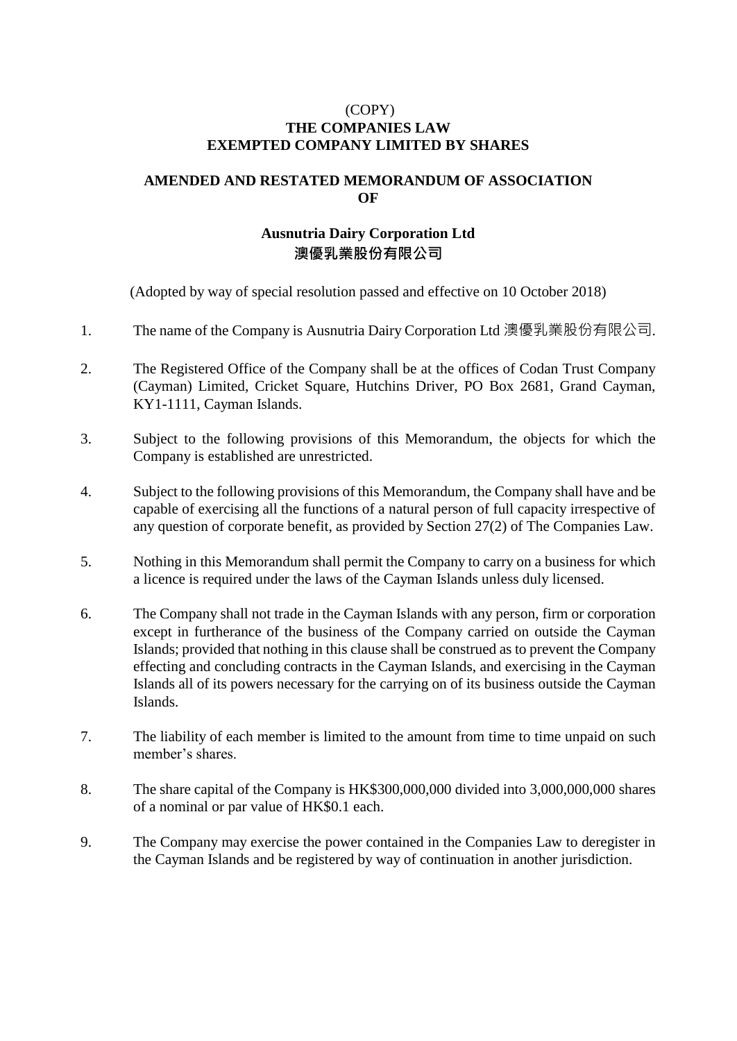## (COPY) **THE COMPANIES LAW EXEMPTED COMPANY LIMITED BY SHARES**

## **AMENDED AND RESTATED MEMORANDUM OF ASSOCIATION OF**

## **Ausnutria Dairy Corporation Ltd 澳優乳業股份有限公司**

(Adopted by way of special resolution passed and effective on 10 October 2018)

- 1. The name of the Company is Ausnutria Dairy Corporation Ltd 澳優乳業股份有限公司.
- 2. The Registered Office of the Company shall be at the offices of Codan Trust Company (Cayman) Limited, Cricket Square, Hutchins Driver, PO Box 2681, Grand Cayman, KY1-1111, Cayman Islands.
- 3. Subject to the following provisions of this Memorandum, the objects for which the Company is established are unrestricted.
- 4. Subject to the following provisions of this Memorandum, the Company shall have and be capable of exercising all the functions of a natural person of full capacity irrespective of any question of corporate benefit, as provided by Section 27(2) of The Companies Law.
- 5. Nothing in this Memorandum shall permit the Company to carry on a business for which a licence is required under the laws of the Cayman Islands unless duly licensed.
- 6. The Company shall not trade in the Cayman Islands with any person, firm or corporation except in furtherance of the business of the Company carried on outside the Cayman Islands; provided that nothing in this clause shall be construed as to prevent the Company effecting and concluding contracts in the Cayman Islands, and exercising in the Cayman Islands all of its powers necessary for the carrying on of its business outside the Cayman Islands.
- 7. The liability of each member is limited to the amount from time to time unpaid on such member's shares.
- 8. The share capital of the Company is HK\$300,000,000 divided into 3,000,000,000 shares of a nominal or par value of HK\$0.1 each.
- 9. The Company may exercise the power contained in the Companies Law to deregister in the Cayman Islands and be registered by way of continuation in another jurisdiction.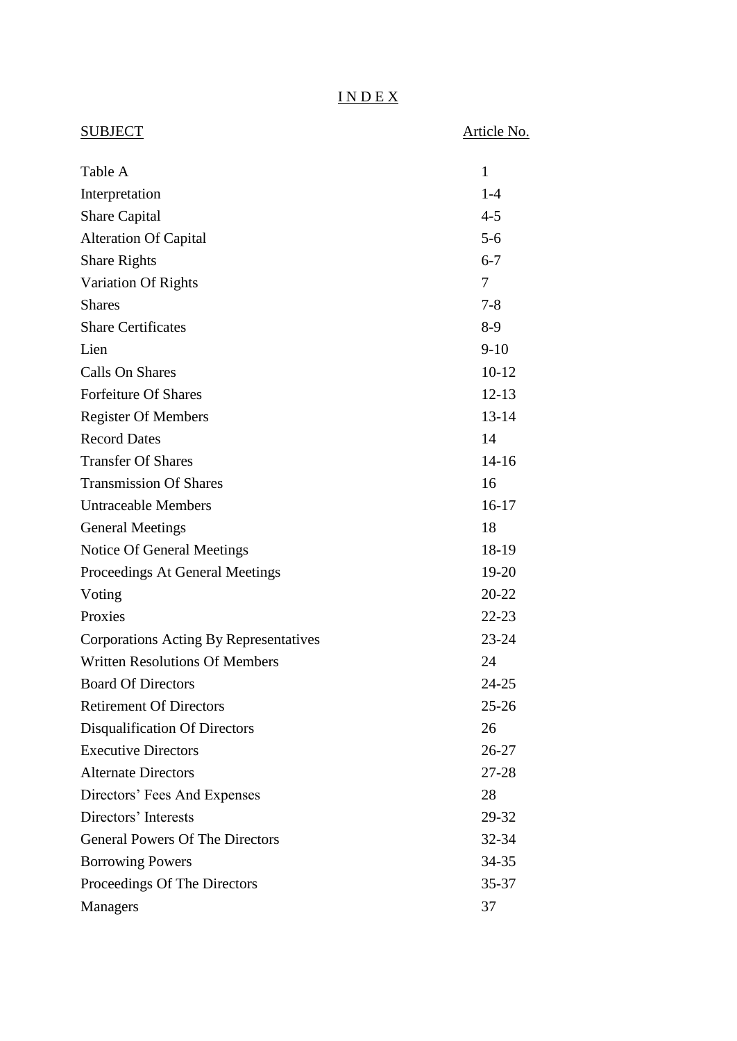# I N D E X

| <b>SUBJECT</b>                         | Article No. |
|----------------------------------------|-------------|
| Table A                                | 1           |
| Interpretation                         | $1-4$       |
| <b>Share Capital</b>                   | $4 - 5$     |
| <b>Alteration Of Capital</b>           | $5-6$       |
| <b>Share Rights</b>                    | $6 - 7$     |
| Variation Of Rights                    | 7           |
| <b>Shares</b>                          | $7 - 8$     |
| <b>Share Certificates</b>              | $8-9$       |
| Lien                                   | $9-10$      |
| Calls On Shares                        | $10 - 12$   |
| <b>Forfeiture Of Shares</b>            | $12 - 13$   |
| <b>Register Of Members</b>             | $13 - 14$   |
| <b>Record Dates</b>                    | 14          |
| <b>Transfer Of Shares</b>              | $14-16$     |
| <b>Transmission Of Shares</b>          | 16          |
| <b>Untraceable Members</b>             | $16-17$     |
| <b>General Meetings</b>                | 18          |
| Notice Of General Meetings             | 18-19       |
| Proceedings At General Meetings        | 19-20       |
| Voting                                 | 20-22       |
| Proxies                                | $22 - 23$   |
| Corporations Acting By Representatives | $23 - 24$   |
| <b>Written Resolutions Of Members</b>  | 24          |
| <b>Board Of Directors</b>              | 24-25       |
| <b>Retirement Of Directors</b>         | $25 - 26$   |
| Disqualification Of Directors          | 26          |
| <b>Executive Directors</b>             | $26 - 27$   |
| <b>Alternate Directors</b>             | 27-28       |
| Directors' Fees And Expenses           | 28          |
| Directors' Interests                   | 29-32       |
| <b>General Powers Of The Directors</b> | 32-34       |
| <b>Borrowing Powers</b>                | $34 - 35$   |
| Proceedings Of The Directors           | 35-37       |
| <b>Managers</b>                        | 37          |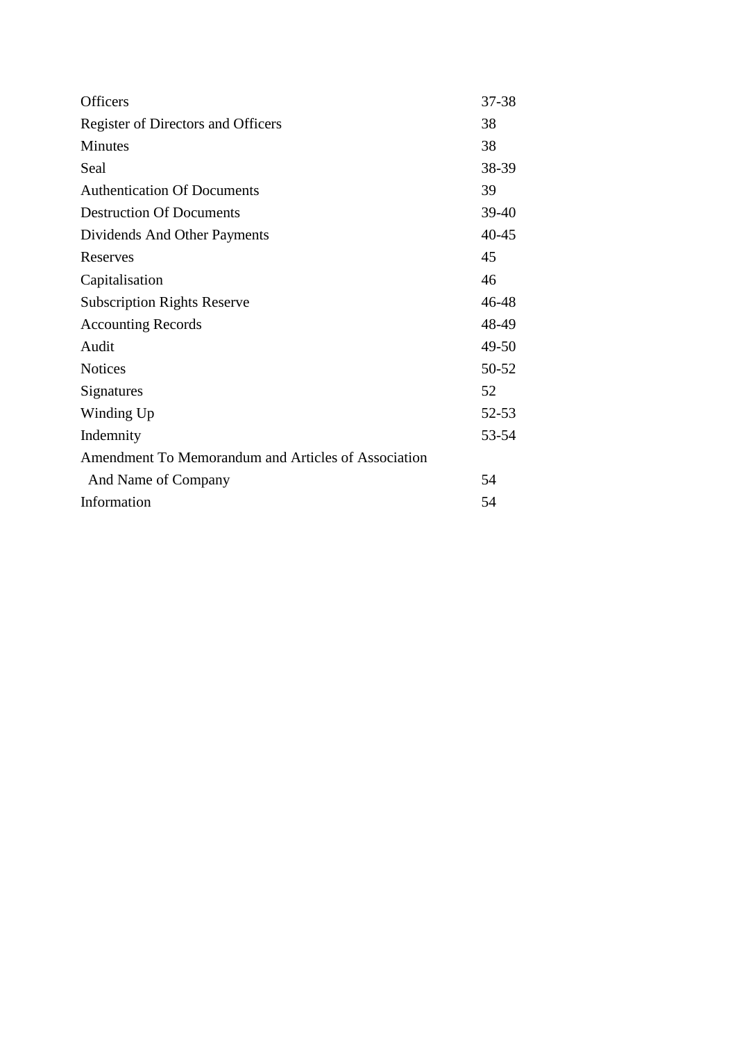| <b>Officers</b>                                     | 37-38 |
|-----------------------------------------------------|-------|
| Register of Directors and Officers                  | 38    |
| Minutes                                             | 38    |
| Seal                                                | 38-39 |
| <b>Authentication Of Documents</b>                  | 39    |
| <b>Destruction Of Documents</b>                     | 39-40 |
| Dividends And Other Payments                        | 40-45 |
| Reserves                                            | 45    |
| Capitalisation                                      | 46    |
| <b>Subscription Rights Reserve</b>                  | 46-48 |
| <b>Accounting Records</b>                           | 48-49 |
| Audit                                               | 49-50 |
| <b>Notices</b>                                      | 50-52 |
| Signatures                                          | 52    |
| Winding Up                                          | 52-53 |
| Indemnity                                           | 53-54 |
| Amendment To Memorandum and Articles of Association |       |
| And Name of Company                                 | 54    |
| Information                                         | 54    |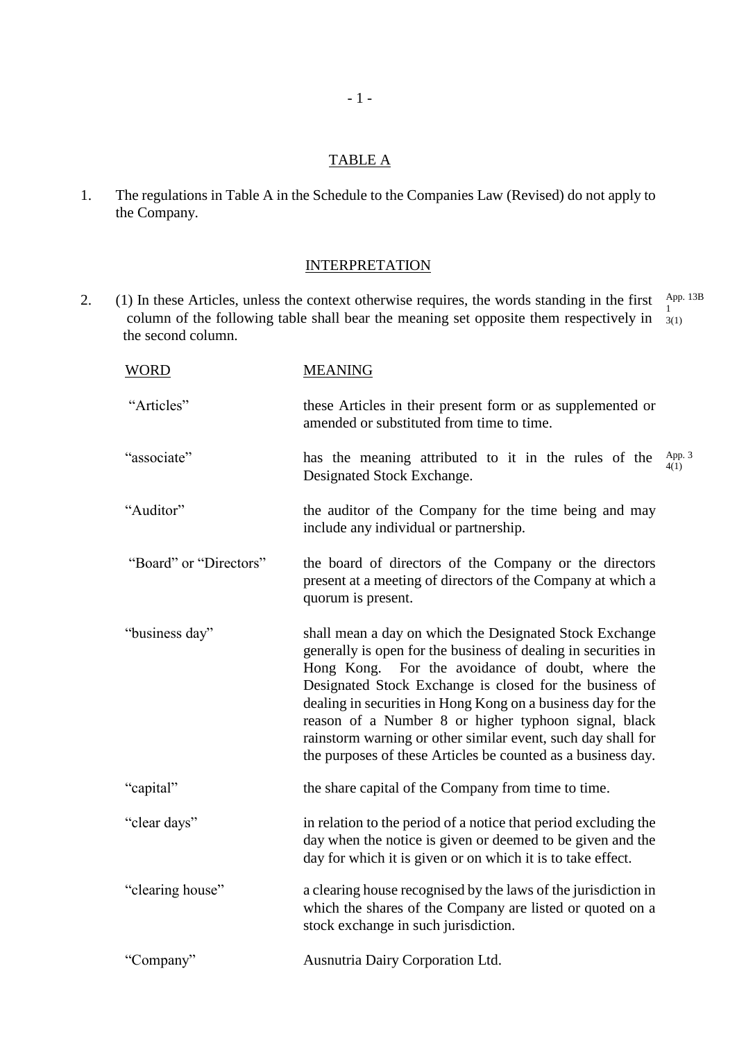## TABLE A

1. The regulations in Table A in the Schedule to the Companies Law (Revised) do not apply to the Company.

### **INTERPRETATION**

2. (1) In these Articles, unless the context otherwise requires, the words standing in the first  $\frac{\text{App. 13B}}{1}$ column of the following table shall bear the meaning set opposite them respectively in  $\frac{1}{3(1)}$  the second column. 1

| <b>WORD</b>            | <b>MEANING</b>                                                                                                                                                                                                                                                                                                                                                                                                                                                                                   |
|------------------------|--------------------------------------------------------------------------------------------------------------------------------------------------------------------------------------------------------------------------------------------------------------------------------------------------------------------------------------------------------------------------------------------------------------------------------------------------------------------------------------------------|
| "Articles"             | these Articles in their present form or as supplemented or<br>amended or substituted from time to time.                                                                                                                                                                                                                                                                                                                                                                                          |
| "associate"            | App. 3<br>4(1)<br>has the meaning attributed to it in the rules of the<br>Designated Stock Exchange.                                                                                                                                                                                                                                                                                                                                                                                             |
| "Auditor"              | the auditor of the Company for the time being and may<br>include any individual or partnership.                                                                                                                                                                                                                                                                                                                                                                                                  |
| "Board" or "Directors" | the board of directors of the Company or the directors<br>present at a meeting of directors of the Company at which a<br>quorum is present.                                                                                                                                                                                                                                                                                                                                                      |
| "business day"         | shall mean a day on which the Designated Stock Exchange<br>generally is open for the business of dealing in securities in<br>Hong Kong. For the avoidance of doubt, where the<br>Designated Stock Exchange is closed for the business of<br>dealing in securities in Hong Kong on a business day for the<br>reason of a Number 8 or higher typhoon signal, black<br>rainstorm warning or other similar event, such day shall for<br>the purposes of these Articles be counted as a business day. |
| "capital"              | the share capital of the Company from time to time.                                                                                                                                                                                                                                                                                                                                                                                                                                              |
| "clear days"           | in relation to the period of a notice that period excluding the<br>day when the notice is given or deemed to be given and the<br>day for which it is given or on which it is to take effect.                                                                                                                                                                                                                                                                                                     |
| "clearing house"       | a clearing house recognised by the laws of the jurisdiction in<br>which the shares of the Company are listed or quoted on a<br>stock exchange in such jurisdiction.                                                                                                                                                                                                                                                                                                                              |
| "Company"              | Ausnutria Dairy Corporation Ltd.                                                                                                                                                                                                                                                                                                                                                                                                                                                                 |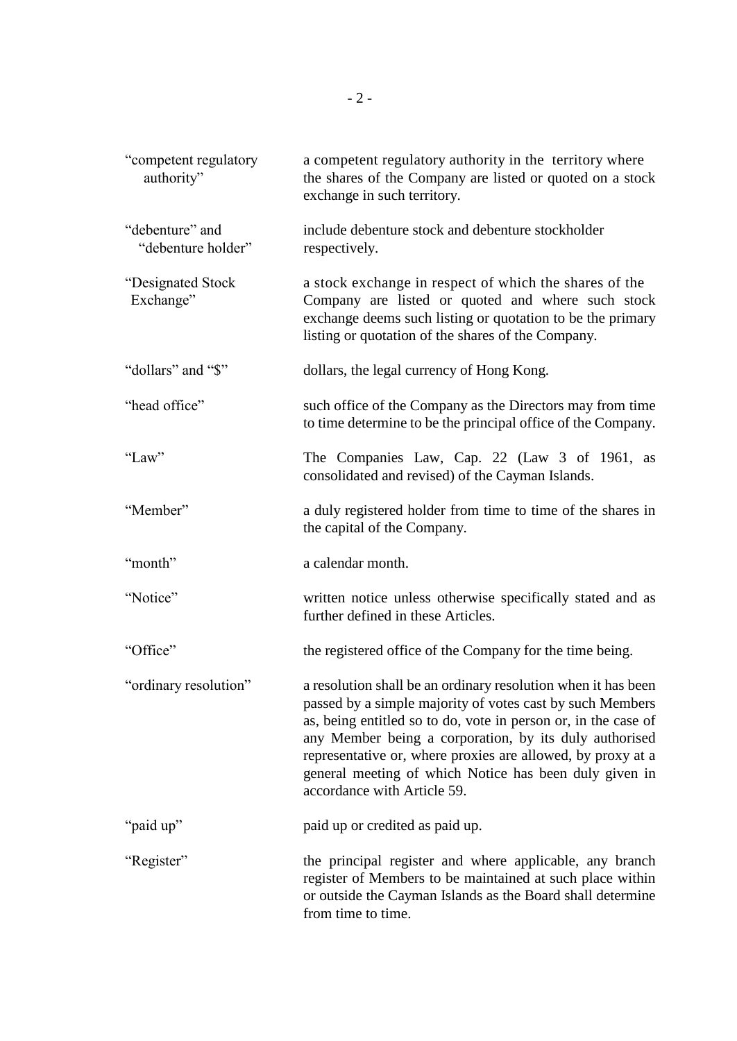| "competent regulatory<br>authority"   | a competent regulatory authority in the territory where<br>the shares of the Company are listed or quoted on a stock<br>exchange in such territory.                                                                                                                                                                                                                                                            |
|---------------------------------------|----------------------------------------------------------------------------------------------------------------------------------------------------------------------------------------------------------------------------------------------------------------------------------------------------------------------------------------------------------------------------------------------------------------|
| "debenture" and<br>"debenture holder" | include debenture stock and debenture stockholder<br>respectively.                                                                                                                                                                                                                                                                                                                                             |
| "Designated Stock<br>Exchange"        | a stock exchange in respect of which the shares of the<br>Company are listed or quoted and where such stock<br>exchange deems such listing or quotation to be the primary<br>listing or quotation of the shares of the Company.                                                                                                                                                                                |
| "dollars" and "\$"                    | dollars, the legal currency of Hong Kong.                                                                                                                                                                                                                                                                                                                                                                      |
| "head office"                         | such office of the Company as the Directors may from time<br>to time determine to be the principal office of the Company.                                                                                                                                                                                                                                                                                      |
| "Law"                                 | The Companies Law, Cap. 22 (Law 3 of 1961, as<br>consolidated and revised) of the Cayman Islands.                                                                                                                                                                                                                                                                                                              |
| "Member"                              | a duly registered holder from time to time of the shares in<br>the capital of the Company.                                                                                                                                                                                                                                                                                                                     |
| "month"                               | a calendar month.                                                                                                                                                                                                                                                                                                                                                                                              |
| "Notice"                              | written notice unless otherwise specifically stated and as<br>further defined in these Articles.                                                                                                                                                                                                                                                                                                               |
| "Office"                              | the registered office of the Company for the time being.                                                                                                                                                                                                                                                                                                                                                       |
| "ordinary resolution"                 | a resolution shall be an ordinary resolution when it has been<br>passed by a simple majority of votes cast by such Members<br>as, being entitled so to do, vote in person or, in the case of<br>any Member being a corporation, by its duly authorised<br>representative or, where proxies are allowed, by proxy at a<br>general meeting of which Notice has been duly given in<br>accordance with Article 59. |
| "paid up"                             | paid up or credited as paid up.                                                                                                                                                                                                                                                                                                                                                                                |
| "Register"                            | the principal register and where applicable, any branch<br>register of Members to be maintained at such place within<br>or outside the Cayman Islands as the Board shall determine<br>from time to time.                                                                                                                                                                                                       |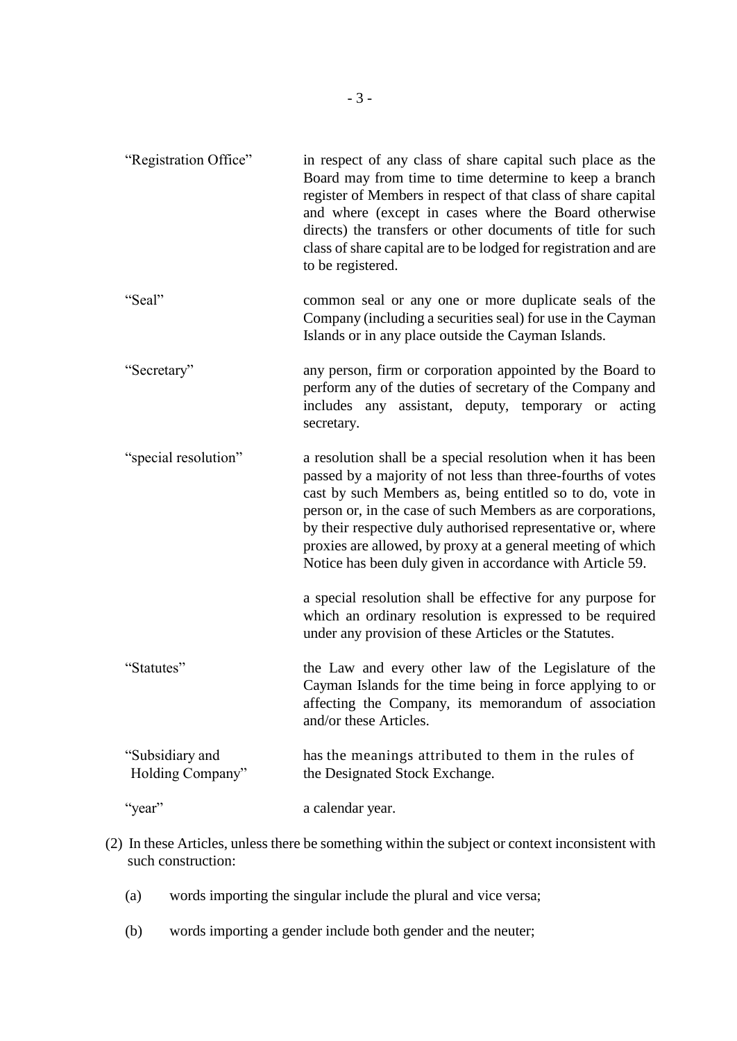| "Registration Office"               | in respect of any class of share capital such place as the<br>Board may from time to time determine to keep a branch<br>register of Members in respect of that class of share capital<br>and where (except in cases where the Board otherwise<br>directs) the transfers or other documents of title for such<br>class of share capital are to be lodged for registration and are<br>to be registered.                                               |
|-------------------------------------|-----------------------------------------------------------------------------------------------------------------------------------------------------------------------------------------------------------------------------------------------------------------------------------------------------------------------------------------------------------------------------------------------------------------------------------------------------|
| "Seal"                              | common seal or any one or more duplicate seals of the<br>Company (including a securities seal) for use in the Cayman<br>Islands or in any place outside the Cayman Islands.                                                                                                                                                                                                                                                                         |
| "Secretary"                         | any person, firm or corporation appointed by the Board to<br>perform any of the duties of secretary of the Company and<br>includes any assistant, deputy, temporary or acting<br>secretary.                                                                                                                                                                                                                                                         |
| "special resolution"                | a resolution shall be a special resolution when it has been<br>passed by a majority of not less than three-fourths of votes<br>cast by such Members as, being entitled so to do, vote in<br>person or, in the case of such Members as are corporations,<br>by their respective duly authorised representative or, where<br>proxies are allowed, by proxy at a general meeting of which<br>Notice has been duly given in accordance with Article 59. |
|                                     | a special resolution shall be effective for any purpose for<br>which an ordinary resolution is expressed to be required<br>under any provision of these Articles or the Statutes.                                                                                                                                                                                                                                                                   |
| "Statutes"                          | the Law and every other law of the Legislature of the<br>Cayman Islands for the time being in force applying to or<br>affecting the Company, its memorandum of association<br>and/or these Articles.                                                                                                                                                                                                                                                |
| "Subsidiary and<br>Holding Company" | has the meanings attributed to them in the rules of<br>the Designated Stock Exchange.                                                                                                                                                                                                                                                                                                                                                               |
| "year"                              | a calendar year.                                                                                                                                                                                                                                                                                                                                                                                                                                    |

- (2) In these Articles, unless there be something within the subject or context inconsistent with such construction:
	- (a) words importing the singular include the plural and vice versa;
	- (b) words importing a gender include both gender and the neuter;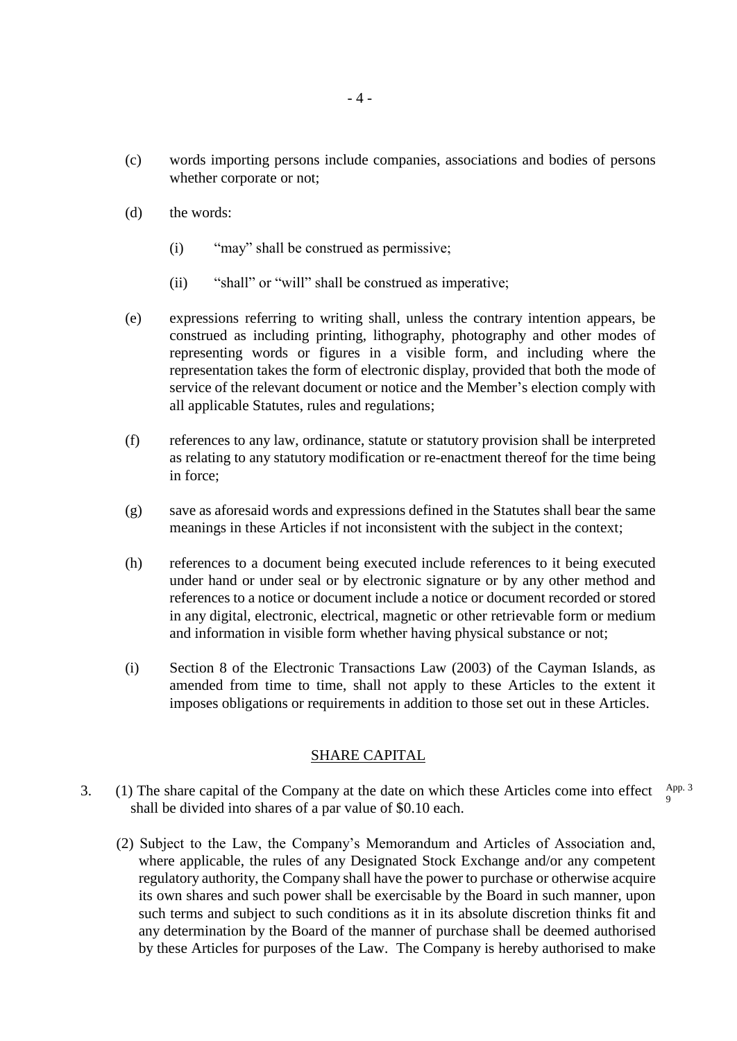- (c) words importing persons include companies, associations and bodies of persons whether corporate or not;
- (d) the words:
	- (i) "may" shall be construed as permissive;
	- (ii) "shall" or "will" shall be construed as imperative;
- (e) expressions referring to writing shall, unless the contrary intention appears, be construed as including printing, lithography, photography and other modes of representing words or figures in a visible form, and including where the representation takes the form of electronic display, provided that both the mode of service of the relevant document or notice and the Member's election comply with all applicable Statutes, rules and regulations;
- (f) references to any law, ordinance, statute or statutory provision shall be interpreted as relating to any statutory modification or re-enactment thereof for the time being in force;
- (g) save as aforesaid words and expressions defined in the Statutes shall bear the same meanings in these Articles if not inconsistent with the subject in the context;
- (h) references to a document being executed include references to it being executed under hand or under seal or by electronic signature or by any other method and references to a notice or document include a notice or document recorded or stored in any digital, electronic, electrical, magnetic or other retrievable form or medium and information in visible form whether having physical substance or not;
- (i) Section 8 of the Electronic Transactions Law (2003) of the Cayman Islands, as amended from time to time, shall not apply to these Articles to the extent it imposes obligations or requirements in addition to those set out in these Articles.

#### SHARE CAPITAL

- 3. (1) The share capital of the Company at the date on which these Articles come into effect  $A_{\text{pp}}$ . shall be divided into shares of a par value of \$0.10 each. 9
	- (2) Subject to the Law, the Company's Memorandum and Articles of Association and, where applicable, the rules of any Designated Stock Exchange and/or any competent regulatory authority, the Company shall have the power to purchase or otherwise acquire its own shares and such power shall be exercisable by the Board in such manner, upon such terms and subject to such conditions as it in its absolute discretion thinks fit and any determination by the Board of the manner of purchase shall be deemed authorised by these Articles for purposes of the Law. The Company is hereby authorised to make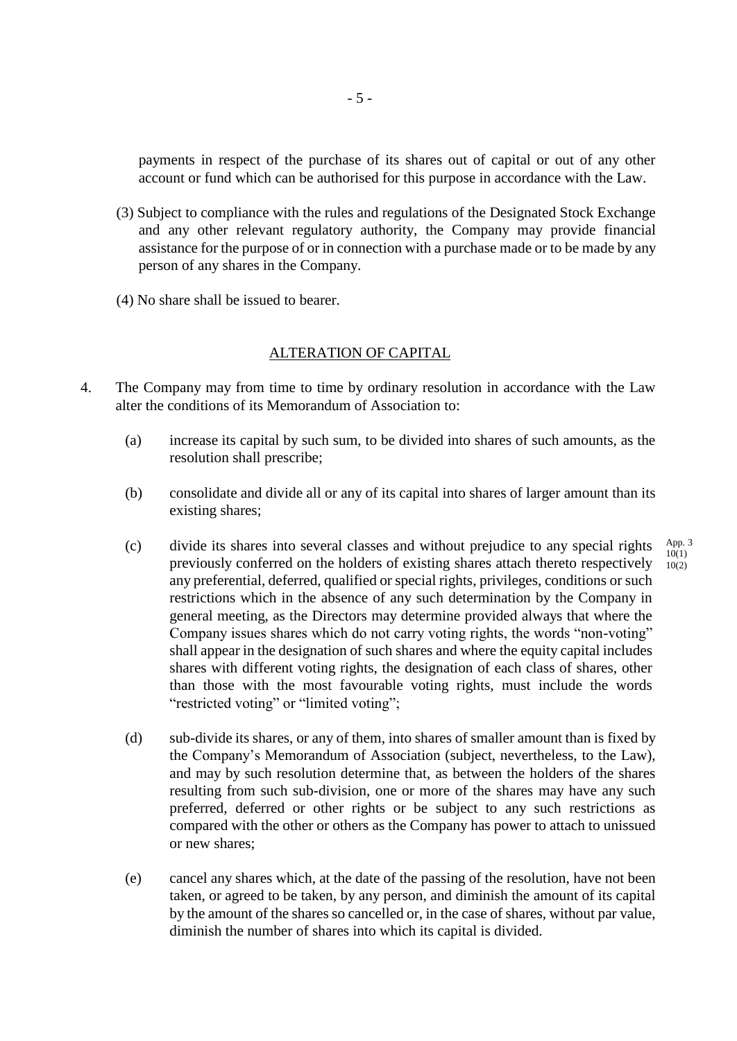payments in respect of the purchase of its shares out of capital or out of any other account or fund which can be authorised for this purpose in accordance with the Law.

- (3) Subject to compliance with the rules and regulations of the Designated Stock Exchange and any other relevant regulatory authority, the Company may provide financial assistance for the purpose of or in connection with a purchase made or to be made by any person of any shares in the Company.
- (4) No share shall be issued to bearer.

## ALTERATION OF CAPITAL

- 4. The Company may from time to time by ordinary resolution in accordance with the Law alter the conditions of its Memorandum of Association to:
	- (a) increase its capital by such sum, to be divided into shares of such amounts, as the resolution shall prescribe;
	- (b) consolidate and divide all or any of its capital into shares of larger amount than its existing shares;

App. 3 10(1)  $10(2)$ 

- (c) divide its shares into several classes and without prejudice to any special rights previously conferred on the holders of existing shares attach thereto respectively any preferential, deferred, qualified or special rights, privileges, conditions or such restrictions which in the absence of any such determination by the Company in general meeting, as the Directors may determine provided always that where the Company issues shares which do not carry voting rights, the words "non-voting" shall appear in the designation of such shares and where the equity capital includes shares with different voting rights, the designation of each class of shares, other than those with the most favourable voting rights, must include the words "restricted voting" or "limited voting";
- (d) sub-divide its shares, or any of them, into shares of smaller amount than is fixed by the Company's Memorandum of Association (subject, nevertheless, to the Law), and may by such resolution determine that, as between the holders of the shares resulting from such sub-division, one or more of the shares may have any such preferred, deferred or other rights or be subject to any such restrictions as compared with the other or others as the Company has power to attach to unissued or new shares;
- (e) cancel any shares which, at the date of the passing of the resolution, have not been taken, or agreed to be taken, by any person, and diminish the amount of its capital by the amount of the shares so cancelled or, in the case of shares, without par value, diminish the number of shares into which its capital is divided.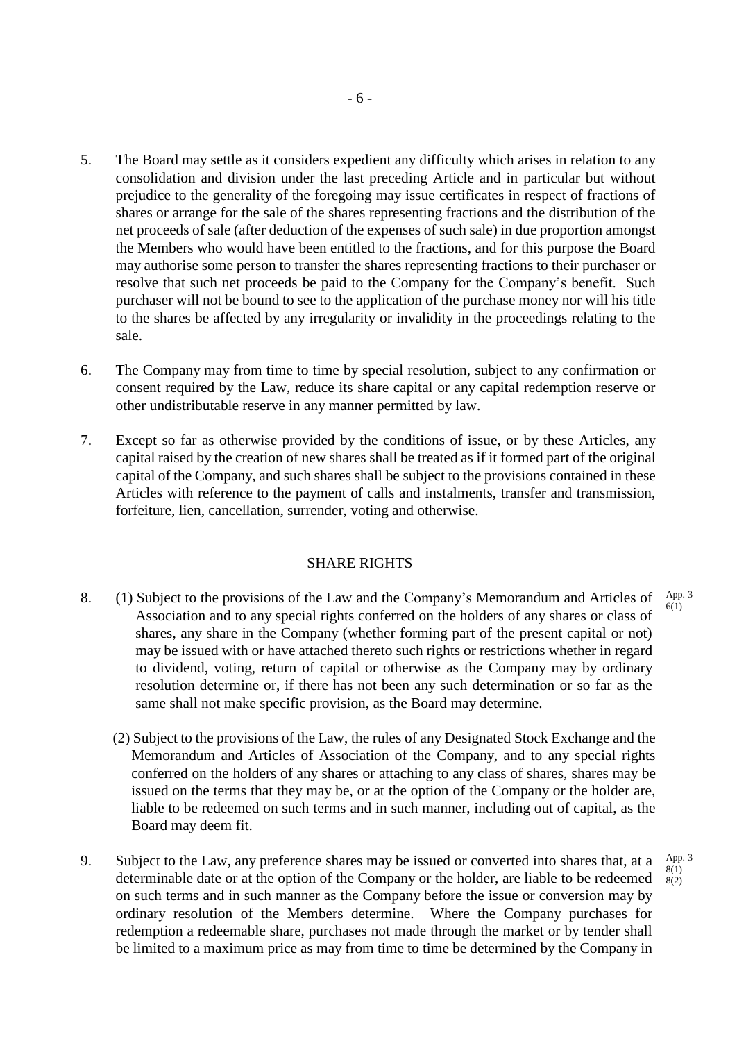- 5. The Board may settle as it considers expedient any difficulty which arises in relation to any consolidation and division under the last preceding Article and in particular but without prejudice to the generality of the foregoing may issue certificates in respect of fractions of shares or arrange for the sale of the shares representing fractions and the distribution of the net proceeds of sale (after deduction of the expenses of such sale) in due proportion amongst the Members who would have been entitled to the fractions, and for this purpose the Board may authorise some person to transfer the shares representing fractions to their purchaser or resolve that such net proceeds be paid to the Company for the Company's benefit. Such purchaser will not be bound to see to the application of the purchase money nor will his title to the shares be affected by any irregularity or invalidity in the proceedings relating to the sale.
- 6. The Company may from time to time by special resolution, subject to any confirmation or consent required by the Law, reduce its share capital or any capital redemption reserve or other undistributable reserve in any manner permitted by law.
- 7. Except so far as otherwise provided by the conditions of issue, or by these Articles, any capital raised by the creation of new shares shall be treated as if it formed part of the original capital of the Company, and such shares shall be subject to the provisions contained in these Articles with reference to the payment of calls and instalments, transfer and transmission, forfeiture, lien, cancellation, surrender, voting and otherwise.

## SHARE RIGHTS

- 8. (1) Subject to the provisions of the Law and the Company's Memorandum and Articles of Association and to any special rights conferred on the holders of any shares or class of shares, any share in the Company (whether forming part of the present capital or not) may be issued with or have attached thereto such rights or restrictions whether in regard to dividend, voting, return of capital or otherwise as the Company may by ordinary resolution determine or, if there has not been any such determination or so far as the same shall not make specific provision, as the Board may determine. App. 3 6(1)
	- (2) Subject to the provisions of the Law, the rules of any Designated Stock Exchange and the Memorandum and Articles of Association of the Company, and to any special rights conferred on the holders of any shares or attaching to any class of shares, shares may be issued on the terms that they may be, or at the option of the Company or the holder are, liable to be redeemed on such terms and in such manner, including out of capital, as the Board may deem fit.
- 9. Subject to the Law, any preference shares may be issued or converted into shares that, at a determinable date or at the option of the Company or the holder, are liable to be redeemed on such terms and in such manner as the Company before the issue or conversion may by ordinary resolution of the Members determine. Where the Company purchases for redemption a redeemable share, purchases not made through the market or by tender shall be limited to a maximum price as may from time to time be determined by the Company in App. 3 8(1) 8(2)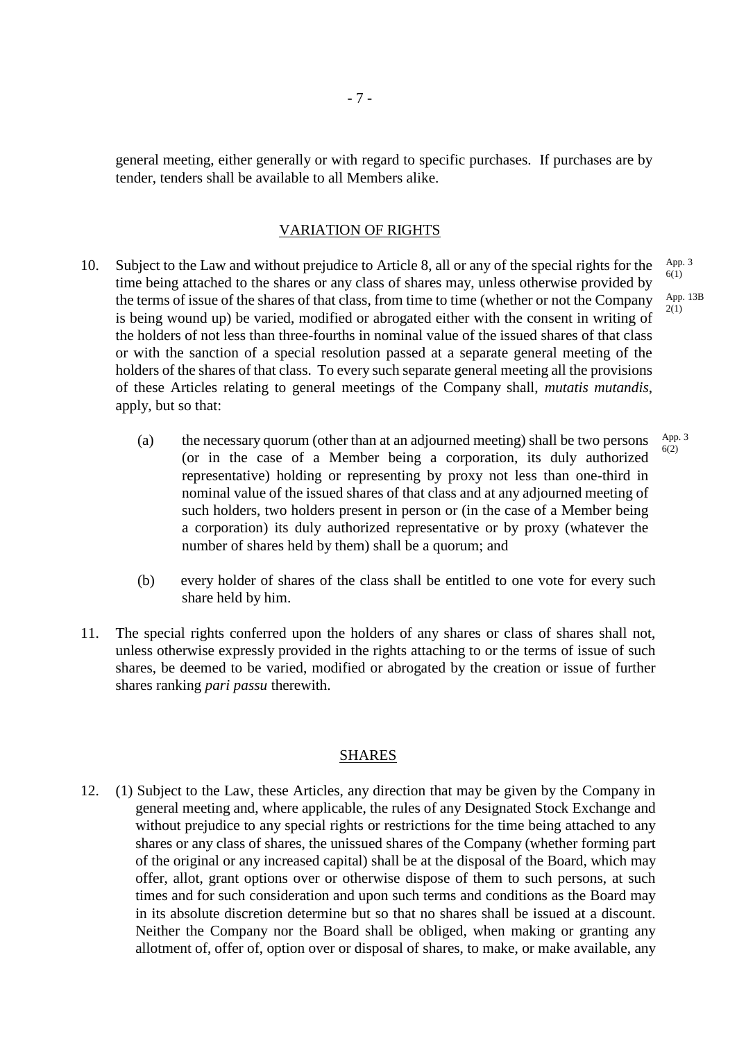general meeting, either generally or with regard to specific purchases. If purchases are by tender, tenders shall be available to all Members alike.

#### VARIATION OF RIGHTS

- 10. Subject to the Law and without prejudice to Article 8, all or any of the special rights for the time being attached to the shares or any class of shares may, unless otherwise provided by the terms of issue of the shares of that class, from time to time (whether or not the Company is being wound up) be varied, modified or abrogated either with the consent in writing of the holders of not less than three-fourths in nominal value of the issued shares of that class or with the sanction of a special resolution passed at a separate general meeting of the holders of the shares of that class. To every such separate general meeting all the provisions of these Articles relating to general meetings of the Company shall, *mutatis mutandis*, apply, but so that: 2(1)
	- (a) the necessary quorum (other than at an adjourned meeting) shall be two persons (or in the case of a Member being a corporation, its duly authorized representative) holding or representing by proxy not less than one-third in nominal value of the issued shares of that class and at any adjourned meeting of such holders, two holders present in person or (in the case of a Member being a corporation) its duly authorized representative or by proxy (whatever the number of shares held by them) shall be a quorum; and 6(2)
	- (b) every holder of shares of the class shall be entitled to one vote for every such share held by him.
- 11. The special rights conferred upon the holders of any shares or class of shares shall not, unless otherwise expressly provided in the rights attaching to or the terms of issue of such shares, be deemed to be varied, modified or abrogated by the creation or issue of further shares ranking *pari passu* therewith.

#### SHARES

12. (1) Subject to the Law, these Articles, any direction that may be given by the Company in general meeting and, where applicable, the rules of any Designated Stock Exchange and without prejudice to any special rights or restrictions for the time being attached to any shares or any class of shares, the unissued shares of the Company (whether forming part of the original or any increased capital) shall be at the disposal of the Board, which may offer, allot, grant options over or otherwise dispose of them to such persons, at such times and for such consideration and upon such terms and conditions as the Board may in its absolute discretion determine but so that no shares shall be issued at a discount. Neither the Company nor the Board shall be obliged, when making or granting any allotment of, offer of, option over or disposal of shares, to make, or make available, any

App. 3 6(1) App. 13B

App. 3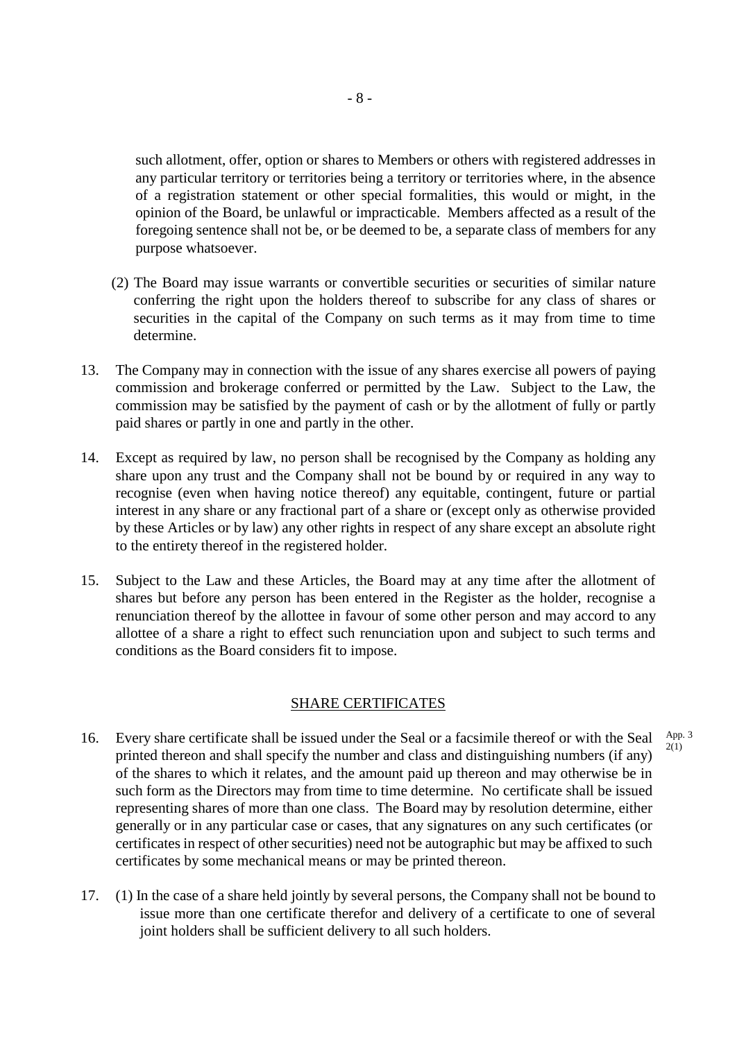such allotment, offer, option or shares to Members or others with registered addresses in any particular territory or territories being a territory or territories where, in the absence of a registration statement or other special formalities, this would or might, in the opinion of the Board, be unlawful or impracticable. Members affected as a result of the foregoing sentence shall not be, or be deemed to be, a separate class of members for any purpose whatsoever.

- (2) The Board may issue warrants or convertible securities or securities of similar nature conferring the right upon the holders thereof to subscribe for any class of shares or securities in the capital of the Company on such terms as it may from time to time determine.
- 13. The Company may in connection with the issue of any shares exercise all powers of paying commission and brokerage conferred or permitted by the Law. Subject to the Law, the commission may be satisfied by the payment of cash or by the allotment of fully or partly paid shares or partly in one and partly in the other.
- 14. Except as required by law, no person shall be recognised by the Company as holding any share upon any trust and the Company shall not be bound by or required in any way to recognise (even when having notice thereof) any equitable, contingent, future or partial interest in any share or any fractional part of a share or (except only as otherwise provided by these Articles or by law) any other rights in respect of any share except an absolute right to the entirety thereof in the registered holder.
- 15. Subject to the Law and these Articles, the Board may at any time after the allotment of shares but before any person has been entered in the Register as the holder, recognise a renunciation thereof by the allottee in favour of some other person and may accord to any allottee of a share a right to effect such renunciation upon and subject to such terms and conditions as the Board considers fit to impose.

## SHARE CERTIFICATES

16. Every share certificate shall be issued under the Seal or a facsimile thereof or with the Seal printed thereon and shall specify the number and class and distinguishing numbers (if any) of the shares to which it relates, and the amount paid up thereon and may otherwise be in such form as the Directors may from time to time determine. No certificate shall be issued representing shares of more than one class. The Board may by resolution determine, either generally or in any particular case or cases, that any signatures on any such certificates (or certificates in respect of other securities) need not be autographic but may be affixed to such certificates by some mechanical means or may be printed thereon. App. 3

2(1)

17. (1) In the case of a share held jointly by several persons, the Company shall not be bound to issue more than one certificate therefor and delivery of a certificate to one of several joint holders shall be sufficient delivery to all such holders.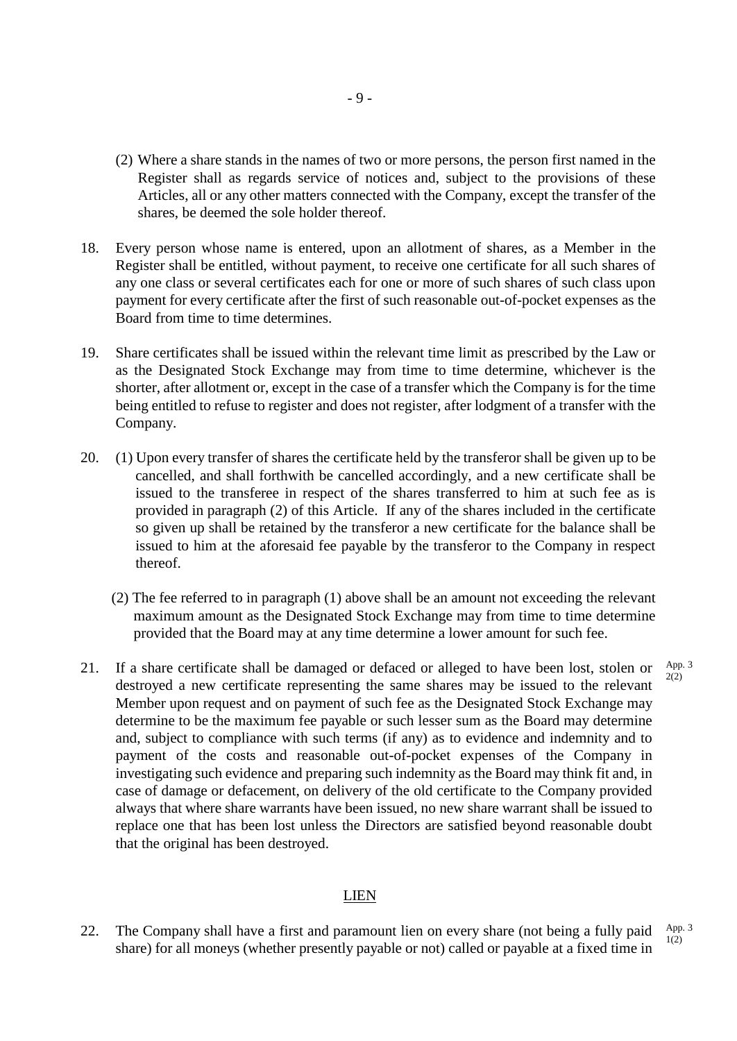- (2) Where a share stands in the names of two or more persons, the person first named in the Register shall as regards service of notices and, subject to the provisions of these Articles, all or any other matters connected with the Company, except the transfer of the shares, be deemed the sole holder thereof.
- 18. Every person whose name is entered, upon an allotment of shares, as a Member in the Register shall be entitled, without payment, to receive one certificate for all such shares of any one class or several certificates each for one or more of such shares of such class upon payment for every certificate after the first of such reasonable out-of-pocket expenses as the Board from time to time determines.
- 19. Share certificates shall be issued within the relevant time limit as prescribed by the Law or as the Designated Stock Exchange may from time to time determine, whichever is the shorter, after allotment or, except in the case of a transfer which the Company is for the time being entitled to refuse to register and does not register, after lodgment of a transfer with the Company.
- 20. (1) Upon every transfer of shares the certificate held by the transferor shall be given up to be cancelled, and shall forthwith be cancelled accordingly, and a new certificate shall be issued to the transferee in respect of the shares transferred to him at such fee as is provided in paragraph (2) of this Article. If any of the shares included in the certificate so given up shall be retained by the transferor a new certificate for the balance shall be issued to him at the aforesaid fee payable by the transferor to the Company in respect thereof.
	- (2) The fee referred to in paragraph (1) above shall be an amount not exceeding the relevant maximum amount as the Designated Stock Exchange may from time to time determine provided that the Board may at any time determine a lower amount for such fee.

App. 3 2(2)

21. If a share certificate shall be damaged or defaced or alleged to have been lost, stolen or destroyed a new certificate representing the same shares may be issued to the relevant Member upon request and on payment of such fee as the Designated Stock Exchange may determine to be the maximum fee payable or such lesser sum as the Board may determine and, subject to compliance with such terms (if any) as to evidence and indemnity and to payment of the costs and reasonable out-of-pocket expenses of the Company in investigating such evidence and preparing such indemnity as the Board may think fit and, in case of damage or defacement, on delivery of the old certificate to the Company provided always that where share warrants have been issued, no new share warrant shall be issued to replace one that has been lost unless the Directors are satisfied beyond reasonable doubt that the original has been destroyed.

#### LIEN

22. The Company shall have a first and paramount lien on every share (not being a fully paid share) for all moneys (whether presently payable or not) called or payable at a fixed time in App. 3 1(2)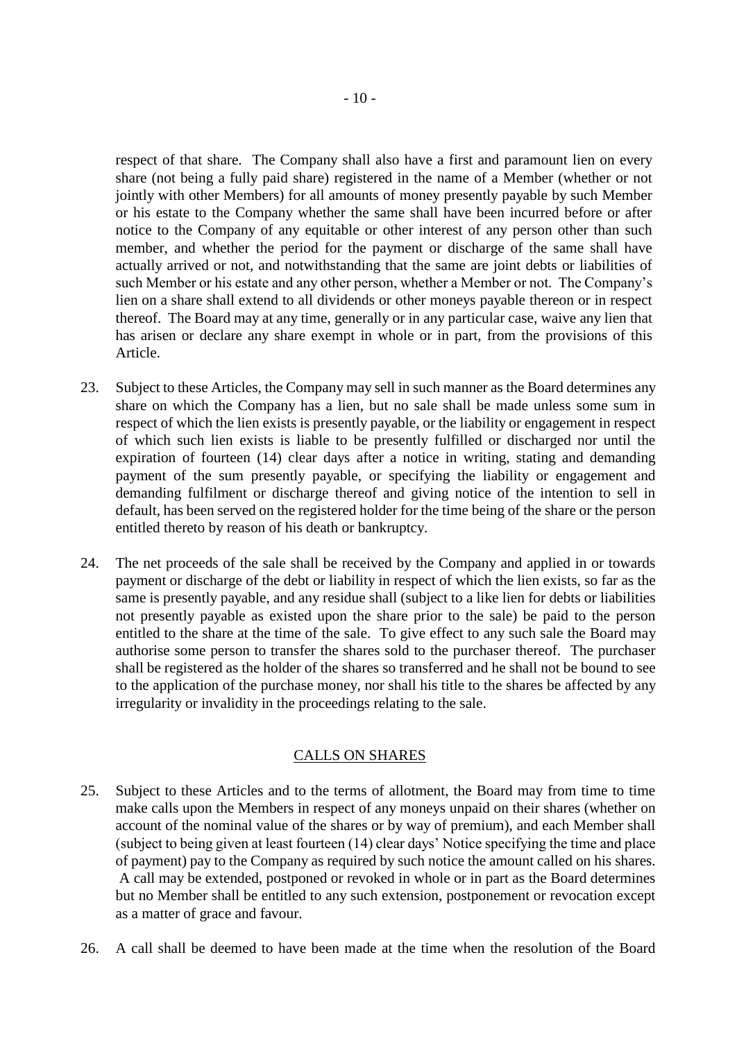respect of that share. The Company shall also have a first and paramount lien on every share (not being a fully paid share) registered in the name of a Member (whether or not jointly with other Members) for all amounts of money presently payable by such Member or his estate to the Company whether the same shall have been incurred before or after notice to the Company of any equitable or other interest of any person other than such member, and whether the period for the payment or discharge of the same shall have actually arrived or not, and notwithstanding that the same are joint debts or liabilities of such Member or his estate and any other person, whether a Member or not. The Company's lien on a share shall extend to all dividends or other moneys payable thereon or in respect thereof. The Board may at any time, generally or in any particular case, waive any lien that has arisen or declare any share exempt in whole or in part, from the provisions of this Article.

- 23. Subject to these Articles, the Company may sell in such manner as the Board determines any share on which the Company has a lien, but no sale shall be made unless some sum in respect of which the lien exists is presently payable, or the liability or engagement in respect of which such lien exists is liable to be presently fulfilled or discharged nor until the expiration of fourteen (14) clear days after a notice in writing, stating and demanding payment of the sum presently payable, or specifying the liability or engagement and demanding fulfilment or discharge thereof and giving notice of the intention to sell in default, has been served on the registered holder for the time being of the share or the person entitled thereto by reason of his death or bankruptcy.
- 24. The net proceeds of the sale shall be received by the Company and applied in or towards payment or discharge of the debt or liability in respect of which the lien exists, so far as the same is presently payable, and any residue shall (subject to a like lien for debts or liabilities not presently payable as existed upon the share prior to the sale) be paid to the person entitled to the share at the time of the sale. To give effect to any such sale the Board may authorise some person to transfer the shares sold to the purchaser thereof. The purchaser shall be registered as the holder of the shares so transferred and he shall not be bound to see to the application of the purchase money, nor shall his title to the shares be affected by any irregularity or invalidity in the proceedings relating to the sale.

## CALLS ON SHARES

- 25. Subject to these Articles and to the terms of allotment, the Board may from time to time make calls upon the Members in respect of any moneys unpaid on their shares (whether on account of the nominal value of the shares or by way of premium), and each Member shall (subject to being given at least fourteen (14) clear days' Notice specifying the time and place of payment) pay to the Company as required by such notice the amount called on his shares. A call may be extended, postponed or revoked in whole or in part as the Board determines but no Member shall be entitled to any such extension, postponement or revocation except as a matter of grace and favour.
- 26. A call shall be deemed to have been made at the time when the resolution of the Board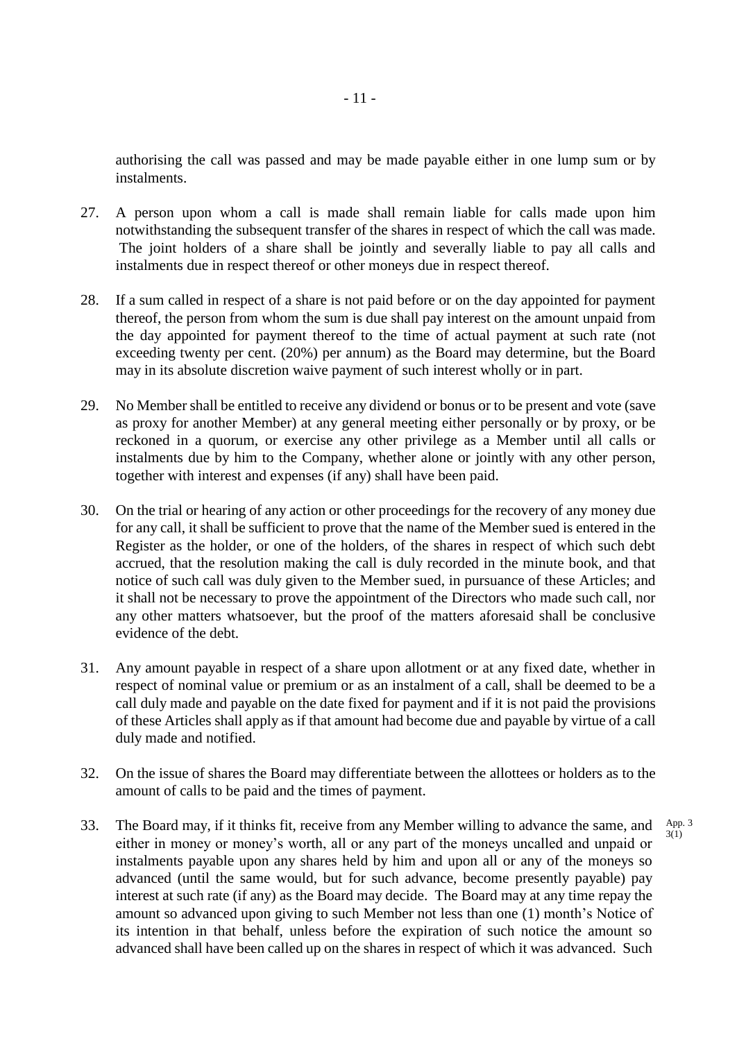authorising the call was passed and may be made payable either in one lump sum or by instalments.

- 27. A person upon whom a call is made shall remain liable for calls made upon him notwithstanding the subsequent transfer of the shares in respect of which the call was made. The joint holders of a share shall be jointly and severally liable to pay all calls and instalments due in respect thereof or other moneys due in respect thereof.
- 28. If a sum called in respect of a share is not paid before or on the day appointed for payment thereof, the person from whom the sum is due shall pay interest on the amount unpaid from the day appointed for payment thereof to the time of actual payment at such rate (not exceeding twenty per cent. (20%) per annum) as the Board may determine, but the Board may in its absolute discretion waive payment of such interest wholly or in part.
- 29. No Member shall be entitled to receive any dividend or bonus or to be present and vote (save as proxy for another Member) at any general meeting either personally or by proxy, or be reckoned in a quorum, or exercise any other privilege as a Member until all calls or instalments due by him to the Company, whether alone or jointly with any other person, together with interest and expenses (if any) shall have been paid.
- 30. On the trial or hearing of any action or other proceedings for the recovery of any money due for any call, it shall be sufficient to prove that the name of the Member sued is entered in the Register as the holder, or one of the holders, of the shares in respect of which such debt accrued, that the resolution making the call is duly recorded in the minute book, and that notice of such call was duly given to the Member sued, in pursuance of these Articles; and it shall not be necessary to prove the appointment of the Directors who made such call, nor any other matters whatsoever, but the proof of the matters aforesaid shall be conclusive evidence of the debt.
- 31. Any amount payable in respect of a share upon allotment or at any fixed date, whether in respect of nominal value or premium or as an instalment of a call, shall be deemed to be a call duly made and payable on the date fixed for payment and if it is not paid the provisions of these Articles shall apply as if that amount had become due and payable by virtue of a call duly made and notified.
- 32. On the issue of shares the Board may differentiate between the allottees or holders as to the amount of calls to be paid and the times of payment.

App. 3  $3(1)$ 

33. The Board may, if it thinks fit, receive from any Member willing to advance the same, and either in money or money's worth, all or any part of the moneys uncalled and unpaid or instalments payable upon any shares held by him and upon all or any of the moneys so advanced (until the same would, but for such advance, become presently payable) pay interest at such rate (if any) as the Board may decide. The Board may at any time repay the amount so advanced upon giving to such Member not less than one (1) month's Notice of its intention in that behalf, unless before the expiration of such notice the amount so advanced shall have been called up on the shares in respect of which it was advanced. Such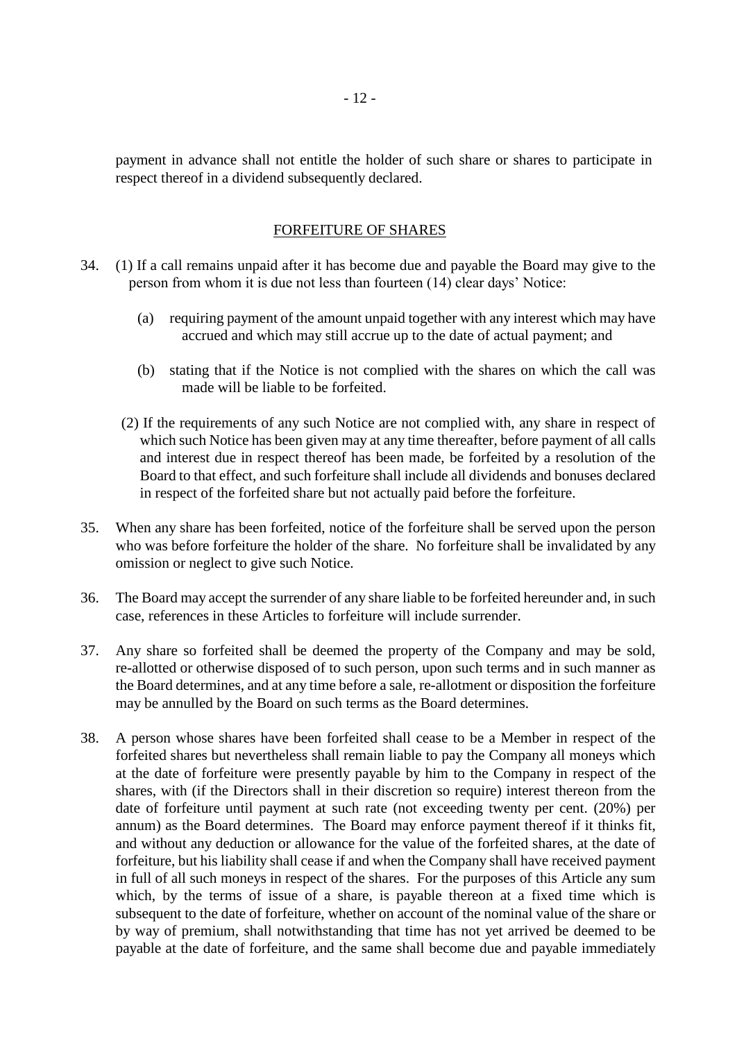payment in advance shall not entitle the holder of such share or shares to participate in respect thereof in a dividend subsequently declared.

## FORFEITURE OF SHARES

- 34. (1) If a call remains unpaid after it has become due and payable the Board may give to the person from whom it is due not less than fourteen (14) clear days' Notice:
	- (a) requiring payment of the amount unpaid together with any interest which may have accrued and which may still accrue up to the date of actual payment; and
	- (b) stating that if the Notice is not complied with the shares on which the call was made will be liable to be forfeited.
	- (2) If the requirements of any such Notice are not complied with, any share in respect of which such Notice has been given may at any time thereafter, before payment of all calls and interest due in respect thereof has been made, be forfeited by a resolution of the Board to that effect, and such forfeiture shall include all dividends and bonuses declared in respect of the forfeited share but not actually paid before the forfeiture.
- 35. When any share has been forfeited, notice of the forfeiture shall be served upon the person who was before forfeiture the holder of the share. No forfeiture shall be invalidated by any omission or neglect to give such Notice.
- 36. The Board may accept the surrender of any share liable to be forfeited hereunder and, in such case, references in these Articles to forfeiture will include surrender.
- 37. Any share so forfeited shall be deemed the property of the Company and may be sold, re-allotted or otherwise disposed of to such person, upon such terms and in such manner as the Board determines, and at any time before a sale, re-allotment or disposition the forfeiture may be annulled by the Board on such terms as the Board determines.
- 38. A person whose shares have been forfeited shall cease to be a Member in respect of the forfeited shares but nevertheless shall remain liable to pay the Company all moneys which at the date of forfeiture were presently payable by him to the Company in respect of the shares, with (if the Directors shall in their discretion so require) interest thereon from the date of forfeiture until payment at such rate (not exceeding twenty per cent. (20%) per annum) as the Board determines. The Board may enforce payment thereof if it thinks fit, and without any deduction or allowance for the value of the forfeited shares, at the date of forfeiture, but his liability shall cease if and when the Company shall have received payment in full of all such moneys in respect of the shares. For the purposes of this Article any sum which, by the terms of issue of a share, is payable thereon at a fixed time which is subsequent to the date of forfeiture, whether on account of the nominal value of the share or by way of premium, shall notwithstanding that time has not yet arrived be deemed to be payable at the date of forfeiture, and the same shall become due and payable immediately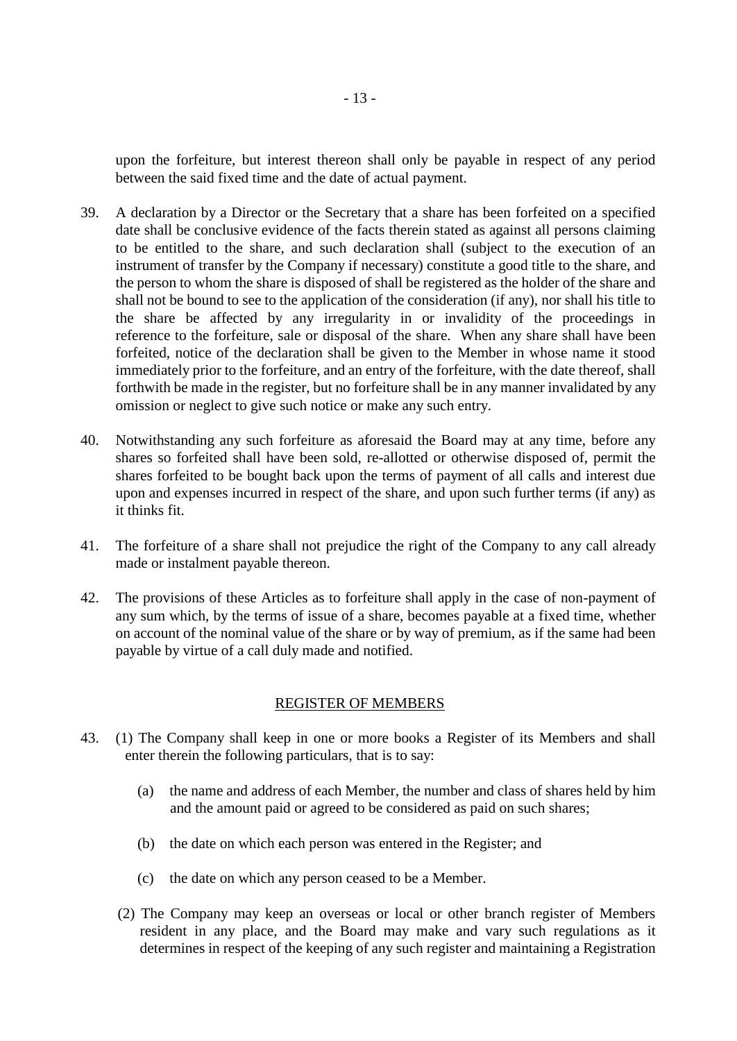upon the forfeiture, but interest thereon shall only be payable in respect of any period between the said fixed time and the date of actual payment.

- 39. A declaration by a Director or the Secretary that a share has been forfeited on a specified date shall be conclusive evidence of the facts therein stated as against all persons claiming to be entitled to the share, and such declaration shall (subject to the execution of an instrument of transfer by the Company if necessary) constitute a good title to the share, and the person to whom the share is disposed of shall be registered as the holder of the share and shall not be bound to see to the application of the consideration (if any), nor shall his title to the share be affected by any irregularity in or invalidity of the proceedings in reference to the forfeiture, sale or disposal of the share. When any share shall have been forfeited, notice of the declaration shall be given to the Member in whose name it stood immediately prior to the forfeiture, and an entry of the forfeiture, with the date thereof, shall forthwith be made in the register, but no forfeiture shall be in any manner invalidated by any omission or neglect to give such notice or make any such entry.
- 40. Notwithstanding any such forfeiture as aforesaid the Board may at any time, before any shares so forfeited shall have been sold, re-allotted or otherwise disposed of, permit the shares forfeited to be bought back upon the terms of payment of all calls and interest due upon and expenses incurred in respect of the share, and upon such further terms (if any) as it thinks fit.
- 41. The forfeiture of a share shall not prejudice the right of the Company to any call already made or instalment payable thereon.
- 42. The provisions of these Articles as to forfeiture shall apply in the case of non-payment of any sum which, by the terms of issue of a share, becomes payable at a fixed time, whether on account of the nominal value of the share or by way of premium, as if the same had been payable by virtue of a call duly made and notified.

## REGISTER OF MEMBERS

- 43. (1) The Company shall keep in one or more books a Register of its Members and shall enter therein the following particulars, that is to say:
	- (a) the name and address of each Member, the number and class of shares held by him and the amount paid or agreed to be considered as paid on such shares;
	- (b) the date on which each person was entered in the Register; and
	- (c) the date on which any person ceased to be a Member.
	- (2) The Company may keep an overseas or local or other branch register of Members resident in any place, and the Board may make and vary such regulations as it determines in respect of the keeping of any such register and maintaining a Registration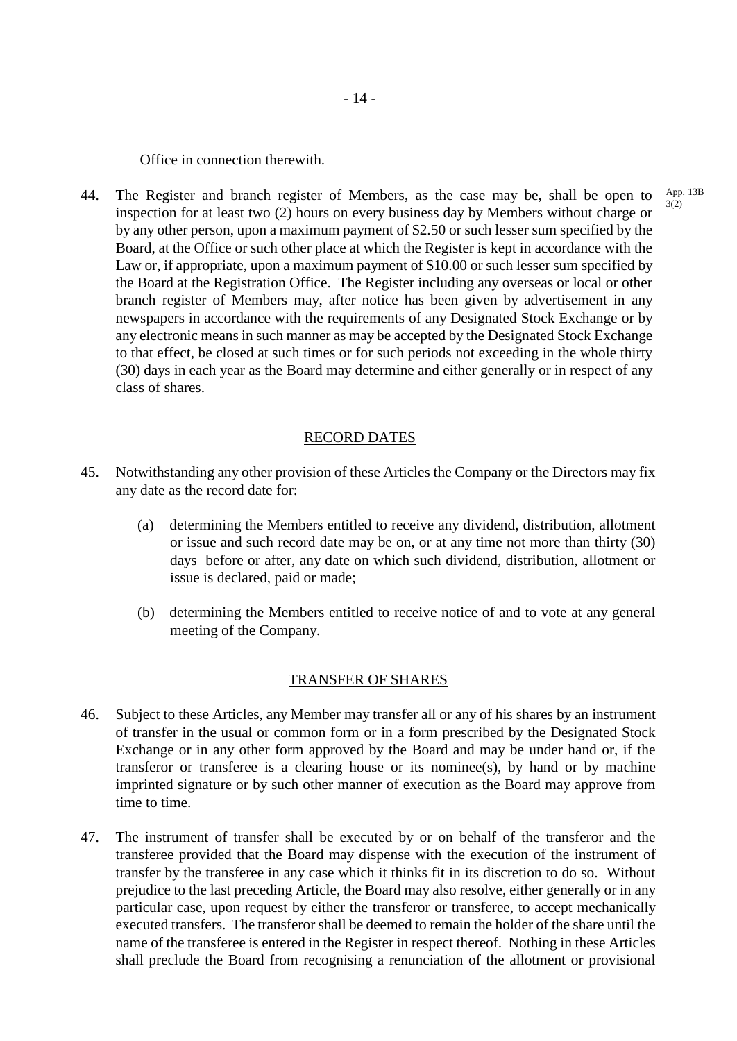Office in connection therewith.

44. The Register and branch register of Members, as the case may be, shall be open to inspection for at least two (2) hours on every business day by Members without charge or by any other person, upon a maximum payment of \$2.50 or such lesser sum specified by the Board, at the Office or such other place at which the Register is kept in accordance with the Law or, if appropriate, upon a maximum payment of \$10.00 or such lesser sum specified by the Board at the Registration Office. The Register including any overseas or local or other branch register of Members may, after notice has been given by advertisement in any newspapers in accordance with the requirements of any Designated Stock Exchange or by any electronic means in such manner as may be accepted by the Designated Stock Exchange to that effect, be closed at such times or for such periods not exceeding in the whole thirty (30) days in each year as the Board may determine and either generally or in respect of any class of shares.

#### RECORD DATES

- 45. Notwithstanding any other provision of these Articles the Company or the Directors may fix any date as the record date for:
	- (a) determining the Members entitled to receive any dividend, distribution, allotment or issue and such record date may be on, or at any time not more than thirty (30) days before or after, any date on which such dividend, distribution, allotment or issue is declared, paid or made;
	- (b) determining the Members entitled to receive notice of and to vote at any general meeting of the Company.

#### TRANSFER OF SHARES

- 46. Subject to these Articles, any Member may transfer all or any of his shares by an instrument of transfer in the usual or common form or in a form prescribed by the Designated Stock Exchange or in any other form approved by the Board and may be under hand or, if the transferor or transferee is a clearing house or its nominee(s), by hand or by machine imprinted signature or by such other manner of execution as the Board may approve from time to time.
- 47. The instrument of transfer shall be executed by or on behalf of the transferor and the transferee provided that the Board may dispense with the execution of the instrument of transfer by the transferee in any case which it thinks fit in its discretion to do so. Without prejudice to the last preceding Article, the Board may also resolve, either generally or in any particular case, upon request by either the transferor or transferee, to accept mechanically executed transfers. The transferor shall be deemed to remain the holder of the share until the name of the transferee is entered in the Register in respect thereof. Nothing in these Articles shall preclude the Board from recognising a renunciation of the allotment or provisional

App. 13B 3(2)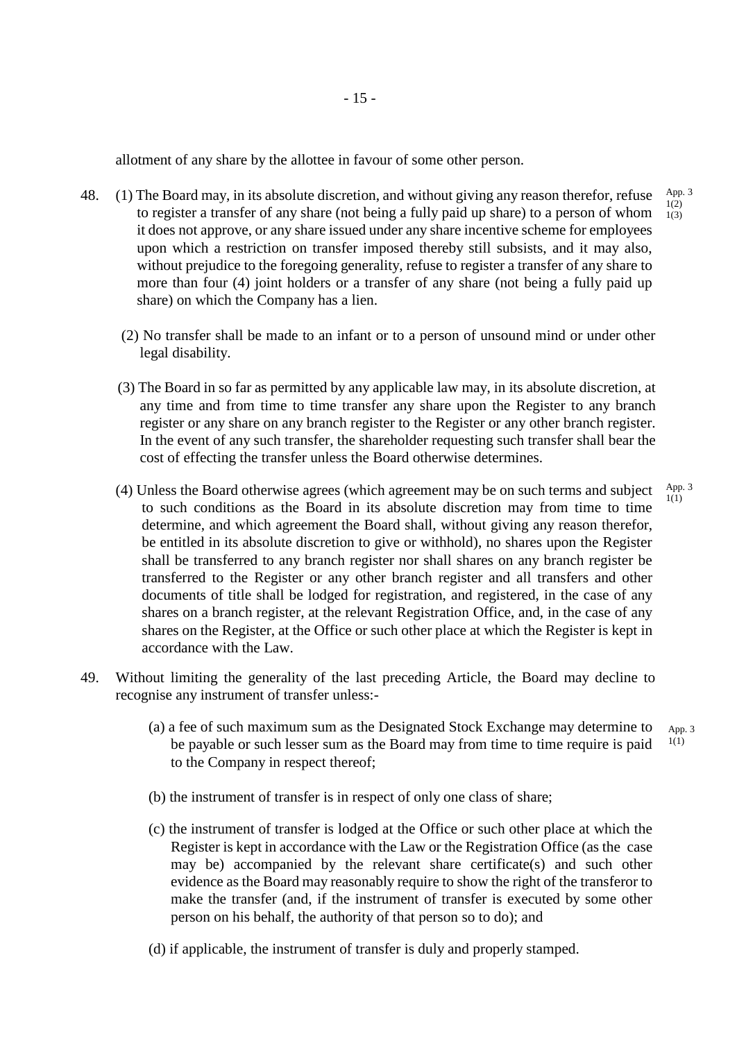allotment of any share by the allottee in favour of some other person.

- 48. (1) The Board may, in its absolute discretion, and without giving any reason therefor, refuse to register a transfer of any share (not being a fully paid up share) to a person of whom it does not approve, or any share issued under any share incentive scheme for employees upon which a restriction on transfer imposed thereby still subsists, and it may also, without prejudice to the foregoing generality, refuse to register a transfer of any share to more than four (4) joint holders or a transfer of any share (not being a fully paid up share) on which the Company has a lien.
	- (2) No transfer shall be made to an infant or to a person of unsound mind or under other legal disability.
	- (3) The Board in so far as permitted by any applicable law may, in its absolute discretion, at any time and from time to time transfer any share upon the Register to any branch register or any share on any branch register to the Register or any other branch register. In the event of any such transfer, the shareholder requesting such transfer shall bear the cost of effecting the transfer unless the Board otherwise determines.
	- (4) Unless the Board otherwise agrees (which agreement may be on such terms and subject to such conditions as the Board in its absolute discretion may from time to time determine, and which agreement the Board shall, without giving any reason therefor, be entitled in its absolute discretion to give or withhold), no shares upon the Register shall be transferred to any branch register nor shall shares on any branch register be transferred to the Register or any other branch register and all transfers and other documents of title shall be lodged for registration, and registered, in the case of any shares on a branch register, at the relevant Registration Office, and, in the case of any shares on the Register, at the Office or such other place at which the Register is kept in accordance with the Law.
- 49. Without limiting the generality of the last preceding Article, the Board may decline to recognise any instrument of transfer unless:-
	- (a) a fee of such maximum sum as the Designated Stock Exchange may determine to be payable or such lesser sum as the Board may from time to time require is paid to the Company in respect thereof; App. 3 1(1)
	- (b) the instrument of transfer is in respect of only one class of share;
	- (c) the instrument of transfer is lodged at the Office or such other place at which the Register is kept in accordance with the Law or the Registration Office (as the case may be) accompanied by the relevant share certificate(s) and such other evidence as the Board may reasonably require to show the right of the transferor to make the transfer (and, if the instrument of transfer is executed by some other person on his behalf, the authority of that person so to do); and
	- (d) if applicable, the instrument of transfer is duly and properly stamped.

App. 3 1(2) 1(3)

App. 3 1(1)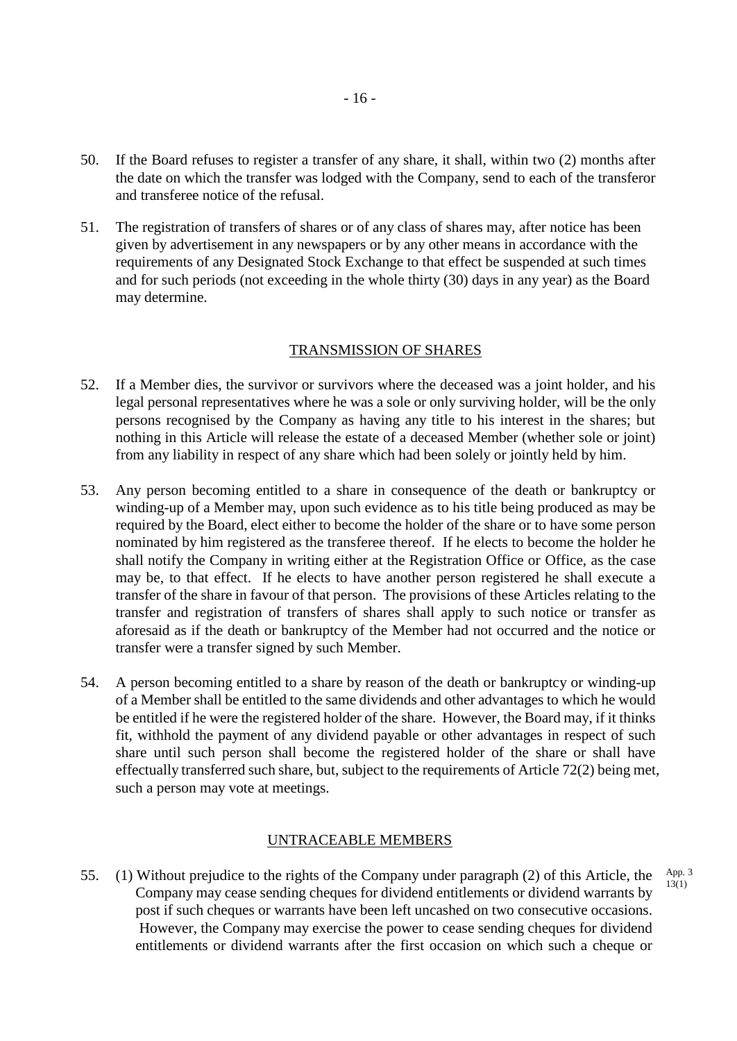- 50. If the Board refuses to register a transfer of any share, it shall, within two (2) months after the date on which the transfer was lodged with the Company, send to each of the transferor and transferee notice of the refusal.
- 51. The registration of transfers of shares or of any class of shares may, after notice has been given by advertisement in any newspapers or by any other means in accordance with the requirements of any Designated Stock Exchange to that effect be suspended at such times and for such periods (not exceeding in the whole thirty (30) days in any year) as the Board may determine.

#### TRANSMISSION OF SHARES

- 52. If a Member dies, the survivor or survivors where the deceased was a joint holder, and his legal personal representatives where he was a sole or only surviving holder, will be the only persons recognised by the Company as having any title to his interest in the shares; but nothing in this Article will release the estate of a deceased Member (whether sole or joint) from any liability in respect of any share which had been solely or jointly held by him.
- 53. Any person becoming entitled to a share in consequence of the death or bankruptcy or winding-up of a Member may, upon such evidence as to his title being produced as may be required by the Board, elect either to become the holder of the share or to have some person nominated by him registered as the transferee thereof. If he elects to become the holder he shall notify the Company in writing either at the Registration Office or Office, as the case may be, to that effect. If he elects to have another person registered he shall execute a transfer of the share in favour of that person. The provisions of these Articles relating to the transfer and registration of transfers of shares shall apply to such notice or transfer as aforesaid as if the death or bankruptcy of the Member had not occurred and the notice or transfer were a transfer signed by such Member.
- 54. A person becoming entitled to a share by reason of the death or bankruptcy or winding-up of a Member shall be entitled to the same dividends and other advantages to which he would be entitled if he were the registered holder of the share. However, the Board may, if it thinks fit, withhold the payment of any dividend payable or other advantages in respect of such share until such person shall become the registered holder of the share or shall have effectually transferred such share, but, subject to the requirements of Article 72(2) being met, such a person may vote at meetings.

#### UNTRACEABLE MEMBERS

55. (1) Without prejudice to the rights of the Company under paragraph (2) of this Article, the Company may cease sending cheques for dividend entitlements or dividend warrants by post if such cheques or warrants have been left uncashed on two consecutive occasions. However, the Company may exercise the power to cease sending cheques for dividend entitlements or dividend warrants after the first occasion on which such a cheque or App. 3 13(1)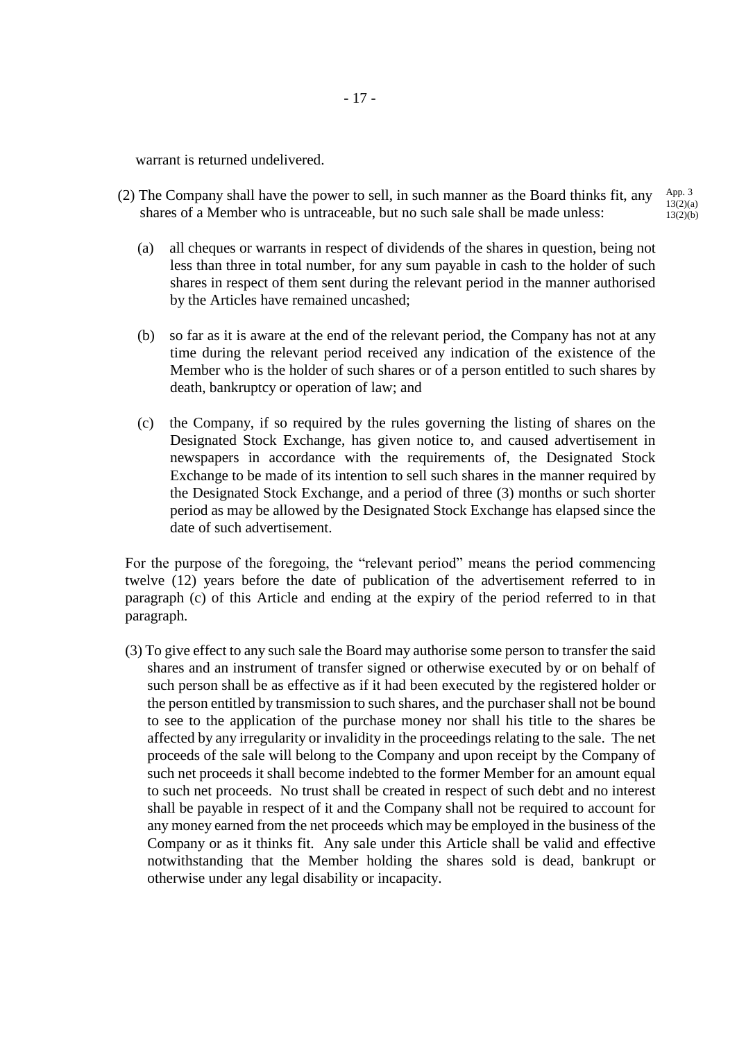warrant is returned undelivered.

- (2) The Company shall have the power to sell, in such manner as the Board thinks fit, any shares of a Member who is untraceable, but no such sale shall be made unless: App. 3 13(2)(a) 13(2)(b)
	- (a) all cheques or warrants in respect of dividends of the shares in question, being not less than three in total number, for any sum payable in cash to the holder of such shares in respect of them sent during the relevant period in the manner authorised by the Articles have remained uncashed;
	- (b) so far as it is aware at the end of the relevant period, the Company has not at any time during the relevant period received any indication of the existence of the Member who is the holder of such shares or of a person entitled to such shares by death, bankruptcy or operation of law; and
	- (c) the Company, if so required by the rules governing the listing of shares on the Designated Stock Exchange, has given notice to, and caused advertisement in newspapers in accordance with the requirements of, the Designated Stock Exchange to be made of its intention to sell such shares in the manner required by the Designated Stock Exchange, and a period of three (3) months or such shorter period as may be allowed by the Designated Stock Exchange has elapsed since the date of such advertisement.

For the purpose of the foregoing, the "relevant period" means the period commencing twelve (12) years before the date of publication of the advertisement referred to in paragraph (c) of this Article and ending at the expiry of the period referred to in that paragraph.

(3) To give effect to any such sale the Board may authorise some person to transfer the said shares and an instrument of transfer signed or otherwise executed by or on behalf of such person shall be as effective as if it had been executed by the registered holder or the person entitled by transmission to such shares, and the purchaser shall not be bound to see to the application of the purchase money nor shall his title to the shares be affected by any irregularity or invalidity in the proceedings relating to the sale. The net proceeds of the sale will belong to the Company and upon receipt by the Company of such net proceeds it shall become indebted to the former Member for an amount equal to such net proceeds. No trust shall be created in respect of such debt and no interest shall be payable in respect of it and the Company shall not be required to account for any money earned from the net proceeds which may be employed in the business of the Company or as it thinks fit. Any sale under this Article shall be valid and effective notwithstanding that the Member holding the shares sold is dead, bankrupt or otherwise under any legal disability or incapacity.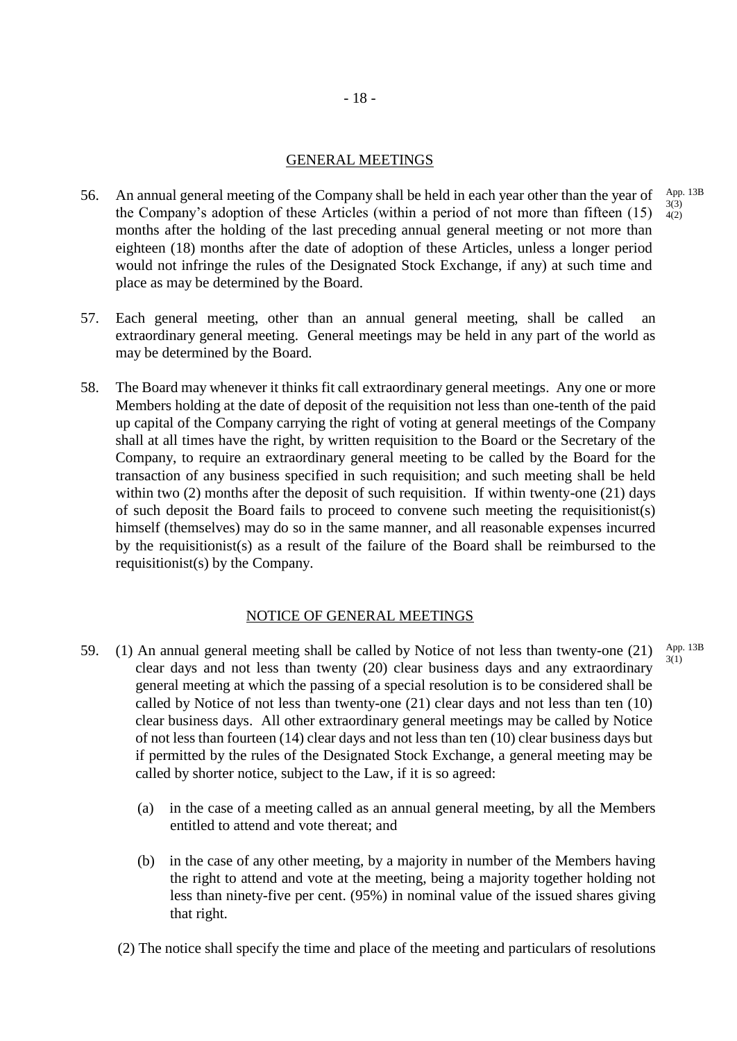## GENERAL MEETINGS

- 56. An annual general meeting of the Company shall be held in each year other than the year of the Company's adoption of these Articles (within a period of not more than fifteen (15) months after the holding of the last preceding annual general meeting or not more than eighteen (18) months after the date of adoption of these Articles, unless a longer period would not infringe the rules of the Designated Stock Exchange, if any) at such time and place as may be determined by the Board. App. 13B 3(3) 4(2)
- 57. Each general meeting, other than an annual general meeting, shall be called an extraordinary general meeting. General meetings may be held in any part of the world as may be determined by the Board.
- 58. The Board may whenever it thinks fit call extraordinary general meetings. Any one or more Members holding at the date of deposit of the requisition not less than one-tenth of the paid up capital of the Company carrying the right of voting at general meetings of the Company shall at all times have the right, by written requisition to the Board or the Secretary of the Company, to require an extraordinary general meeting to be called by the Board for the transaction of any business specified in such requisition; and such meeting shall be held within two (2) months after the deposit of such requisition. If within twenty-one (21) days of such deposit the Board fails to proceed to convene such meeting the requisitionist(s) himself (themselves) may do so in the same manner, and all reasonable expenses incurred by the requisitionist(s) as a result of the failure of the Board shall be reimbursed to the requisitionist(s) by the Company.

## NOTICE OF GENERAL MEETINGS

- 59. (1) An annual general meeting shall be called by Notice of not less than twenty-one (21) clear days and not less than twenty (20) clear business days and any extraordinary general meeting at which the passing of a special resolution is to be considered shall be called by Notice of not less than twenty-one (21) clear days and not less than ten (10) clear business days. All other extraordinary general meetings may be called by Notice of not less than fourteen (14) clear days and not less than ten (10) clear business days but if permitted by the rules of the Designated Stock Exchange, a general meeting may be called by shorter notice, subject to the Law, if it is so agreed:
	- (a) in the case of a meeting called as an annual general meeting, by all the Members entitled to attend and vote thereat; and
	- (b) in the case of any other meeting, by a majority in number of the Members having the right to attend and vote at the meeting, being a majority together holding not less than ninety-five per cent. (95%) in nominal value of the issued shares giving that right.
	- (2) The notice shall specify the time and place of the meeting and particulars of resolutions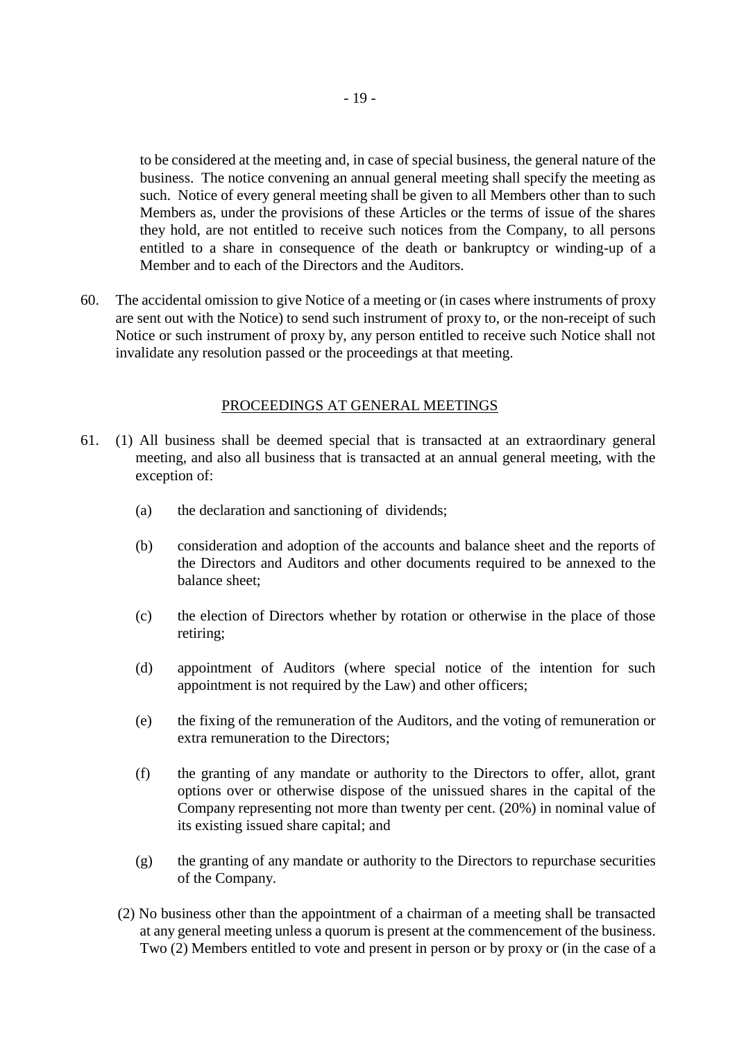to be considered at the meeting and, in case of special business, the general nature of the business. The notice convening an annual general meeting shall specify the meeting as such. Notice of every general meeting shall be given to all Members other than to such Members as, under the provisions of these Articles or the terms of issue of the shares they hold, are not entitled to receive such notices from the Company, to all persons entitled to a share in consequence of the death or bankruptcy or winding-up of a Member and to each of the Directors and the Auditors.

60. The accidental omission to give Notice of a meeting or (in cases where instruments of proxy are sent out with the Notice) to send such instrument of proxy to, or the non-receipt of such Notice or such instrument of proxy by, any person entitled to receive such Notice shall not invalidate any resolution passed or the proceedings at that meeting.

### PROCEEDINGS AT GENERAL MEETINGS

- 61. (1) All business shall be deemed special that is transacted at an extraordinary general meeting, and also all business that is transacted at an annual general meeting, with the exception of:
	- (a) the declaration and sanctioning of dividends;
	- (b) consideration and adoption of the accounts and balance sheet and the reports of the Directors and Auditors and other documents required to be annexed to the balance sheet;
	- (c) the election of Directors whether by rotation or otherwise in the place of those retiring;
	- (d) appointment of Auditors (where special notice of the intention for such appointment is not required by the Law) and other officers;
	- (e) the fixing of the remuneration of the Auditors, and the voting of remuneration or extra remuneration to the Directors;
	- (f) the granting of any mandate or authority to the Directors to offer, allot, grant options over or otherwise dispose of the unissued shares in the capital of the Company representing not more than twenty per cent. (20%) in nominal value of its existing issued share capital; and
	- (g) the granting of any mandate or authority to the Directors to repurchase securities of the Company.
	- (2) No business other than the appointment of a chairman of a meeting shall be transacted at any general meeting unless a quorum is present at the commencement of the business. Two (2) Members entitled to vote and present in person or by proxy or (in the case of a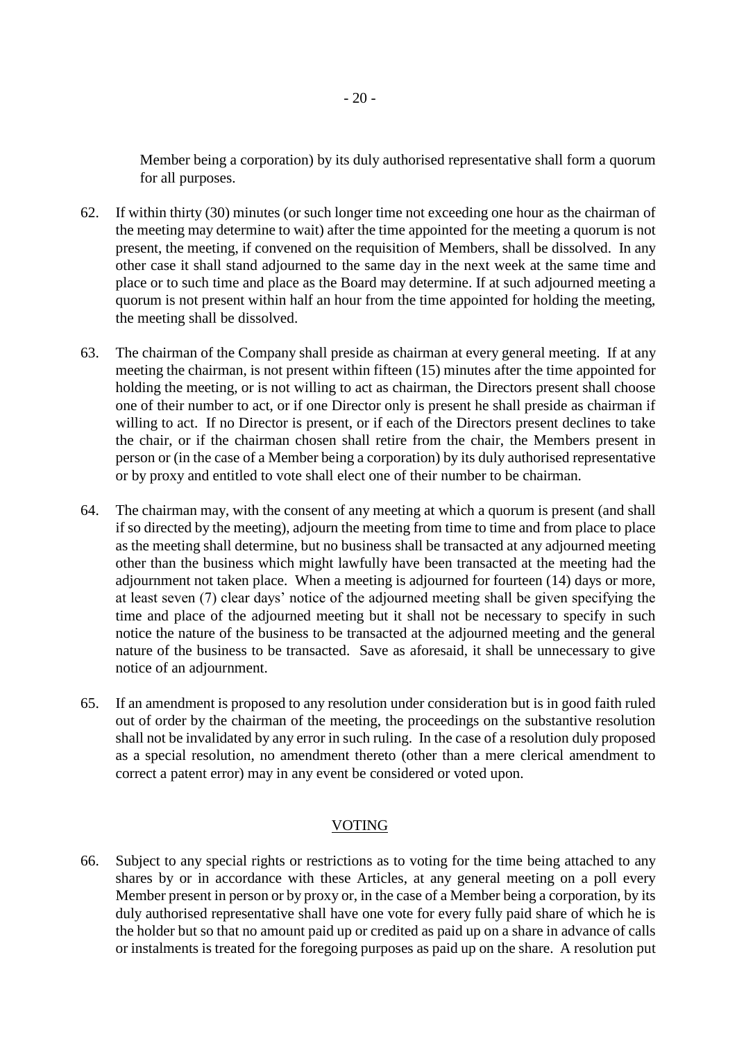Member being a corporation) by its duly authorised representative shall form a quorum for all purposes.

- 62. If within thirty (30) minutes (or such longer time not exceeding one hour as the chairman of the meeting may determine to wait) after the time appointed for the meeting a quorum is not present, the meeting, if convened on the requisition of Members, shall be dissolved. In any other case it shall stand adjourned to the same day in the next week at the same time and place or to such time and place as the Board may determine. If at such adjourned meeting a quorum is not present within half an hour from the time appointed for holding the meeting, the meeting shall be dissolved.
- 63. The chairman of the Company shall preside as chairman at every general meeting. If at any meeting the chairman, is not present within fifteen (15) minutes after the time appointed for holding the meeting, or is not willing to act as chairman, the Directors present shall choose one of their number to act, or if one Director only is present he shall preside as chairman if willing to act. If no Director is present, or if each of the Directors present declines to take the chair, or if the chairman chosen shall retire from the chair, the Members present in person or (in the case of a Member being a corporation) by its duly authorised representative or by proxy and entitled to vote shall elect one of their number to be chairman.
- 64. The chairman may, with the consent of any meeting at which a quorum is present (and shall if so directed by the meeting), adjourn the meeting from time to time and from place to place as the meeting shall determine, but no business shall be transacted at any adjourned meeting other than the business which might lawfully have been transacted at the meeting had the adjournment not taken place. When a meeting is adjourned for fourteen (14) days or more, at least seven (7) clear days' notice of the adjourned meeting shall be given specifying the time and place of the adjourned meeting but it shall not be necessary to specify in such notice the nature of the business to be transacted at the adjourned meeting and the general nature of the business to be transacted. Save as aforesaid, it shall be unnecessary to give notice of an adjournment.
- 65. If an amendment is proposed to any resolution under consideration but is in good faith ruled out of order by the chairman of the meeting, the proceedings on the substantive resolution shall not be invalidated by any error in such ruling. In the case of a resolution duly proposed as a special resolution, no amendment thereto (other than a mere clerical amendment to correct a patent error) may in any event be considered or voted upon.

## VOTING

66. Subject to any special rights or restrictions as to voting for the time being attached to any shares by or in accordance with these Articles, at any general meeting on a poll every Member present in person or by proxy or, in the case of a Member being a corporation, by its duly authorised representative shall have one vote for every fully paid share of which he is the holder but so that no amount paid up or credited as paid up on a share in advance of calls or instalments is treated for the foregoing purposes as paid up on the share. A resolution put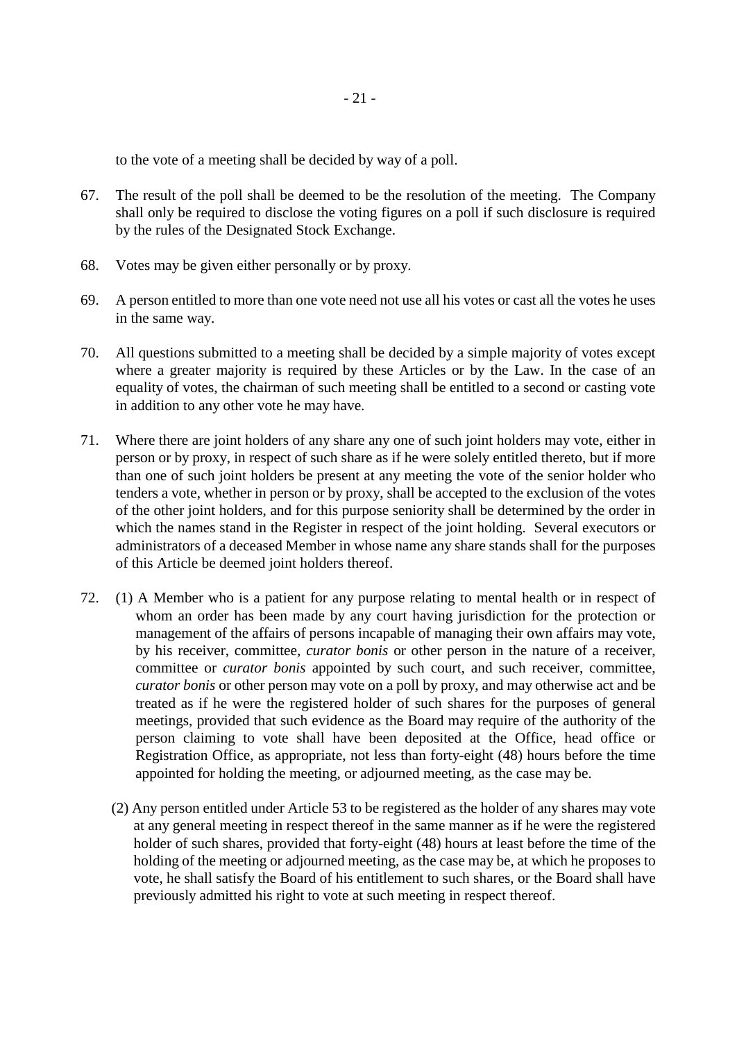to the vote of a meeting shall be decided by way of a poll.

- 67. The result of the poll shall be deemed to be the resolution of the meeting. The Company shall only be required to disclose the voting figures on a poll if such disclosure is required by the rules of the Designated Stock Exchange.
- 68. Votes may be given either personally or by proxy.
- 69. A person entitled to more than one vote need not use all his votes or cast all the votes he uses in the same way.
- 70. All questions submitted to a meeting shall be decided by a simple majority of votes except where a greater majority is required by these Articles or by the Law. In the case of an equality of votes, the chairman of such meeting shall be entitled to a second or casting vote in addition to any other vote he may have.
- 71. Where there are joint holders of any share any one of such joint holders may vote, either in person or by proxy, in respect of such share as if he were solely entitled thereto, but if more than one of such joint holders be present at any meeting the vote of the senior holder who tenders a vote, whether in person or by proxy, shall be accepted to the exclusion of the votes of the other joint holders, and for this purpose seniority shall be determined by the order in which the names stand in the Register in respect of the joint holding. Several executors or administrators of a deceased Member in whose name any share stands shall for the purposes of this Article be deemed joint holders thereof.
- 72. (1) A Member who is a patient for any purpose relating to mental health or in respect of whom an order has been made by any court having jurisdiction for the protection or management of the affairs of persons incapable of managing their own affairs may vote, by his receiver, committee, *curator bonis* or other person in the nature of a receiver, committee or *curator bonis* appointed by such court, and such receiver, committee, *curator bonis* or other person may vote on a poll by proxy, and may otherwise act and be treated as if he were the registered holder of such shares for the purposes of general meetings, provided that such evidence as the Board may require of the authority of the person claiming to vote shall have been deposited at the Office, head office or Registration Office, as appropriate, not less than forty-eight (48) hours before the time appointed for holding the meeting, or adjourned meeting, as the case may be.
	- (2) Any person entitled under Article 53 to be registered as the holder of any shares may vote at any general meeting in respect thereof in the same manner as if he were the registered holder of such shares, provided that forty-eight (48) hours at least before the time of the holding of the meeting or adjourned meeting, as the case may be, at which he proposes to vote, he shall satisfy the Board of his entitlement to such shares, or the Board shall have previously admitted his right to vote at such meeting in respect thereof.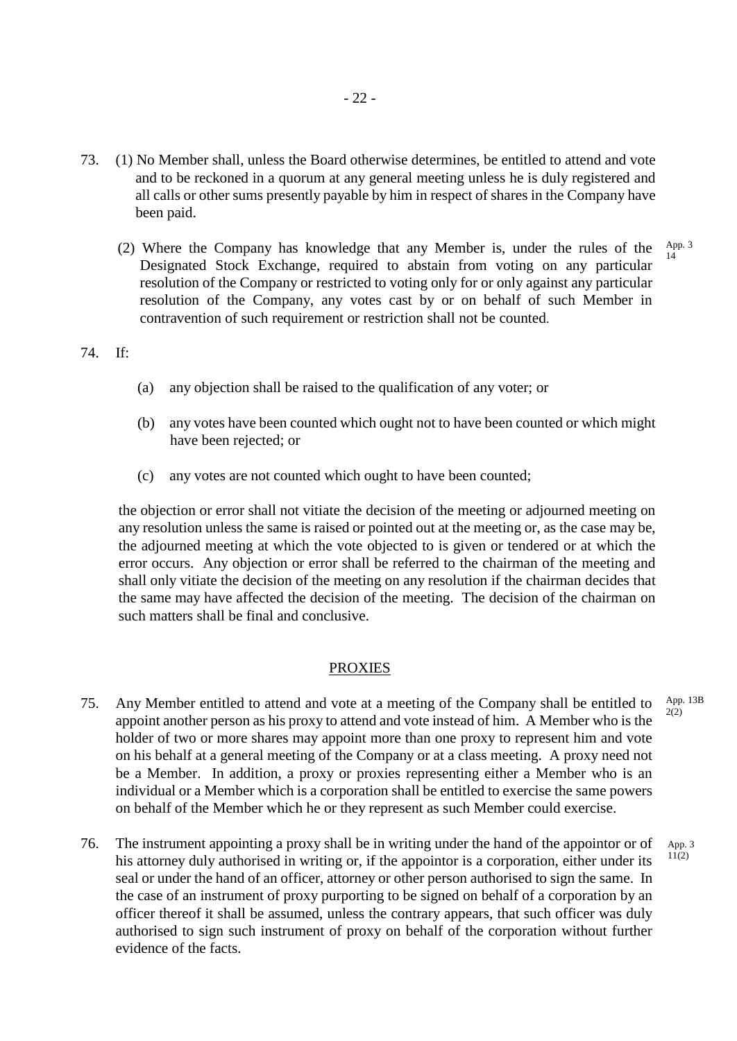- 73. (1) No Member shall, unless the Board otherwise determines, be entitled to attend and vote and to be reckoned in a quorum at any general meeting unless he is duly registered and all calls or other sums presently payable by him in respect of shares in the Company have been paid.
	- (2) Where the Company has knowledge that any Member is, under the rules of the Designated Stock Exchange, required to abstain from voting on any particular resolution of the Company or restricted to voting only for or only against any particular resolution of the Company, any votes cast by or on behalf of such Member in contravention of such requirement or restriction shall not be counted. 14

#### 74. If:

- (a) any objection shall be raised to the qualification of any voter; or
- (b) any votes have been counted which ought not to have been counted or which might have been rejected; or
- (c) any votes are not counted which ought to have been counted;

the objection or error shall not vitiate the decision of the meeting or adjourned meeting on any resolution unless the same is raised or pointed out at the meeting or, as the case may be, the adjourned meeting at which the vote objected to is given or tendered or at which the error occurs. Any objection or error shall be referred to the chairman of the meeting and shall only vitiate the decision of the meeting on any resolution if the chairman decides that the same may have affected the decision of the meeting. The decision of the chairman on such matters shall be final and conclusive.

#### PROXIES

- 75. Any Member entitled to attend and vote at a meeting of the Company shall be entitled to appoint another person as his proxy to attend and vote instead of him. A Member who is the holder of two or more shares may appoint more than one proxy to represent him and vote on his behalf at a general meeting of the Company or at a class meeting. A proxy need not be a Member. In addition, a proxy or proxies representing either a Member who is an individual or a Member which is a corporation shall be entitled to exercise the same powers on behalf of the Member which he or they represent as such Member could exercise.  $2(2)$
- 76. The instrument appointing a proxy shall be in writing under the hand of the appointor or of his attorney duly authorised in writing or, if the appointor is a corporation, either under its seal or under the hand of an officer, attorney or other person authorised to sign the same. In the case of an instrument of proxy purporting to be signed on behalf of a corporation by an officer thereof it shall be assumed, unless the contrary appears, that such officer was duly authorised to sign such instrument of proxy on behalf of the corporation without further evidence of the facts. App. 3 11(2)

App. 13B

App. 3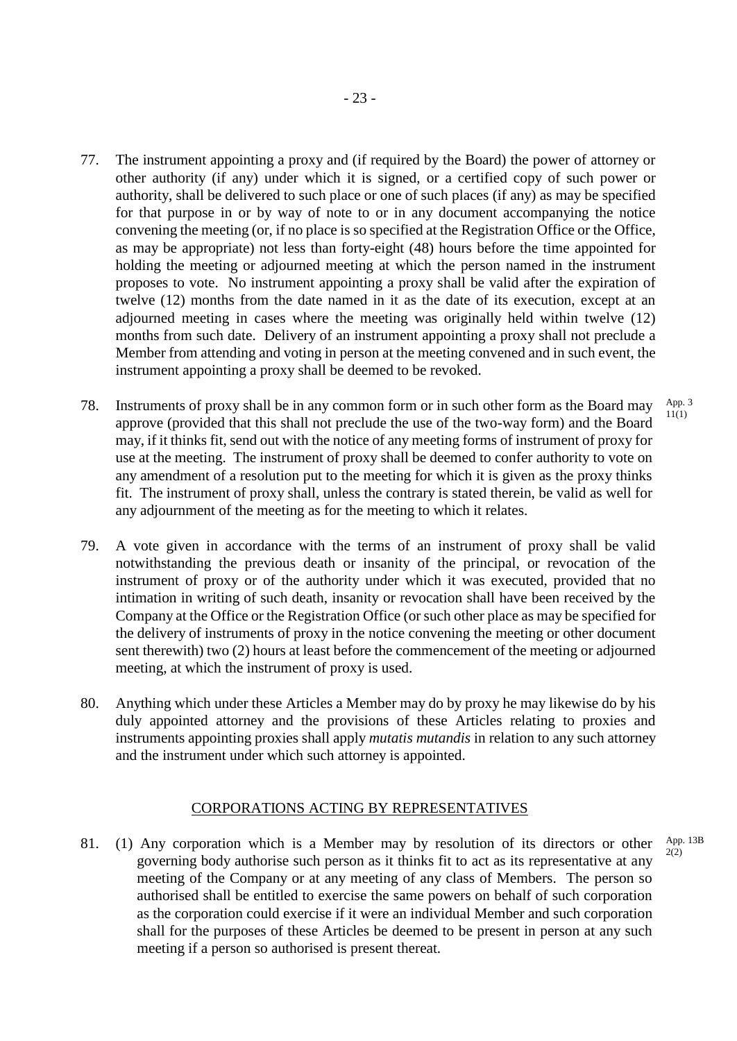- 77. The instrument appointing a proxy and (if required by the Board) the power of attorney or other authority (if any) under which it is signed, or a certified copy of such power or authority, shall be delivered to such place or one of such places (if any) as may be specified for that purpose in or by way of note to or in any document accompanying the notice convening the meeting (or, if no place is so specified at the Registration Office or the Office, as may be appropriate) not less than forty-eight (48) hours before the time appointed for holding the meeting or adjourned meeting at which the person named in the instrument proposes to vote. No instrument appointing a proxy shall be valid after the expiration of twelve (12) months from the date named in it as the date of its execution, except at an adjourned meeting in cases where the meeting was originally held within twelve (12) months from such date. Delivery of an instrument appointing a proxy shall not preclude a Member from attending and voting in person at the meeting convened and in such event, the instrument appointing a proxy shall be deemed to be revoked.
- 78. Instruments of proxy shall be in any common form or in such other form as the Board may approve (provided that this shall not preclude the use of the two-way form) and the Board may, if it thinks fit, send out with the notice of any meeting forms of instrument of proxy for use at the meeting. The instrument of proxy shall be deemed to confer authority to vote on any amendment of a resolution put to the meeting for which it is given as the proxy thinks fit. The instrument of proxy shall, unless the contrary is stated therein, be valid as well for any adjournment of the meeting as for the meeting to which it relates. App. 3  $11(1)$
- 79. A vote given in accordance with the terms of an instrument of proxy shall be valid notwithstanding the previous death or insanity of the principal, or revocation of the instrument of proxy or of the authority under which it was executed, provided that no intimation in writing of such death, insanity or revocation shall have been received by the Company at the Office or the Registration Office (or such other place as may be specified for the delivery of instruments of proxy in the notice convening the meeting or other document sent therewith) two (2) hours at least before the commencement of the meeting or adjourned meeting, at which the instrument of proxy is used.
- 80. Anything which under these Articles a Member may do by proxy he may likewise do by his duly appointed attorney and the provisions of these Articles relating to proxies and instruments appointing proxies shall apply *mutatis mutandis* in relation to any such attorney and the instrument under which such attorney is appointed.

## CORPORATIONS ACTING BY REPRESENTATIVES

81. (1) Any corporation which is a Member may by resolution of its directors or other governing body authorise such person as it thinks fit to act as its representative at any meeting of the Company or at any meeting of any class of Members. The person so authorised shall be entitled to exercise the same powers on behalf of such corporation as the corporation could exercise if it were an individual Member and such corporation shall for the purposes of these Articles be deemed to be present in person at any such meeting if a person so authorised is present thereat. App. 13B  $2(2)$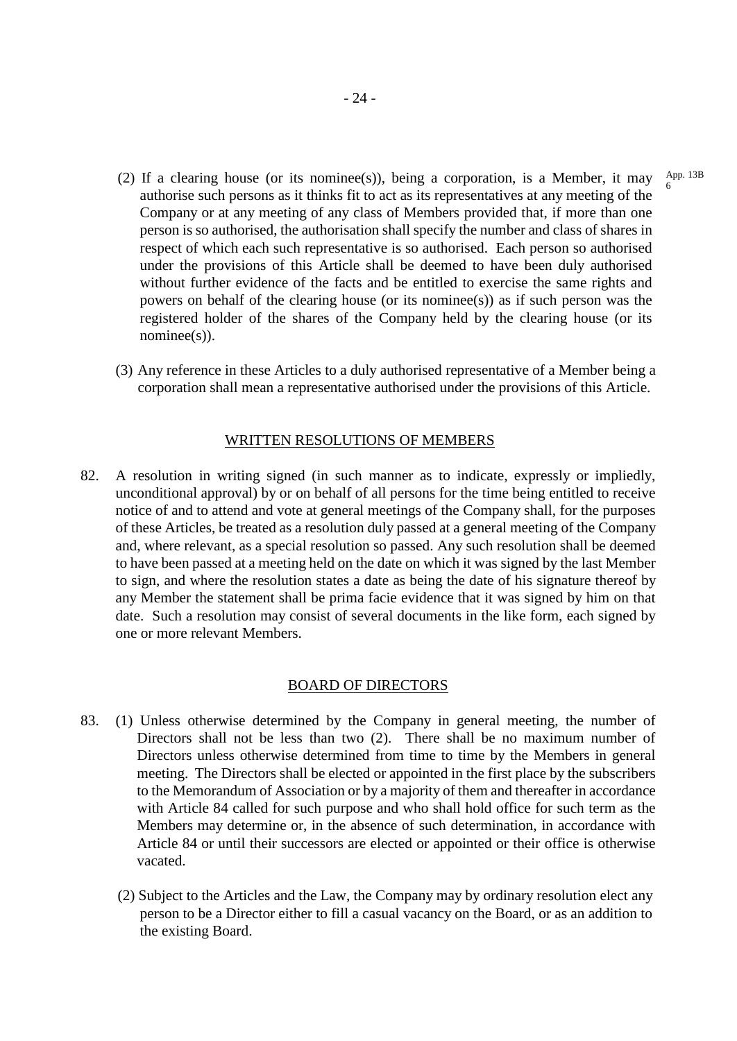- (2) If a clearing house (or its nominee(s)), being a corporation, is a Member, it may authorise such persons as it thinks fit to act as its representatives at any meeting of the Company or at any meeting of any class of Members provided that, if more than one person is so authorised, the authorisation shall specify the number and class of shares in respect of which each such representative is so authorised. Each person so authorised under the provisions of this Article shall be deemed to have been duly authorised without further evidence of the facts and be entitled to exercise the same rights and powers on behalf of the clearing house (or its nominee(s)) as if such person was the registered holder of the shares of the Company held by the clearing house (or its nominee(s)).
- (3) Any reference in these Articles to a duly authorised representative of a Member being a corporation shall mean a representative authorised under the provisions of this Article.

#### WRITTEN RESOLUTIONS OF MEMBERS

82. A resolution in writing signed (in such manner as to indicate, expressly or impliedly, unconditional approval) by or on behalf of all persons for the time being entitled to receive notice of and to attend and vote at general meetings of the Company shall, for the purposes of these Articles, be treated as a resolution duly passed at a general meeting of the Company and, where relevant, as a special resolution so passed. Any such resolution shall be deemed to have been passed at a meeting held on the date on which it was signed by the last Member to sign, and where the resolution states a date as being the date of his signature thereof by any Member the statement shall be prima facie evidence that it was signed by him on that date. Such a resolution may consist of several documents in the like form, each signed by one or more relevant Members.

#### BOARD OF DIRECTORS

- 83. (1) Unless otherwise determined by the Company in general meeting, the number of Directors shall not be less than two (2). There shall be no maximum number of Directors unless otherwise determined from time to time by the Members in general meeting. The Directors shall be elected or appointed in the first place by the subscribers to the Memorandum of Association or by a majority of them and thereafter in accordance with Article 84 called for such purpose and who shall hold office for such term as the Members may determine or, in the absence of such determination, in accordance with Article 84 or until their successors are elected or appointed or their office is otherwise vacated.
	- (2) Subject to the Articles and the Law, the Company may by ordinary resolution elect any person to be a Director either to fill a casual vacancy on the Board, or as an addition to the existing Board.

App. 13B 6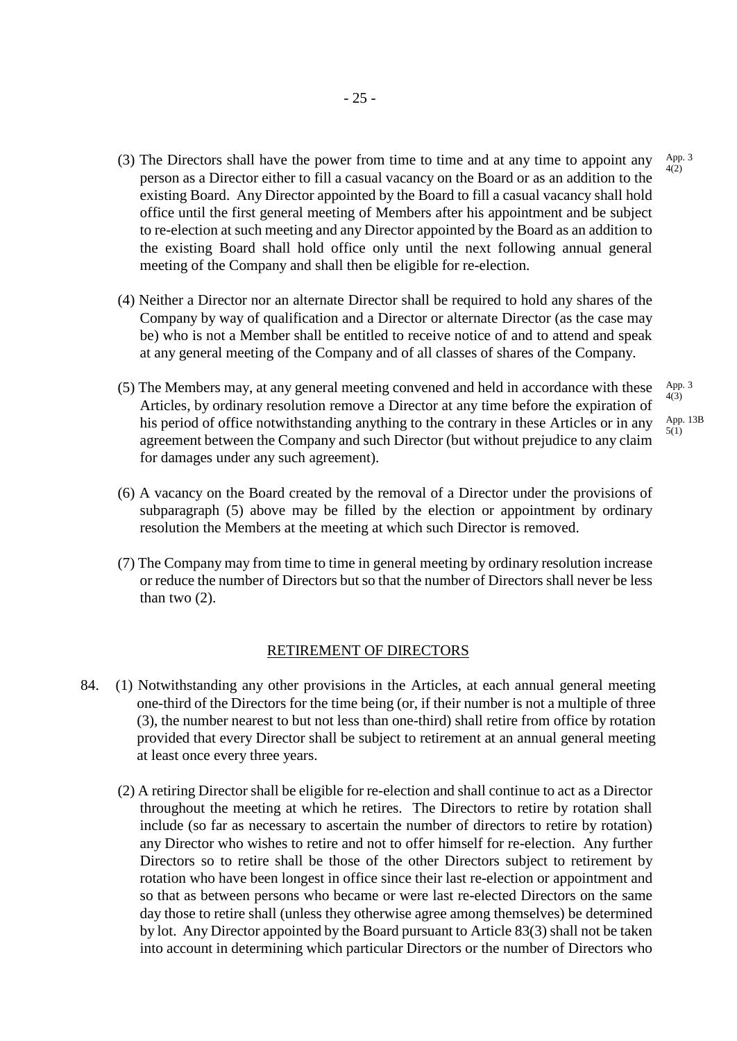- (3) The Directors shall have the power from time to time and at any time to appoint any person as a Director either to fill a casual vacancy on the Board or as an addition to the existing Board. Any Director appointed by the Board to fill a casual vacancy shall hold office until the first general meeting of Members after his appointment and be subject to re-election at such meeting and any Director appointed by the Board as an addition to the existing Board shall hold office only until the next following annual general meeting of the Company and shall then be eligible for re-election. App. 3  $4(2)$
- (4) Neither a Director nor an alternate Director shall be required to hold any shares of the Company by way of qualification and a Director or alternate Director (as the case may be) who is not a Member shall be entitled to receive notice of and to attend and speak at any general meeting of the Company and of all classes of shares of the Company.
- (5) The Members may, at any general meeting convened and held in accordance with these Articles, by ordinary resolution remove a Director at any time before the expiration of his period of office notwithstanding anything to the contrary in these Articles or in any agreement between the Company and such Director (but without prejudice to any claim for damages under any such agreement). App. 3 4(3)
	- App. 13B 5(1)
- (6) A vacancy on the Board created by the removal of a Director under the provisions of subparagraph (5) above may be filled by the election or appointment by ordinary resolution the Members at the meeting at which such Director is removed.
- (7) The Company may from time to time in general meeting by ordinary resolution increase or reduce the number of Directors but so that the number of Directors shall never be less than two (2).

#### RETIREMENT OF DIRECTORS

- 84. (1) Notwithstanding any other provisions in the Articles, at each annual general meeting one-third of the Directors for the time being (or, if their number is not a multiple of three (3), the number nearest to but not less than one-third) shall retire from office by rotation provided that every Director shall be subject to retirement at an annual general meeting at least once every three years.
	- (2) A retiring Director shall be eligible for re-election and shall continue to act as a Director throughout the meeting at which he retires. The Directors to retire by rotation shall include (so far as necessary to ascertain the number of directors to retire by rotation) any Director who wishes to retire and not to offer himself for re-election. Any further Directors so to retire shall be those of the other Directors subject to retirement by rotation who have been longest in office since their last re-election or appointment and so that as between persons who became or were last re-elected Directors on the same day those to retire shall (unless they otherwise agree among themselves) be determined by lot. Any Director appointed by the Board pursuant to Article 83(3) shall not be taken into account in determining which particular Directors or the number of Directors who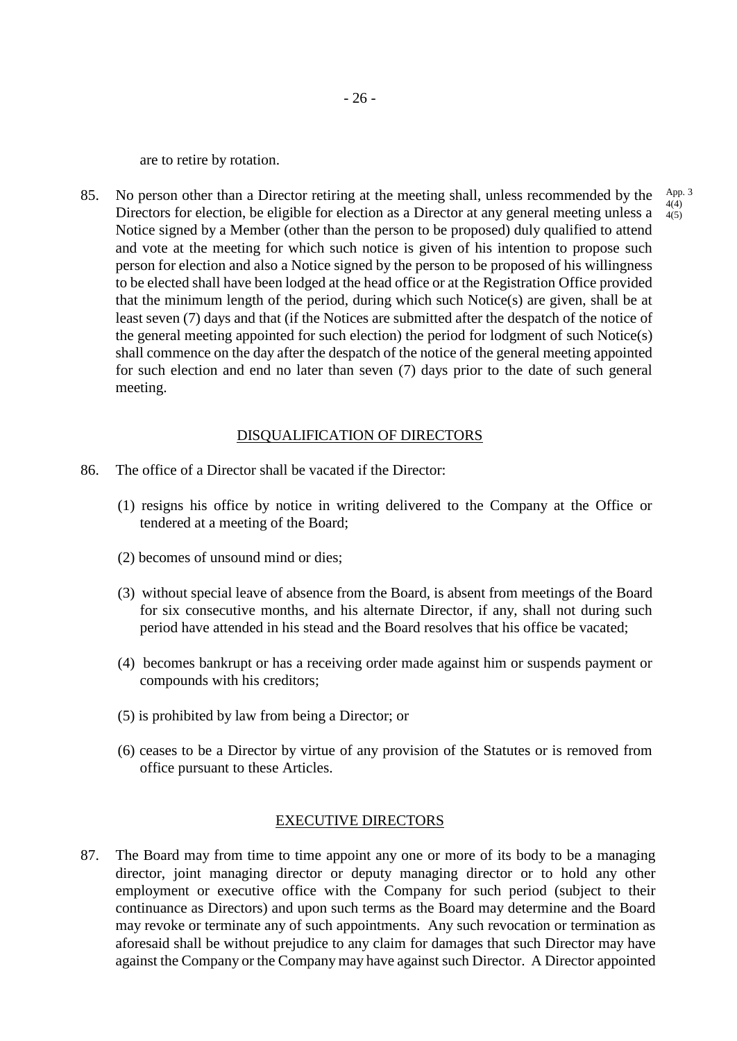are to retire by rotation.

85. No person other than a Director retiring at the meeting shall, unless recommended by the Directors for election, be eligible for election as a Director at any general meeting unless a Notice signed by a Member (other than the person to be proposed) duly qualified to attend and vote at the meeting for which such notice is given of his intention to propose such person for election and also a Notice signed by the person to be proposed of his willingness to be elected shall have been lodged at the head office or at the Registration Office provided that the minimum length of the period, during which such Notice(s) are given, shall be at least seven (7) days and that (if the Notices are submitted after the despatch of the notice of the general meeting appointed for such election) the period for lodgment of such Notice(s) shall commence on the day after the despatch of the notice of the general meeting appointed for such election and end no later than seven (7) days prior to the date of such general meeting.

### DISQUALIFICATION OF DIRECTORS

- 86. The office of a Director shall be vacated if the Director:
	- (1) resigns his office by notice in writing delivered to the Company at the Office or tendered at a meeting of the Board;
	- (2) becomes of unsound mind or dies;
	- (3) without special leave of absence from the Board, is absent from meetings of the Board for six consecutive months, and his alternate Director, if any, shall not during such period have attended in his stead and the Board resolves that his office be vacated;
	- (4) becomes bankrupt or has a receiving order made against him or suspends payment or compounds with his creditors;
	- (5) is prohibited by law from being a Director; or
	- (6) ceases to be a Director by virtue of any provision of the Statutes or is removed from office pursuant to these Articles.

#### EXECUTIVE DIRECTORS

87. The Board may from time to time appoint any one or more of its body to be a managing director, joint managing director or deputy managing director or to hold any other employment or executive office with the Company for such period (subject to their continuance as Directors) and upon such terms as the Board may determine and the Board may revoke or terminate any of such appointments. Any such revocation or termination as aforesaid shall be without prejudice to any claim for damages that such Director may have against the Company or the Company may have against such Director. A Director appointed

App. 3 4(4)  $4(5)$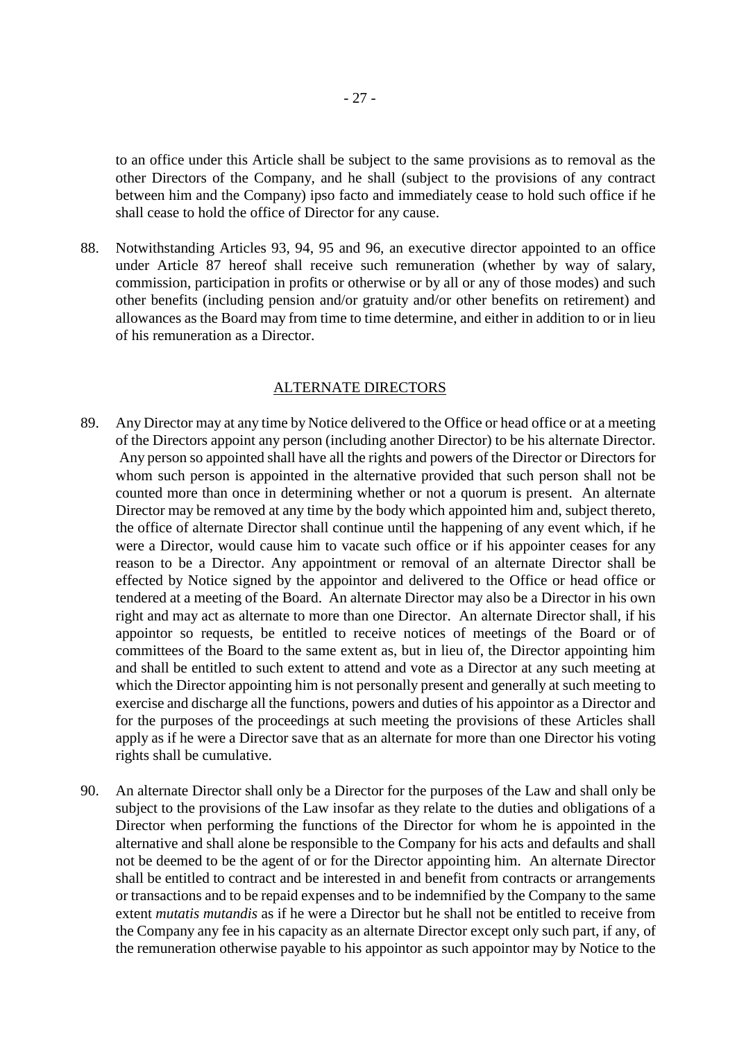to an office under this Article shall be subject to the same provisions as to removal as the other Directors of the Company, and he shall (subject to the provisions of any contract between him and the Company) ipso facto and immediately cease to hold such office if he shall cease to hold the office of Director for any cause.

88. Notwithstanding Articles 93, 94, 95 and 96, an executive director appointed to an office under Article 87 hereof shall receive such remuneration (whether by way of salary, commission, participation in profits or otherwise or by all or any of those modes) and such other benefits (including pension and/or gratuity and/or other benefits on retirement) and allowances as the Board may from time to time determine, and either in addition to or in lieu of his remuneration as a Director.

#### ALTERNATE DIRECTORS

- 89. Any Director may at any time by Notice delivered to the Office or head office or at a meeting of the Directors appoint any person (including another Director) to be his alternate Director. Any person so appointed shall have all the rights and powers of the Director or Directors for whom such person is appointed in the alternative provided that such person shall not be counted more than once in determining whether or not a quorum is present. An alternate Director may be removed at any time by the body which appointed him and, subject thereto, the office of alternate Director shall continue until the happening of any event which, if he were a Director, would cause him to vacate such office or if his appointer ceases for any reason to be a Director. Any appointment or removal of an alternate Director shall be effected by Notice signed by the appointor and delivered to the Office or head office or tendered at a meeting of the Board. An alternate Director may also be a Director in his own right and may act as alternate to more than one Director. An alternate Director shall, if his appointor so requests, be entitled to receive notices of meetings of the Board or of committees of the Board to the same extent as, but in lieu of, the Director appointing him and shall be entitled to such extent to attend and vote as a Director at any such meeting at which the Director appointing him is not personally present and generally at such meeting to exercise and discharge all the functions, powers and duties of his appointor as a Director and for the purposes of the proceedings at such meeting the provisions of these Articles shall apply as if he were a Director save that as an alternate for more than one Director his voting rights shall be cumulative.
- 90. An alternate Director shall only be a Director for the purposes of the Law and shall only be subject to the provisions of the Law insofar as they relate to the duties and obligations of a Director when performing the functions of the Director for whom he is appointed in the alternative and shall alone be responsible to the Company for his acts and defaults and shall not be deemed to be the agent of or for the Director appointing him. An alternate Director shall be entitled to contract and be interested in and benefit from contracts or arrangements or transactions and to be repaid expenses and to be indemnified by the Company to the same extent *mutatis mutandis* as if he were a Director but he shall not be entitled to receive from the Company any fee in his capacity as an alternate Director except only such part, if any, of the remuneration otherwise payable to his appointor as such appointor may by Notice to the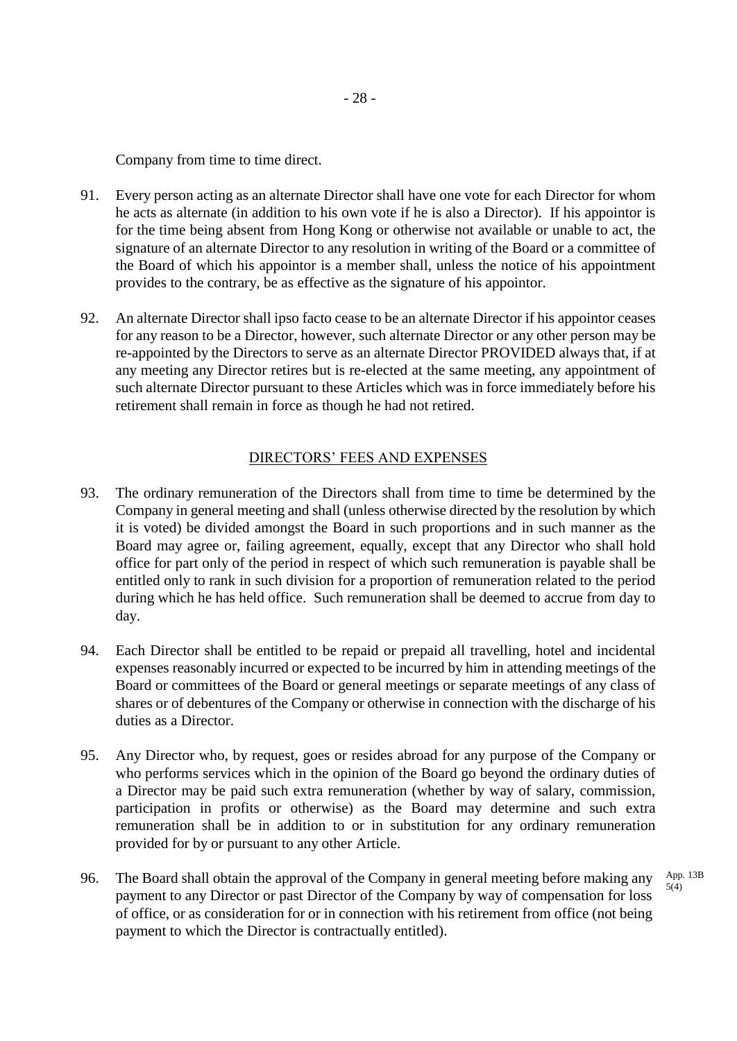Company from time to time direct.

- 91. Every person acting as an alternate Director shall have one vote for each Director for whom he acts as alternate (in addition to his own vote if he is also a Director). If his appointor is for the time being absent from Hong Kong or otherwise not available or unable to act, the signature of an alternate Director to any resolution in writing of the Board or a committee of the Board of which his appointor is a member shall, unless the notice of his appointment provides to the contrary, be as effective as the signature of his appointor.
- 92. An alternate Director shall ipso facto cease to be an alternate Director if his appointor ceases for any reason to be a Director, however, such alternate Director or any other person may be re-appointed by the Directors to serve as an alternate Director PROVIDED always that, if at any meeting any Director retires but is re-elected at the same meeting, any appointment of such alternate Director pursuant to these Articles which was in force immediately before his retirement shall remain in force as though he had not retired.

### DIRECTORS' FEES AND EXPENSES

- 93. The ordinary remuneration of the Directors shall from time to time be determined by the Company in general meeting and shall (unless otherwise directed by the resolution by which it is voted) be divided amongst the Board in such proportions and in such manner as the Board may agree or, failing agreement, equally, except that any Director who shall hold office for part only of the period in respect of which such remuneration is payable shall be entitled only to rank in such division for a proportion of remuneration related to the period during which he has held office. Such remuneration shall be deemed to accrue from day to day.
- 94. Each Director shall be entitled to be repaid or prepaid all travelling, hotel and incidental expenses reasonably incurred or expected to be incurred by him in attending meetings of the Board or committees of the Board or general meetings or separate meetings of any class of shares or of debentures of the Company or otherwise in connection with the discharge of his duties as a Director.
- 95. Any Director who, by request, goes or resides abroad for any purpose of the Company or who performs services which in the opinion of the Board go beyond the ordinary duties of a Director may be paid such extra remuneration (whether by way of salary, commission, participation in profits or otherwise) as the Board may determine and such extra remuneration shall be in addition to or in substitution for any ordinary remuneration provided for by or pursuant to any other Article.
- 96. The Board shall obtain the approval of the Company in general meeting before making any payment to any Director or past Director of the Company by way of compensation for loss of office, or as consideration for or in connection with his retirement from office (not being payment to which the Director is contractually entitled). App. 13B 5(4)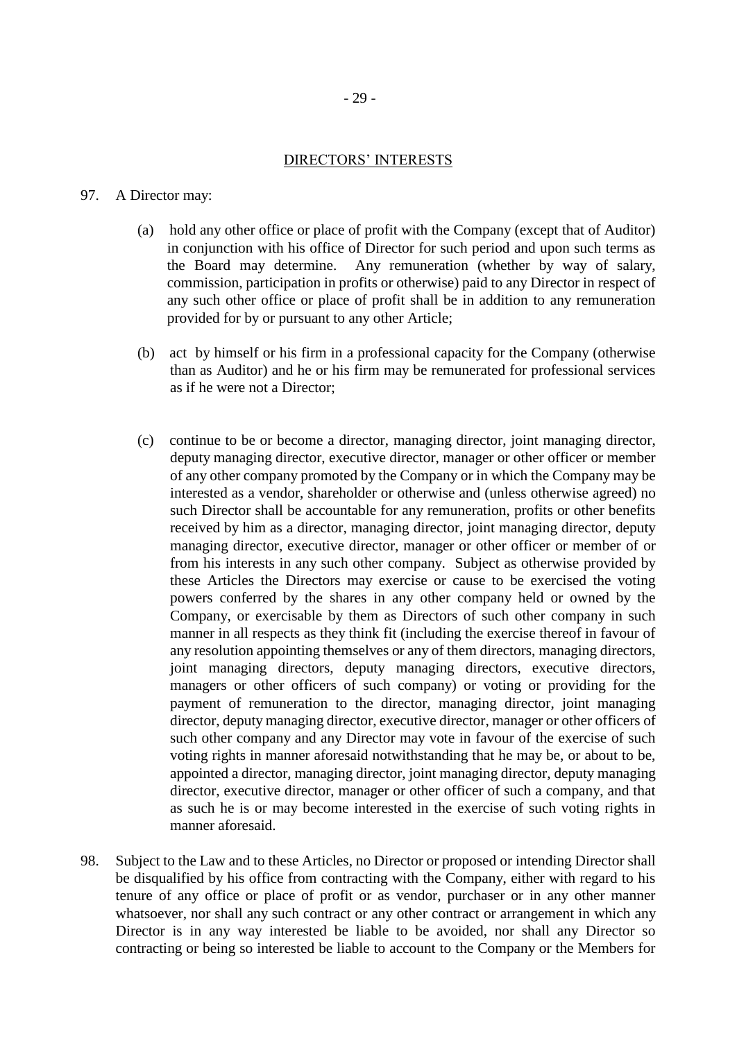### DIRECTORS' INTERESTS

#### 97. A Director may:

- (a) hold any other office or place of profit with the Company (except that of Auditor) in conjunction with his office of Director for such period and upon such terms as the Board may determine. Any remuneration (whether by way of salary, commission, participation in profits or otherwise) paid to any Director in respect of any such other office or place of profit shall be in addition to any remuneration provided for by or pursuant to any other Article;
- (b) act by himself or his firm in a professional capacity for the Company (otherwise than as Auditor) and he or his firm may be remunerated for professional services as if he were not a Director;
- (c) continue to be or become a director, managing director, joint managing director, deputy managing director, executive director, manager or other officer or member of any other company promoted by the Company or in which the Company may be interested as a vendor, shareholder or otherwise and (unless otherwise agreed) no such Director shall be accountable for any remuneration, profits or other benefits received by him as a director, managing director, joint managing director, deputy managing director, executive director, manager or other officer or member of or from his interests in any such other company. Subject as otherwise provided by these Articles the Directors may exercise or cause to be exercised the voting powers conferred by the shares in any other company held or owned by the Company, or exercisable by them as Directors of such other company in such manner in all respects as they think fit (including the exercise thereof in favour of any resolution appointing themselves or any of them directors, managing directors, joint managing directors, deputy managing directors, executive directors, managers or other officers of such company) or voting or providing for the payment of remuneration to the director, managing director, joint managing director, deputy managing director, executive director, manager or other officers of such other company and any Director may vote in favour of the exercise of such voting rights in manner aforesaid notwithstanding that he may be, or about to be, appointed a director, managing director, joint managing director, deputy managing director, executive director, manager or other officer of such a company, and that as such he is or may become interested in the exercise of such voting rights in manner aforesaid.
- 98. Subject to the Law and to these Articles, no Director or proposed or intending Director shall be disqualified by his office from contracting with the Company, either with regard to his tenure of any office or place of profit or as vendor, purchaser or in any other manner whatsoever, nor shall any such contract or any other contract or arrangement in which any Director is in any way interested be liable to be avoided, nor shall any Director so contracting or being so interested be liable to account to the Company or the Members for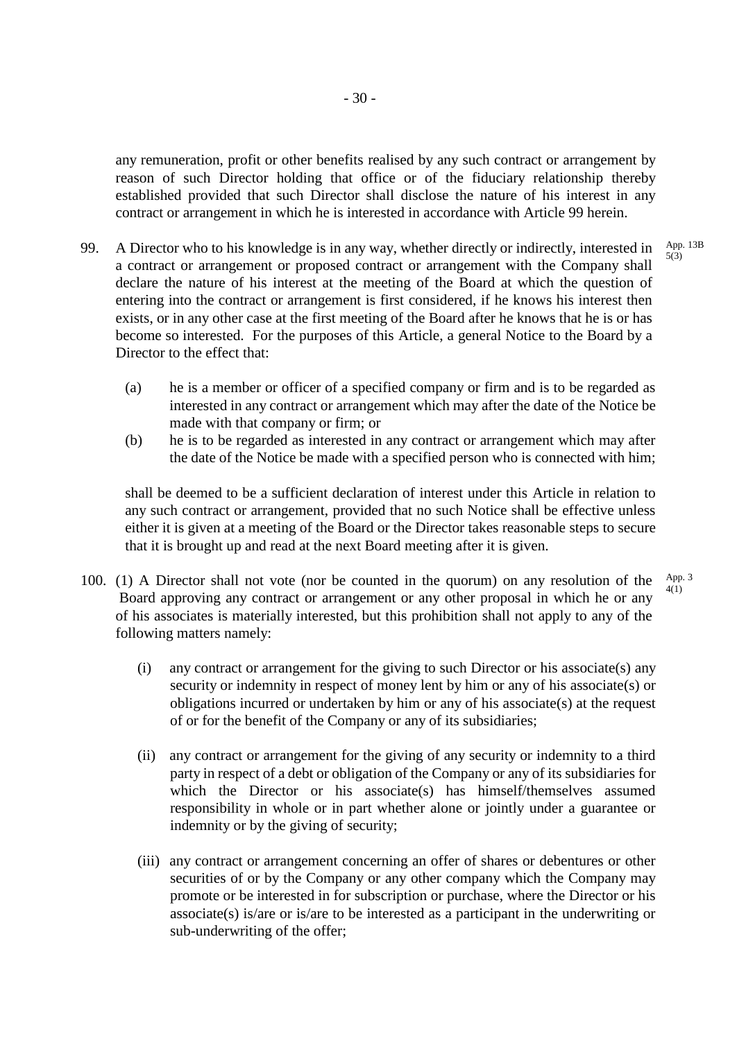any remuneration, profit or other benefits realised by any such contract or arrangement by reason of such Director holding that office or of the fiduciary relationship thereby established provided that such Director shall disclose the nature of his interest in any contract or arrangement in which he is interested in accordance with Article 99 herein.

- 99. A Director who to his knowledge is in any way, whether directly or indirectly, interested in a contract or arrangement or proposed contract or arrangement with the Company shall declare the nature of his interest at the meeting of the Board at which the question of entering into the contract or arrangement is first considered, if he knows his interest then exists, or in any other case at the first meeting of the Board after he knows that he is or has become so interested. For the purposes of this Article, a general Notice to the Board by a Director to the effect that: App. 13B 5(3)
	- (a) he is a member or officer of a specified company or firm and is to be regarded as interested in any contract or arrangement which may after the date of the Notice be made with that company or firm; or
	- (b) he is to be regarded as interested in any contract or arrangement which may after the date of the Notice be made with a specified person who is connected with him;

shall be deemed to be a sufficient declaration of interest under this Article in relation to any such contract or arrangement, provided that no such Notice shall be effective unless either it is given at a meeting of the Board or the Director takes reasonable steps to secure that it is brought up and read at the next Board meeting after it is given.

- 100. (1) A Director shall not vote (nor be counted in the quorum) on any resolution of the Board approving any contract or arrangement or any other proposal in which he or any of his associates is materially interested, but this prohibition shall not apply to any of the following matters namely: App. 3 4(1)
	- (i) any contract or arrangement for the giving to such Director or his associate(s) any security or indemnity in respect of money lent by him or any of his associate(s) or obligations incurred or undertaken by him or any of his associate(s) at the request of or for the benefit of the Company or any of its subsidiaries;
	- (ii) any contract or arrangement for the giving of any security or indemnity to a third party in respect of a debt or obligation of the Company or any of its subsidiaries for which the Director or his associate(s) has himself/themselves assumed responsibility in whole or in part whether alone or jointly under a guarantee or indemnity or by the giving of security;
	- (iii) any contract or arrangement concerning an offer of shares or debentures or other securities of or by the Company or any other company which the Company may promote or be interested in for subscription or purchase, where the Director or his associate(s) is/are or is/are to be interested as a participant in the underwriting or sub-underwriting of the offer;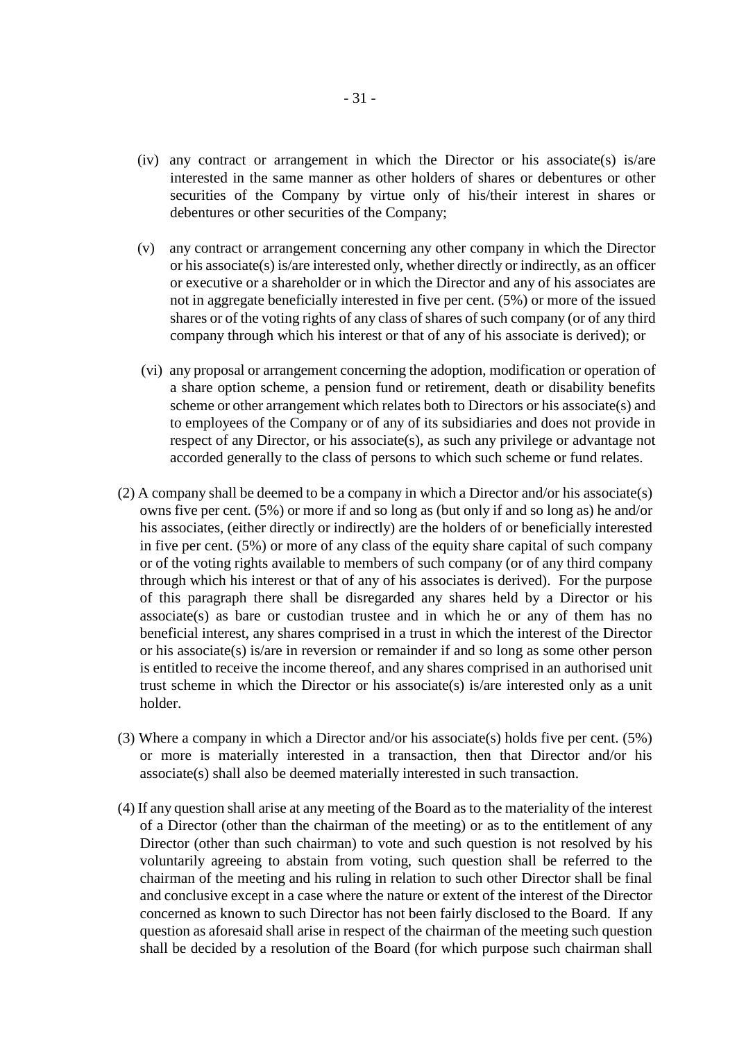- (iv) any contract or arrangement in which the Director or his associate(s) is/are interested in the same manner as other holders of shares or debentures or other securities of the Company by virtue only of his/their interest in shares or debentures or other securities of the Company;
- (v) any contract or arrangement concerning any other company in which the Director or his associate(s) is/are interested only, whether directly or indirectly, as an officer or executive or a shareholder or in which the Director and any of his associates are not in aggregate beneficially interested in five per cent. (5%) or more of the issued shares or of the voting rights of any class of shares of such company (or of any third company through which his interest or that of any of his associate is derived); or
- (vi) any proposal or arrangement concerning the adoption, modification or operation of a share option scheme, a pension fund or retirement, death or disability benefits scheme or other arrangement which relates both to Directors or his associate(s) and to employees of the Company or of any of its subsidiaries and does not provide in respect of any Director, or his associate(s), as such any privilege or advantage not accorded generally to the class of persons to which such scheme or fund relates.
- (2) A company shall be deemed to be a company in which a Director and/or his associate(s) owns five per cent. (5%) or more if and so long as (but only if and so long as) he and/or his associates, (either directly or indirectly) are the holders of or beneficially interested in five per cent. (5%) or more of any class of the equity share capital of such company or of the voting rights available to members of such company (or of any third company through which his interest or that of any of his associates is derived). For the purpose of this paragraph there shall be disregarded any shares held by a Director or his  $associate(s)$  as bare or custodian trustee and in which he or any of them has no beneficial interest, any shares comprised in a trust in which the interest of the Director or his associate(s) is/are in reversion or remainder if and so long as some other person is entitled to receive the income thereof, and any shares comprised in an authorised unit trust scheme in which the Director or his associate(s) is/are interested only as a unit holder.
- (3) Where a company in which a Director and/or his associate(s) holds five per cent. (5%) or more is materially interested in a transaction, then that Director and/or his associate(s) shall also be deemed materially interested in such transaction.
- (4) If any question shall arise at any meeting of the Board as to the materiality of the interest of a Director (other than the chairman of the meeting) or as to the entitlement of any Director (other than such chairman) to vote and such question is not resolved by his voluntarily agreeing to abstain from voting, such question shall be referred to the chairman of the meeting and his ruling in relation to such other Director shall be final and conclusive except in a case where the nature or extent of the interest of the Director concerned as known to such Director has not been fairly disclosed to the Board. If any question as aforesaid shall arise in respect of the chairman of the meeting such question shall be decided by a resolution of the Board (for which purpose such chairman shall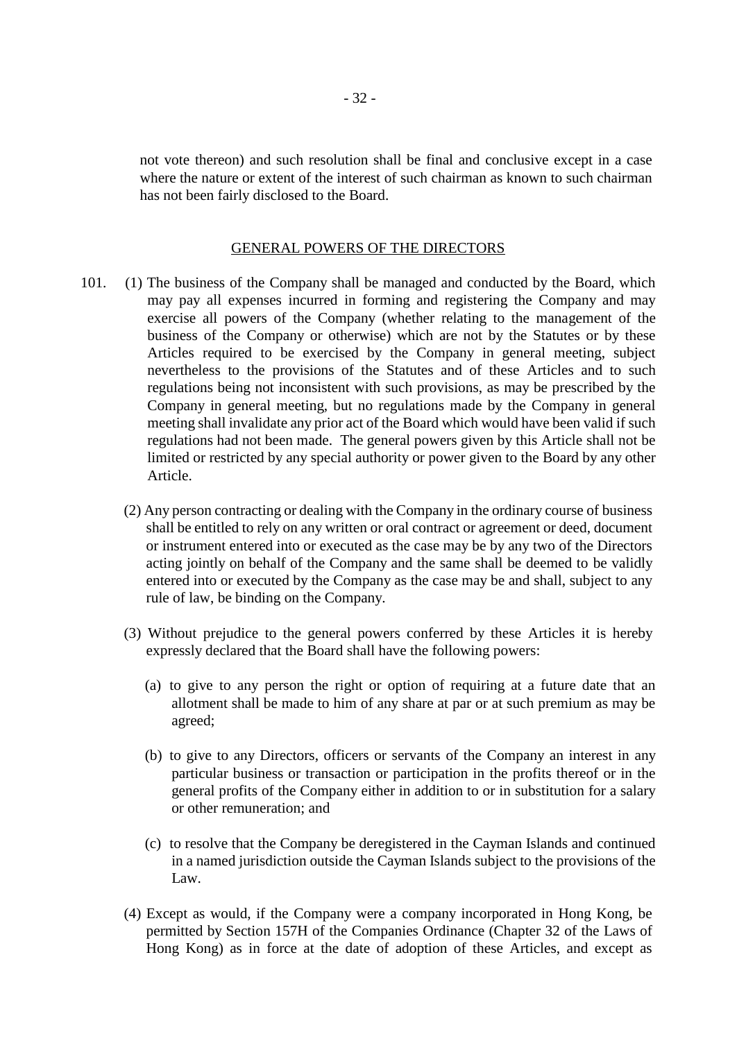not vote thereon) and such resolution shall be final and conclusive except in a case where the nature or extent of the interest of such chairman as known to such chairman has not been fairly disclosed to the Board.

#### GENERAL POWERS OF THE DIRECTORS

- 101. (1) The business of the Company shall be managed and conducted by the Board, which may pay all expenses incurred in forming and registering the Company and may exercise all powers of the Company (whether relating to the management of the business of the Company or otherwise) which are not by the Statutes or by these Articles required to be exercised by the Company in general meeting, subject nevertheless to the provisions of the Statutes and of these Articles and to such regulations being not inconsistent with such provisions, as may be prescribed by the Company in general meeting, but no regulations made by the Company in general meeting shall invalidate any prior act of the Board which would have been valid if such regulations had not been made. The general powers given by this Article shall not be limited or restricted by any special authority or power given to the Board by any other Article.
	- (2) Any person contracting or dealing with the Company in the ordinary course of business shall be entitled to rely on any written or oral contract or agreement or deed, document or instrument entered into or executed as the case may be by any two of the Directors acting jointly on behalf of the Company and the same shall be deemed to be validly entered into or executed by the Company as the case may be and shall, subject to any rule of law, be binding on the Company.
	- (3) Without prejudice to the general powers conferred by these Articles it is hereby expressly declared that the Board shall have the following powers:
		- (a) to give to any person the right or option of requiring at a future date that an allotment shall be made to him of any share at par or at such premium as may be agreed;
		- (b) to give to any Directors, officers or servants of the Company an interest in any particular business or transaction or participation in the profits thereof or in the general profits of the Company either in addition to or in substitution for a salary or other remuneration; and
		- (c) to resolve that the Company be deregistered in the Cayman Islands and continued in a named jurisdiction outside the Cayman Islands subject to the provisions of the Law.
	- (4) Except as would, if the Company were a company incorporated in Hong Kong, be permitted by Section 157H of the Companies Ordinance (Chapter 32 of the Laws of Hong Kong) as in force at the date of adoption of these Articles, and except as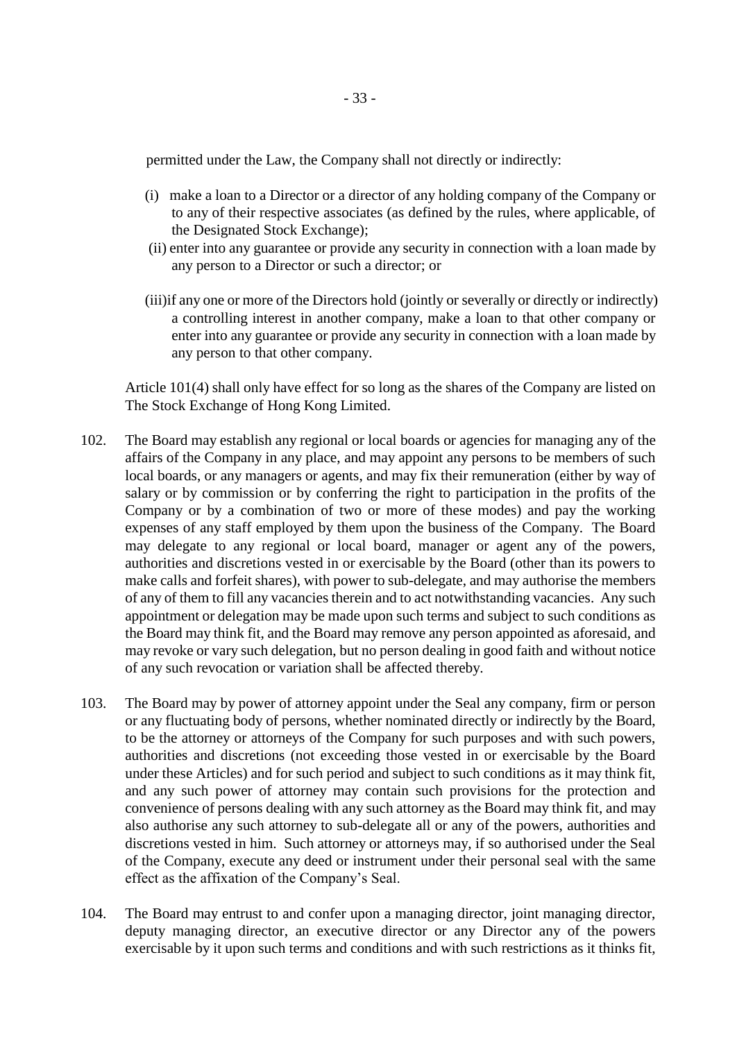permitted under the Law, the Company shall not directly or indirectly:

- (i) make a loan to a Director or a director of any holding company of the Company or to any of their respective associates (as defined by the rules, where applicable, of the Designated Stock Exchange);
- (ii) enter into any guarantee or provide any security in connection with a loan made by any person to a Director or such a director; or
- (iii)if any one or more of the Directors hold (jointly or severally or directly or indirectly) a controlling interest in another company, make a loan to that other company or enter into any guarantee or provide any security in connection with a loan made by any person to that other company.

Article 101(4) shall only have effect for so long as the shares of the Company are listed on The Stock Exchange of Hong Kong Limited.

- 102. The Board may establish any regional or local boards or agencies for managing any of the affairs of the Company in any place, and may appoint any persons to be members of such local boards, or any managers or agents, and may fix their remuneration (either by way of salary or by commission or by conferring the right to participation in the profits of the Company or by a combination of two or more of these modes) and pay the working expenses of any staff employed by them upon the business of the Company. The Board may delegate to any regional or local board, manager or agent any of the powers, authorities and discretions vested in or exercisable by the Board (other than its powers to make calls and forfeit shares), with power to sub-delegate, and may authorise the members of any of them to fill any vacancies therein and to act notwithstanding vacancies. Any such appointment or delegation may be made upon such terms and subject to such conditions as the Board may think fit, and the Board may remove any person appointed as aforesaid, and may revoke or vary such delegation, but no person dealing in good faith and without notice of any such revocation or variation shall be affected thereby.
- 103. The Board may by power of attorney appoint under the Seal any company, firm or person or any fluctuating body of persons, whether nominated directly or indirectly by the Board, to be the attorney or attorneys of the Company for such purposes and with such powers, authorities and discretions (not exceeding those vested in or exercisable by the Board under these Articles) and for such period and subject to such conditions as it may think fit, and any such power of attorney may contain such provisions for the protection and convenience of persons dealing with any such attorney as the Board may think fit, and may also authorise any such attorney to sub-delegate all or any of the powers, authorities and discretions vested in him. Such attorney or attorneys may, if so authorised under the Seal of the Company, execute any deed or instrument under their personal seal with the same effect as the affixation of the Company's Seal.
- 104. The Board may entrust to and confer upon a managing director, joint managing director, deputy managing director, an executive director or any Director any of the powers exercisable by it upon such terms and conditions and with such restrictions as it thinks fit,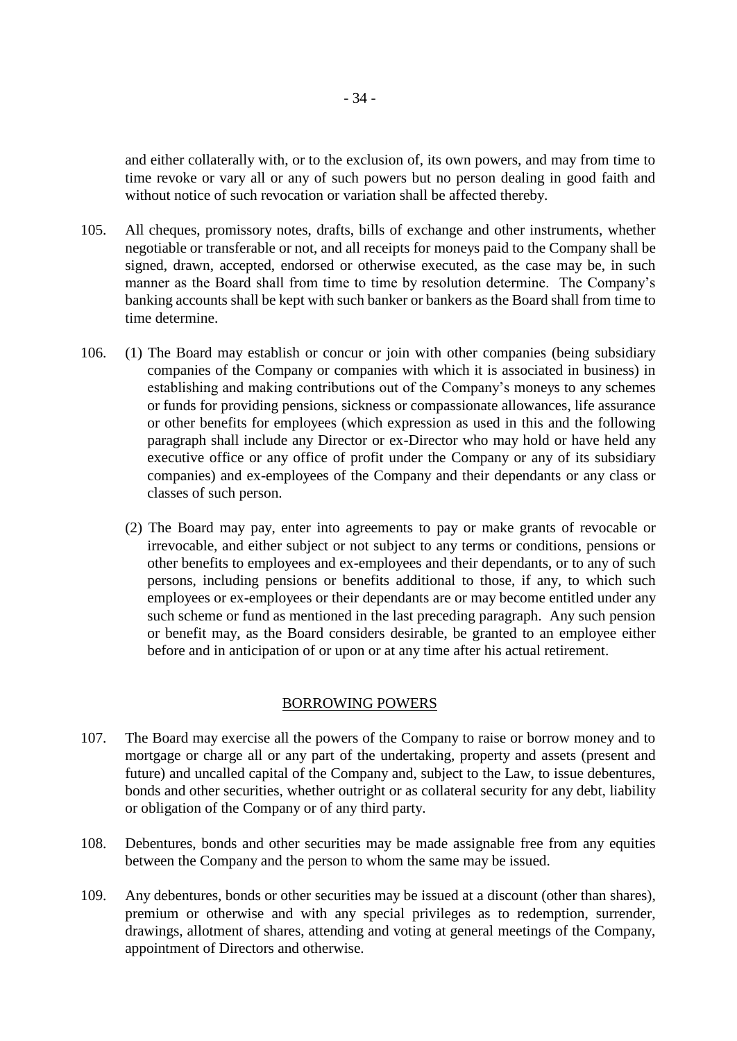and either collaterally with, or to the exclusion of, its own powers, and may from time to time revoke or vary all or any of such powers but no person dealing in good faith and without notice of such revocation or variation shall be affected thereby.

- 105. All cheques, promissory notes, drafts, bills of exchange and other instruments, whether negotiable or transferable or not, and all receipts for moneys paid to the Company shall be signed, drawn, accepted, endorsed or otherwise executed, as the case may be, in such manner as the Board shall from time to time by resolution determine. The Company's banking accounts shall be kept with such banker or bankers as the Board shall from time to time determine.
- 106. (1) The Board may establish or concur or join with other companies (being subsidiary companies of the Company or companies with which it is associated in business) in establishing and making contributions out of the Company's moneys to any schemes or funds for providing pensions, sickness or compassionate allowances, life assurance or other benefits for employees (which expression as used in this and the following paragraph shall include any Director or ex-Director who may hold or have held any executive office or any office of profit under the Company or any of its subsidiary companies) and ex-employees of the Company and their dependants or any class or classes of such person.
	- (2) The Board may pay, enter into agreements to pay or make grants of revocable or irrevocable, and either subject or not subject to any terms or conditions, pensions or other benefits to employees and ex-employees and their dependants, or to any of such persons, including pensions or benefits additional to those, if any, to which such employees or ex-employees or their dependants are or may become entitled under any such scheme or fund as mentioned in the last preceding paragraph. Any such pension or benefit may, as the Board considers desirable, be granted to an employee either before and in anticipation of or upon or at any time after his actual retirement.

#### BORROWING POWERS

- 107. The Board may exercise all the powers of the Company to raise or borrow money and to mortgage or charge all or any part of the undertaking, property and assets (present and future) and uncalled capital of the Company and, subject to the Law, to issue debentures, bonds and other securities, whether outright or as collateral security for any debt, liability or obligation of the Company or of any third party.
- 108. Debentures, bonds and other securities may be made assignable free from any equities between the Company and the person to whom the same may be issued.
- 109. Any debentures, bonds or other securities may be issued at a discount (other than shares), premium or otherwise and with any special privileges as to redemption, surrender, drawings, allotment of shares, attending and voting at general meetings of the Company, appointment of Directors and otherwise.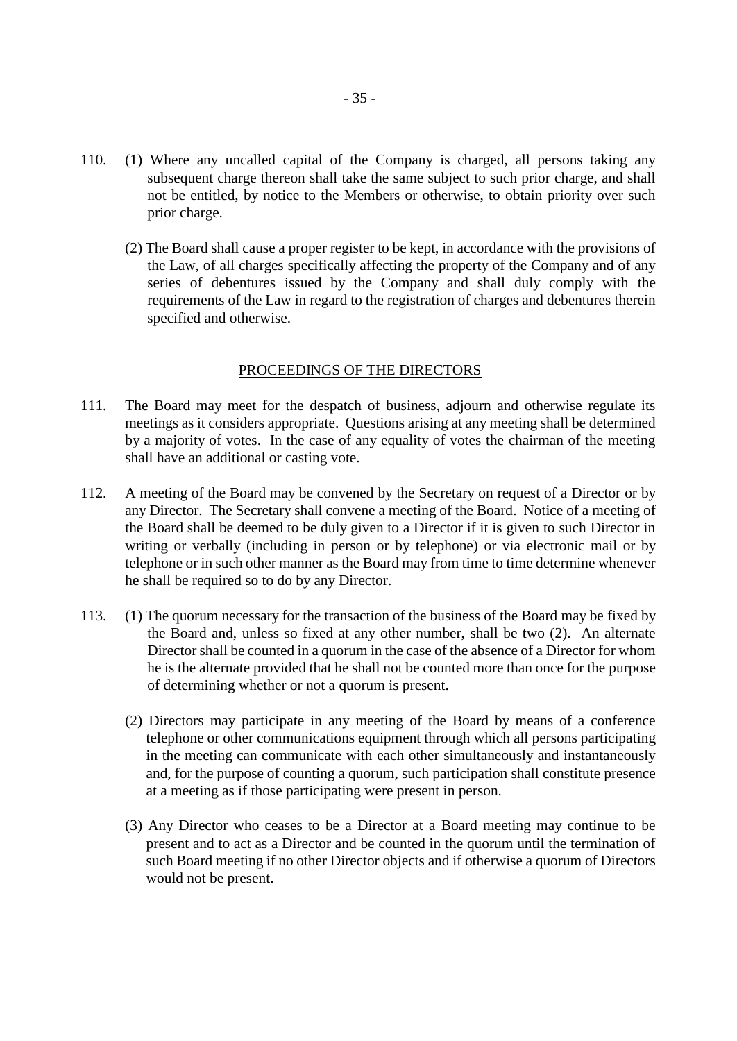- 110. (1) Where any uncalled capital of the Company is charged, all persons taking any subsequent charge thereon shall take the same subject to such prior charge, and shall not be entitled, by notice to the Members or otherwise, to obtain priority over such prior charge.
	- (2) The Board shall cause a proper register to be kept, in accordance with the provisions of the Law, of all charges specifically affecting the property of the Company and of any series of debentures issued by the Company and shall duly comply with the requirements of the Law in regard to the registration of charges and debentures therein specified and otherwise.

#### PROCEEDINGS OF THE DIRECTORS

- 111. The Board may meet for the despatch of business, adjourn and otherwise regulate its meetings as it considers appropriate. Questions arising at any meeting shall be determined by a majority of votes. In the case of any equality of votes the chairman of the meeting shall have an additional or casting vote.
- 112. A meeting of the Board may be convened by the Secretary on request of a Director or by any Director. The Secretary shall convene a meeting of the Board. Notice of a meeting of the Board shall be deemed to be duly given to a Director if it is given to such Director in writing or verbally (including in person or by telephone) or via electronic mail or by telephone or in such other manner as the Board may from time to time determine whenever he shall be required so to do by any Director.
- 113. (1) The quorum necessary for the transaction of the business of the Board may be fixed by the Board and, unless so fixed at any other number, shall be two (2). An alternate Director shall be counted in a quorum in the case of the absence of a Director for whom he is the alternate provided that he shall not be counted more than once for the purpose of determining whether or not a quorum is present.
	- (2) Directors may participate in any meeting of the Board by means of a conference telephone or other communications equipment through which all persons participating in the meeting can communicate with each other simultaneously and instantaneously and, for the purpose of counting a quorum, such participation shall constitute presence at a meeting as if those participating were present in person.
	- (3) Any Director who ceases to be a Director at a Board meeting may continue to be present and to act as a Director and be counted in the quorum until the termination of such Board meeting if no other Director objects and if otherwise a quorum of Directors would not be present.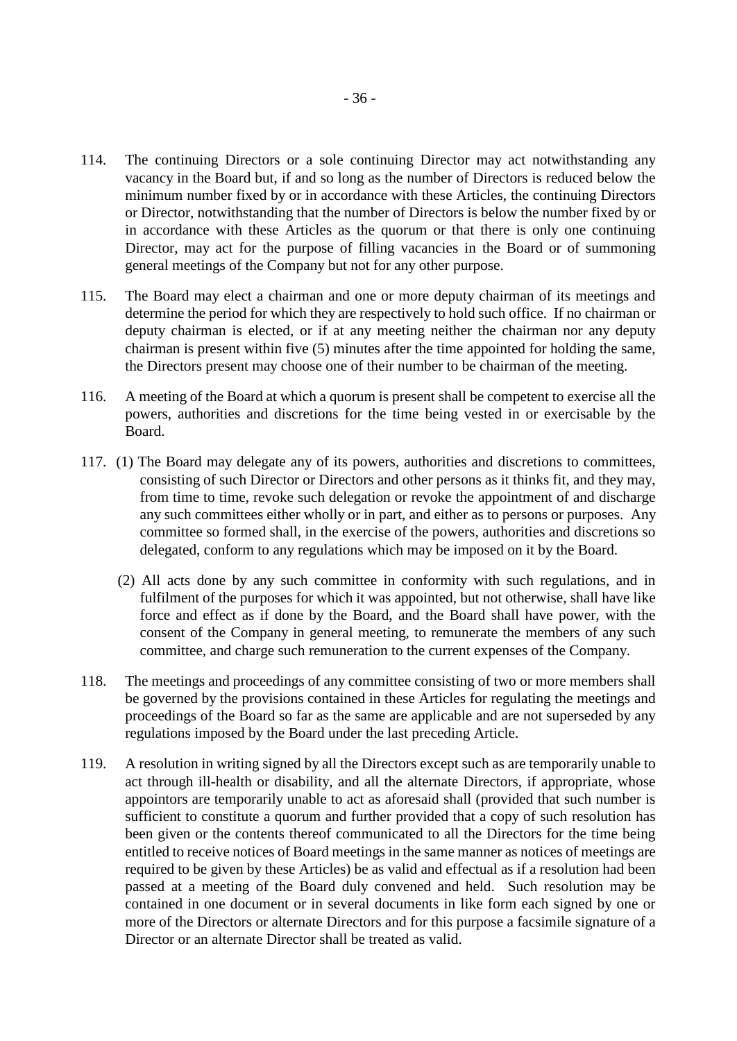- 114. The continuing Directors or a sole continuing Director may act notwithstanding any vacancy in the Board but, if and so long as the number of Directors is reduced below the minimum number fixed by or in accordance with these Articles, the continuing Directors or Director, notwithstanding that the number of Directors is below the number fixed by or in accordance with these Articles as the quorum or that there is only one continuing Director, may act for the purpose of filling vacancies in the Board or of summoning general meetings of the Company but not for any other purpose.
- 115. The Board may elect a chairman and one or more deputy chairman of its meetings and determine the period for which they are respectively to hold such office. If no chairman or deputy chairman is elected, or if at any meeting neither the chairman nor any deputy chairman is present within five (5) minutes after the time appointed for holding the same, the Directors present may choose one of their number to be chairman of the meeting.
- 116. A meeting of the Board at which a quorum is present shall be competent to exercise all the powers, authorities and discretions for the time being vested in or exercisable by the Board.
- 117. (1) The Board may delegate any of its powers, authorities and discretions to committees, consisting of such Director or Directors and other persons as it thinks fit, and they may, from time to time, revoke such delegation or revoke the appointment of and discharge any such committees either wholly or in part, and either as to persons or purposes. Any committee so formed shall, in the exercise of the powers, authorities and discretions so delegated, conform to any regulations which may be imposed on it by the Board.
	- (2) All acts done by any such committee in conformity with such regulations, and in fulfilment of the purposes for which it was appointed, but not otherwise, shall have like force and effect as if done by the Board, and the Board shall have power, with the consent of the Company in general meeting, to remunerate the members of any such committee, and charge such remuneration to the current expenses of the Company.
- 118. The meetings and proceedings of any committee consisting of two or more members shall be governed by the provisions contained in these Articles for regulating the meetings and proceedings of the Board so far as the same are applicable and are not superseded by any regulations imposed by the Board under the last preceding Article.
- 119. A resolution in writing signed by all the Directors except such as are temporarily unable to act through ill-health or disability, and all the alternate Directors, if appropriate, whose appointors are temporarily unable to act as aforesaid shall (provided that such number is sufficient to constitute a quorum and further provided that a copy of such resolution has been given or the contents thereof communicated to all the Directors for the time being entitled to receive notices of Board meetings in the same manner as notices of meetings are required to be given by these Articles) be as valid and effectual as if a resolution had been passed at a meeting of the Board duly convened and held. Such resolution may be contained in one document or in several documents in like form each signed by one or more of the Directors or alternate Directors and for this purpose a facsimile signature of a Director or an alternate Director shall be treated as valid.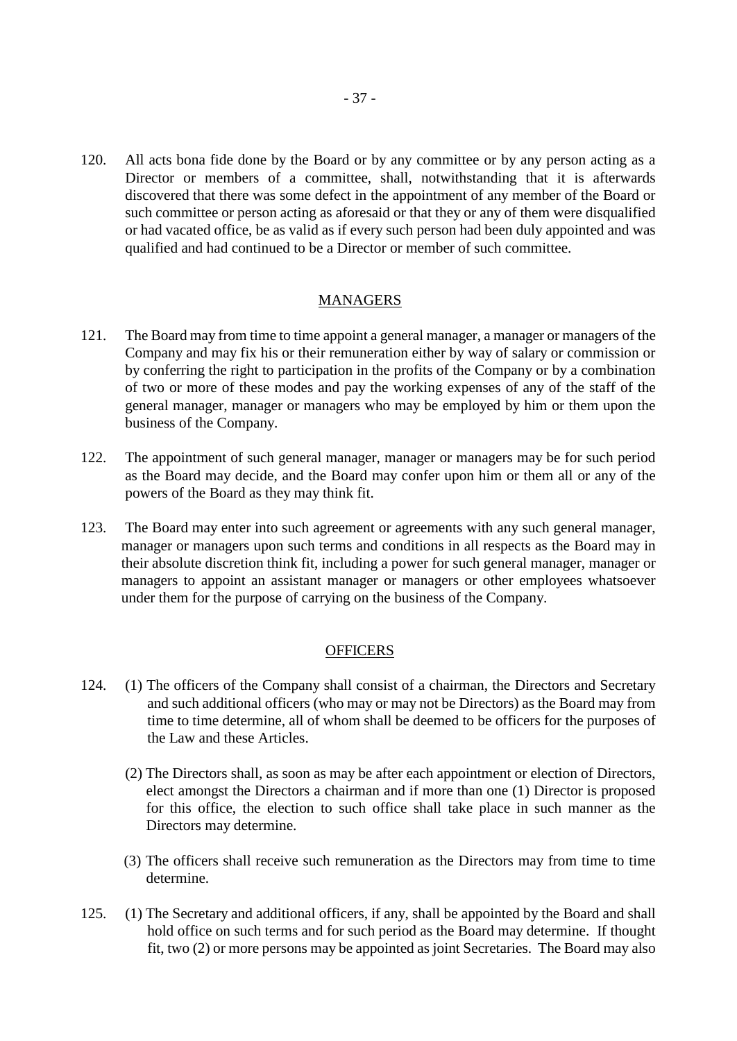120. All acts bona fide done by the Board or by any committee or by any person acting as a Director or members of a committee, shall, notwithstanding that it is afterwards discovered that there was some defect in the appointment of any member of the Board or such committee or person acting as aforesaid or that they or any of them were disqualified or had vacated office, be as valid as if every such person had been duly appointed and was qualified and had continued to be a Director or member of such committee.

#### MANAGERS

- 121. The Board may from time to time appoint a general manager, a manager or managers of the Company and may fix his or their remuneration either by way of salary or commission or by conferring the right to participation in the profits of the Company or by a combination of two or more of these modes and pay the working expenses of any of the staff of the general manager, manager or managers who may be employed by him or them upon the business of the Company.
- 122. The appointment of such general manager, manager or managers may be for such period as the Board may decide, and the Board may confer upon him or them all or any of the powers of the Board as they may think fit.
- 123. The Board may enter into such agreement or agreements with any such general manager, manager or managers upon such terms and conditions in all respects as the Board may in their absolute discretion think fit, including a power for such general manager, manager or managers to appoint an assistant manager or managers or other employees whatsoever under them for the purpose of carrying on the business of the Company.

#### **OFFICERS**

- 124. (1) The officers of the Company shall consist of a chairman, the Directors and Secretary and such additional officers (who may or may not be Directors) as the Board may from time to time determine, all of whom shall be deemed to be officers for the purposes of the Law and these Articles.
	- (2) The Directors shall, as soon as may be after each appointment or election of Directors, elect amongst the Directors a chairman and if more than one (1) Director is proposed for this office, the election to such office shall take place in such manner as the Directors may determine.
	- (3) The officers shall receive such remuneration as the Directors may from time to time determine.
- 125. (1) The Secretary and additional officers, if any, shall be appointed by the Board and shall hold office on such terms and for such period as the Board may determine. If thought fit, two (2) or more persons may be appointed as joint Secretaries. The Board may also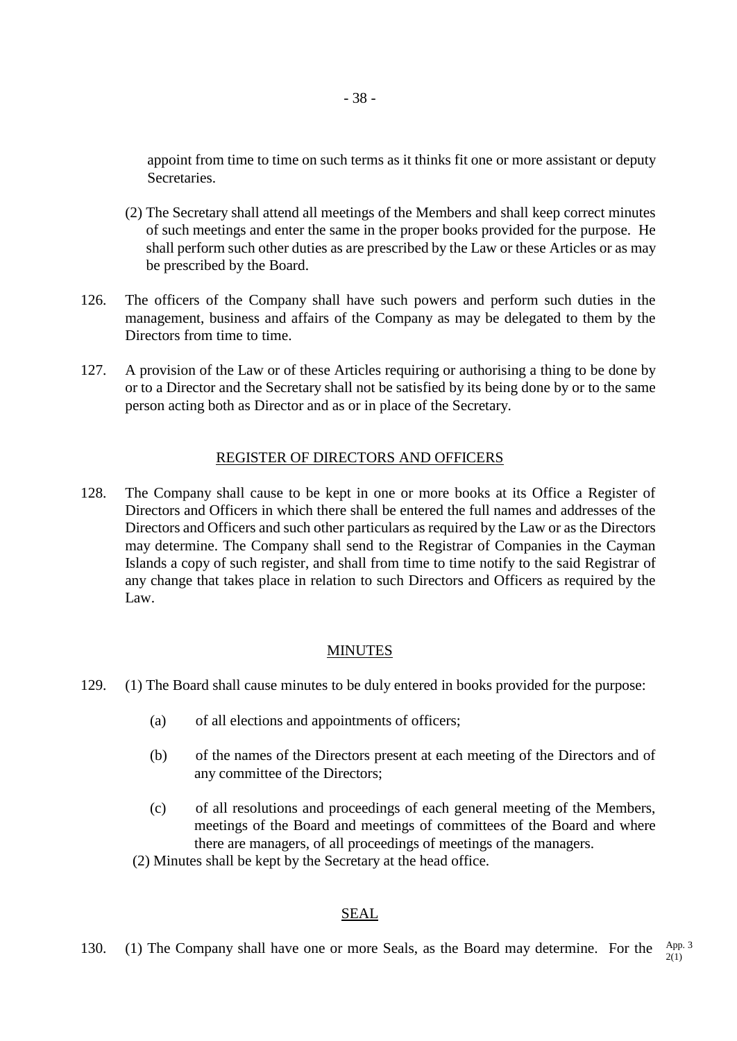appoint from time to time on such terms as it thinks fit one or more assistant or deputy Secretaries.

- (2) The Secretary shall attend all meetings of the Members and shall keep correct minutes of such meetings and enter the same in the proper books provided for the purpose. He shall perform such other duties as are prescribed by the Law or these Articles or as may be prescribed by the Board.
- 126. The officers of the Company shall have such powers and perform such duties in the management, business and affairs of the Company as may be delegated to them by the Directors from time to time.
- 127. A provision of the Law or of these Articles requiring or authorising a thing to be done by or to a Director and the Secretary shall not be satisfied by its being done by or to the same person acting both as Director and as or in place of the Secretary.

### REGISTER OF DIRECTORS AND OFFICERS

128. The Company shall cause to be kept in one or more books at its Office a Register of Directors and Officers in which there shall be entered the full names and addresses of the Directors and Officers and such other particulars as required by the Law or as the Directors may determine. The Company shall send to the Registrar of Companies in the Cayman Islands a copy of such register, and shall from time to time notify to the said Registrar of any change that takes place in relation to such Directors and Officers as required by the Law.

## MINUTES

- 129. (1) The Board shall cause minutes to be duly entered in books provided for the purpose:
	- (a) of all elections and appointments of officers;
	- (b) of the names of the Directors present at each meeting of the Directors and of any committee of the Directors;
	- (c) of all resolutions and proceedings of each general meeting of the Members, meetings of the Board and meetings of committees of the Board and where there are managers, of all proceedings of meetings of the managers.
	- (2) Minutes shall be kept by the Secretary at the head office.

## SEAL

130. (1) The Company shall have one or more Seals, as the Board may determine. For the App. 3 2(1)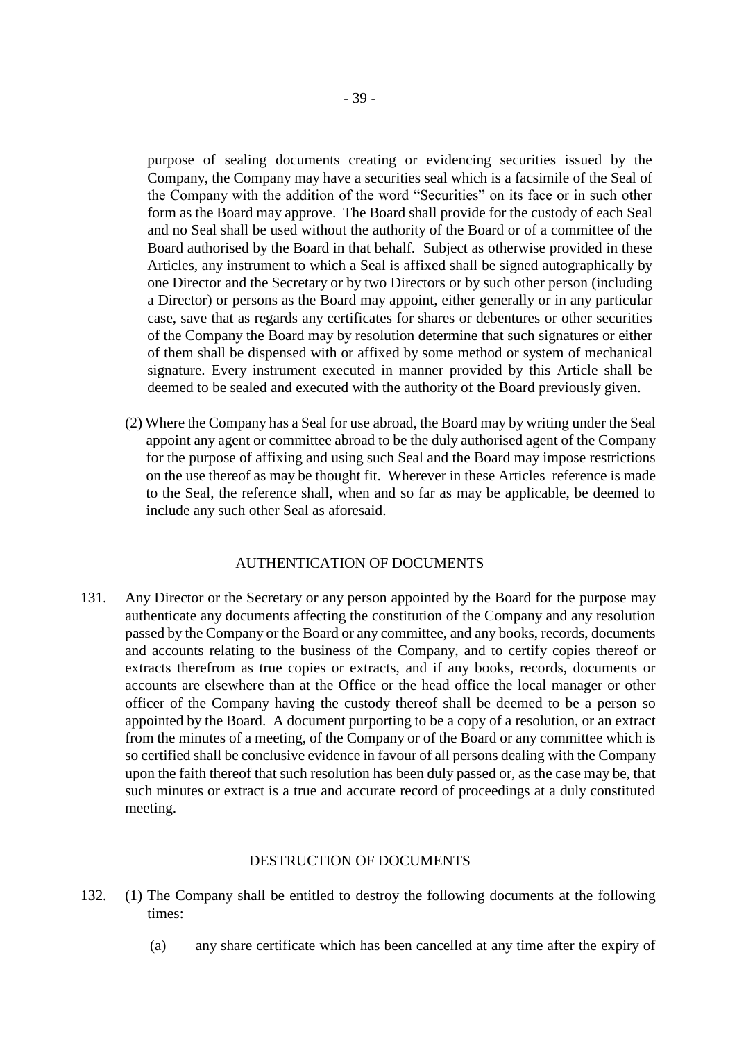purpose of sealing documents creating or evidencing securities issued by the Company, the Company may have a securities seal which is a facsimile of the Seal of the Company with the addition of the word "Securities" on its face or in such other form as the Board may approve. The Board shall provide for the custody of each Seal and no Seal shall be used without the authority of the Board or of a committee of the Board authorised by the Board in that behalf. Subject as otherwise provided in these Articles, any instrument to which a Seal is affixed shall be signed autographically by one Director and the Secretary or by two Directors or by such other person (including a Director) or persons as the Board may appoint, either generally or in any particular case, save that as regards any certificates for shares or debentures or other securities of the Company the Board may by resolution determine that such signatures or either of them shall be dispensed with or affixed by some method or system of mechanical signature. Every instrument executed in manner provided by this Article shall be deemed to be sealed and executed with the authority of the Board previously given.

(2) Where the Company has a Seal for use abroad, the Board may by writing under the Seal appoint any agent or committee abroad to be the duly authorised agent of the Company for the purpose of affixing and using such Seal and the Board may impose restrictions on the use thereof as may be thought fit. Wherever in these Articles reference is made to the Seal, the reference shall, when and so far as may be applicable, be deemed to include any such other Seal as aforesaid.

#### AUTHENTICATION OF DOCUMENTS

131. Any Director or the Secretary or any person appointed by the Board for the purpose may authenticate any documents affecting the constitution of the Company and any resolution passed by the Company or the Board or any committee, and any books, records, documents and accounts relating to the business of the Company, and to certify copies thereof or extracts therefrom as true copies or extracts, and if any books, records, documents or accounts are elsewhere than at the Office or the head office the local manager or other officer of the Company having the custody thereof shall be deemed to be a person so appointed by the Board. A document purporting to be a copy of a resolution, or an extract from the minutes of a meeting, of the Company or of the Board or any committee which is so certified shall be conclusive evidence in favour of all persons dealing with the Company upon the faith thereof that such resolution has been duly passed or, as the case may be, that such minutes or extract is a true and accurate record of proceedings at a duly constituted meeting.

#### DESTRUCTION OF DOCUMENTS

- 132. (1) The Company shall be entitled to destroy the following documents at the following times:
	- (a) any share certificate which has been cancelled at any time after the expiry of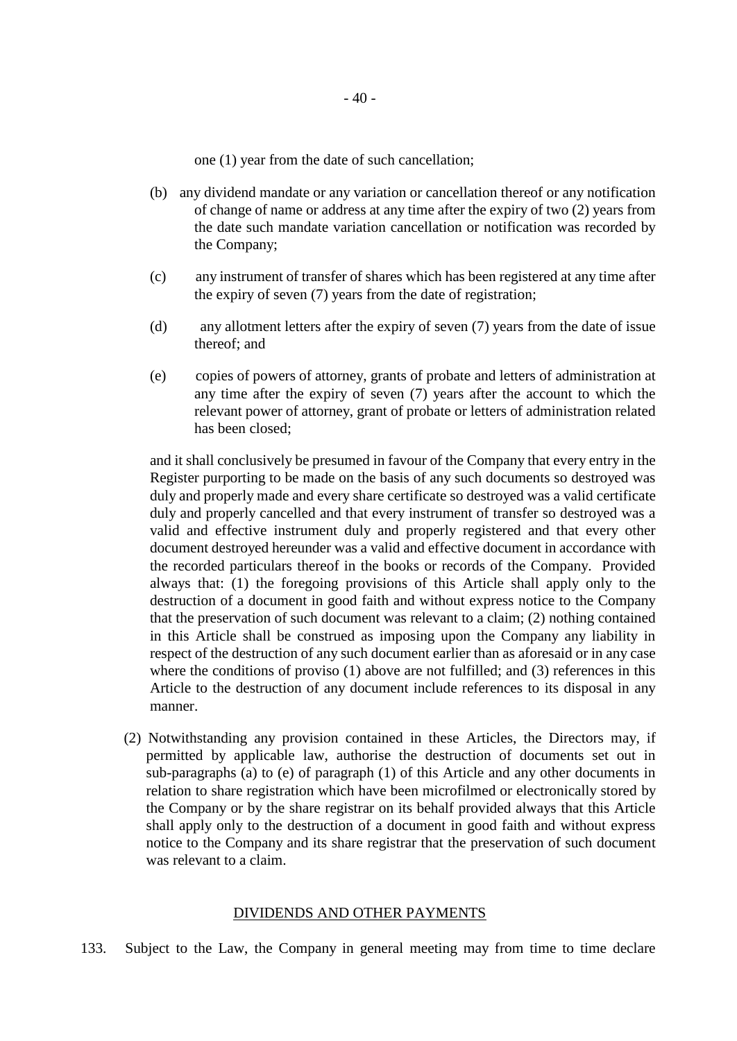one (1) year from the date of such cancellation;

- (b) any dividend mandate or any variation or cancellation thereof or any notification of change of name or address at any time after the expiry of two (2) years from the date such mandate variation cancellation or notification was recorded by the Company;
- (c) any instrument of transfer of shares which has been registered at any time after the expiry of seven (7) years from the date of registration;
- (d) any allotment letters after the expiry of seven (7) years from the date of issue thereof; and
- (e) copies of powers of attorney, grants of probate and letters of administration at any time after the expiry of seven (7) years after the account to which the relevant power of attorney, grant of probate or letters of administration related has been closed;

and it shall conclusively be presumed in favour of the Company that every entry in the Register purporting to be made on the basis of any such documents so destroyed was duly and properly made and every share certificate so destroyed was a valid certificate duly and properly cancelled and that every instrument of transfer so destroyed was a valid and effective instrument duly and properly registered and that every other document destroyed hereunder was a valid and effective document in accordance with the recorded particulars thereof in the books or records of the Company. Provided always that: (1) the foregoing provisions of this Article shall apply only to the destruction of a document in good faith and without express notice to the Company that the preservation of such document was relevant to a claim; (2) nothing contained in this Article shall be construed as imposing upon the Company any liability in respect of the destruction of any such document earlier than as aforesaid or in any case where the conditions of proviso (1) above are not fulfilled; and (3) references in this Article to the destruction of any document include references to its disposal in any manner.

(2) Notwithstanding any provision contained in these Articles, the Directors may, if permitted by applicable law, authorise the destruction of documents set out in sub-paragraphs (a) to (e) of paragraph (1) of this Article and any other documents in relation to share registration which have been microfilmed or electronically stored by the Company or by the share registrar on its behalf provided always that this Article shall apply only to the destruction of a document in good faith and without express notice to the Company and its share registrar that the preservation of such document was relevant to a claim.

#### DIVIDENDS AND OTHER PAYMENTS

133. Subject to the Law, the Company in general meeting may from time to time declare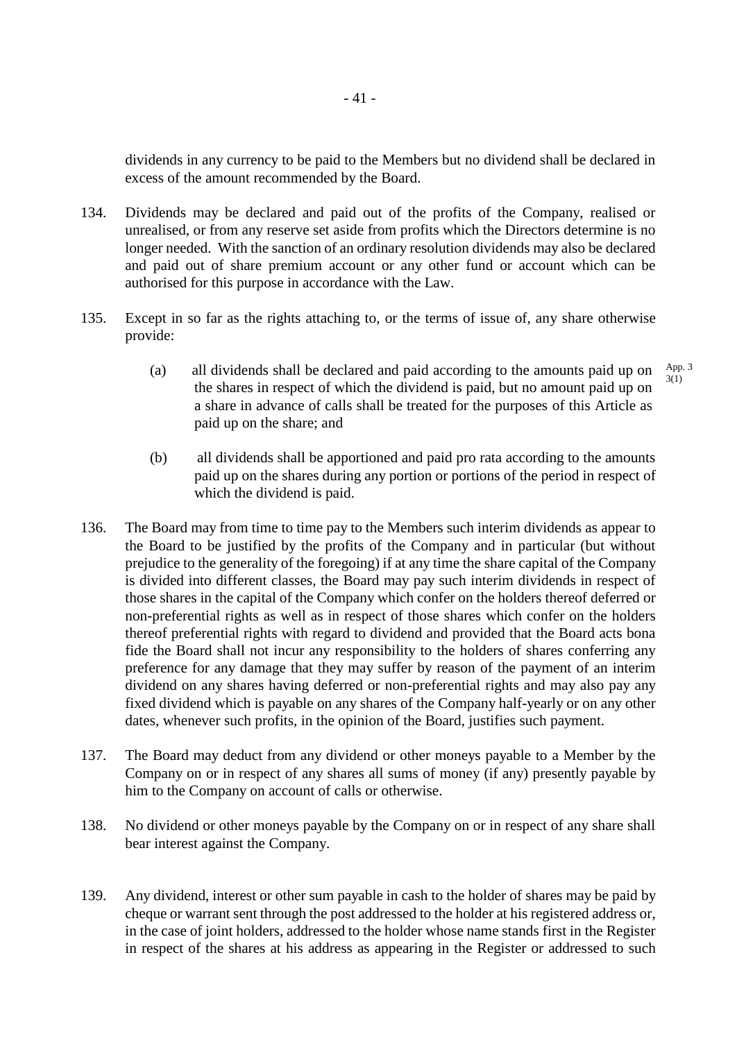dividends in any currency to be paid to the Members but no dividend shall be declared in excess of the amount recommended by the Board.

- 134. Dividends may be declared and paid out of the profits of the Company, realised or unrealised, or from any reserve set aside from profits which the Directors determine is no longer needed. With the sanction of an ordinary resolution dividends may also be declared and paid out of share premium account or any other fund or account which can be authorised for this purpose in accordance with the Law.
- 135. Except in so far as the rights attaching to, or the terms of issue of, any share otherwise provide:
	- (a) all dividends shall be declared and paid according to the amounts paid up on the shares in respect of which the dividend is paid, but no amount paid up on a share in advance of calls shall be treated for the purposes of this Article as paid up on the share; and App. 3  $3(1)$
	- (b) all dividends shall be apportioned and paid pro rata according to the amounts paid up on the shares during any portion or portions of the period in respect of which the dividend is paid.
- 136. The Board may from time to time pay to the Members such interim dividends as appear to the Board to be justified by the profits of the Company and in particular (but without prejudice to the generality of the foregoing) if at any time the share capital of the Company is divided into different classes, the Board may pay such interim dividends in respect of those shares in the capital of the Company which confer on the holders thereof deferred or non-preferential rights as well as in respect of those shares which confer on the holders thereof preferential rights with regard to dividend and provided that the Board acts bona fide the Board shall not incur any responsibility to the holders of shares conferring any preference for any damage that they may suffer by reason of the payment of an interim dividend on any shares having deferred or non-preferential rights and may also pay any fixed dividend which is payable on any shares of the Company half-yearly or on any other dates, whenever such profits, in the opinion of the Board, justifies such payment.
- 137. The Board may deduct from any dividend or other moneys payable to a Member by the Company on or in respect of any shares all sums of money (if any) presently payable by him to the Company on account of calls or otherwise.
- 138. No dividend or other moneys payable by the Company on or in respect of any share shall bear interest against the Company.
- 139. Any dividend, interest or other sum payable in cash to the holder of shares may be paid by cheque or warrant sent through the post addressed to the holder at his registered address or, in the case of joint holders, addressed to the holder whose name stands first in the Register in respect of the shares at his address as appearing in the Register or addressed to such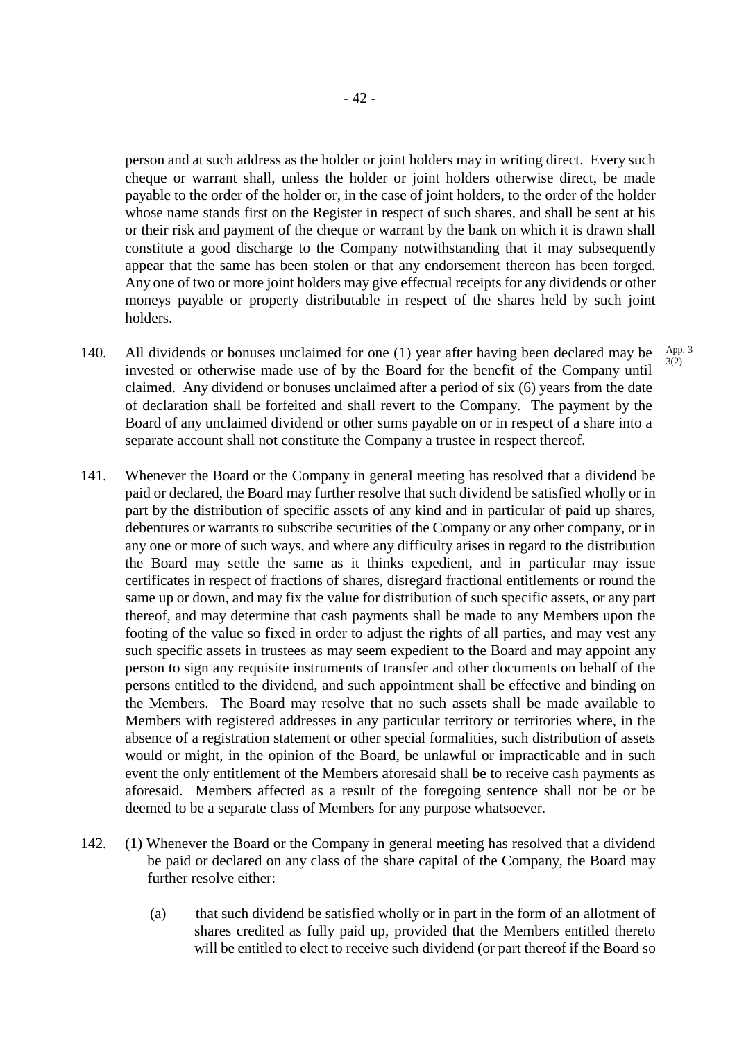person and at such address as the holder or joint holders may in writing direct. Every such cheque or warrant shall, unless the holder or joint holders otherwise direct, be made payable to the order of the holder or, in the case of joint holders, to the order of the holder whose name stands first on the Register in respect of such shares, and shall be sent at his or their risk and payment of the cheque or warrant by the bank on which it is drawn shall constitute a good discharge to the Company notwithstanding that it may subsequently appear that the same has been stolen or that any endorsement thereon has been forged. Any one of two or more joint holders may give effectual receipts for any dividends or other moneys payable or property distributable in respect of the shares held by such joint holders.

> App. 3 3(2)

- 140. All dividends or bonuses unclaimed for one (1) year after having been declared may be invested or otherwise made use of by the Board for the benefit of the Company until claimed. Any dividend or bonuses unclaimed after a period of six (6) years from the date of declaration shall be forfeited and shall revert to the Company. The payment by the Board of any unclaimed dividend or other sums payable on or in respect of a share into a separate account shall not constitute the Company a trustee in respect thereof.
- 141. Whenever the Board or the Company in general meeting has resolved that a dividend be paid or declared, the Board may further resolve that such dividend be satisfied wholly or in part by the distribution of specific assets of any kind and in particular of paid up shares, debentures or warrants to subscribe securities of the Company or any other company, or in any one or more of such ways, and where any difficulty arises in regard to the distribution the Board may settle the same as it thinks expedient, and in particular may issue certificates in respect of fractions of shares, disregard fractional entitlements or round the same up or down, and may fix the value for distribution of such specific assets, or any part thereof, and may determine that cash payments shall be made to any Members upon the footing of the value so fixed in order to adjust the rights of all parties, and may vest any such specific assets in trustees as may seem expedient to the Board and may appoint any person to sign any requisite instruments of transfer and other documents on behalf of the persons entitled to the dividend, and such appointment shall be effective and binding on the Members. The Board may resolve that no such assets shall be made available to Members with registered addresses in any particular territory or territories where, in the absence of a registration statement or other special formalities, such distribution of assets would or might, in the opinion of the Board, be unlawful or impracticable and in such event the only entitlement of the Members aforesaid shall be to receive cash payments as aforesaid. Members affected as a result of the foregoing sentence shall not be or be deemed to be a separate class of Members for any purpose whatsoever.
- 142. (1) Whenever the Board or the Company in general meeting has resolved that a dividend be paid or declared on any class of the share capital of the Company, the Board may further resolve either:
	- (a) that such dividend be satisfied wholly or in part in the form of an allotment of shares credited as fully paid up, provided that the Members entitled thereto will be entitled to elect to receive such dividend (or part thereof if the Board so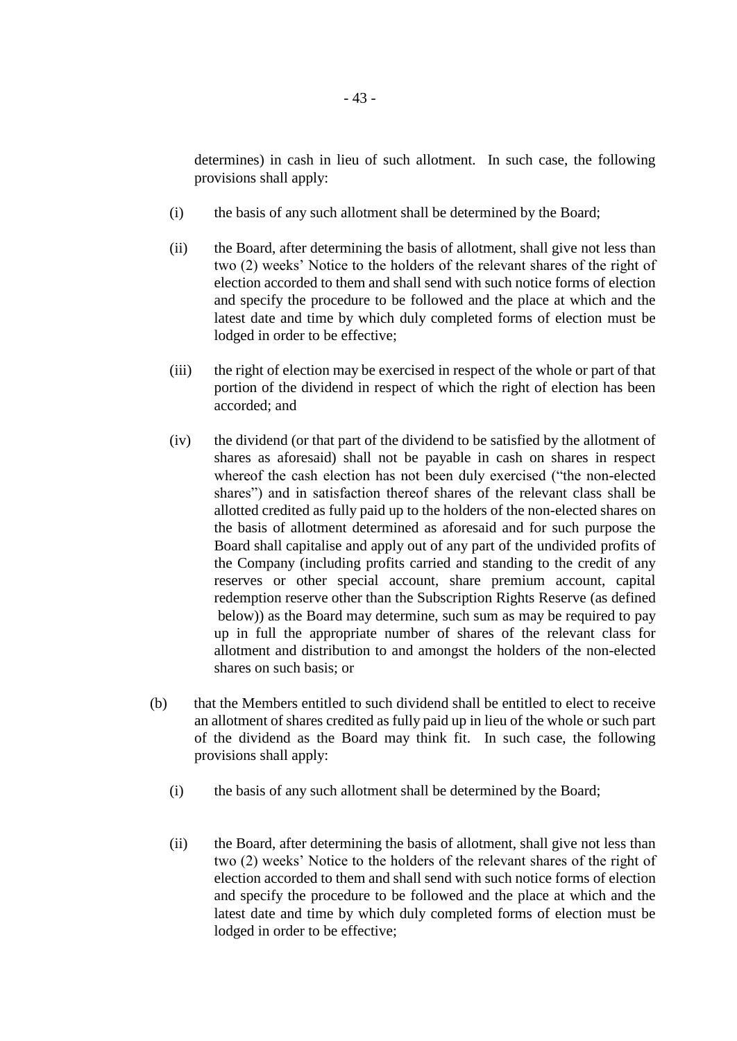determines) in cash in lieu of such allotment. In such case, the following provisions shall apply:

- (i) the basis of any such allotment shall be determined by the Board;
- (ii) the Board, after determining the basis of allotment, shall give not less than two (2) weeks' Notice to the holders of the relevant shares of the right of election accorded to them and shall send with such notice forms of election and specify the procedure to be followed and the place at which and the latest date and time by which duly completed forms of election must be lodged in order to be effective;
- (iii) the right of election may be exercised in respect of the whole or part of that portion of the dividend in respect of which the right of election has been accorded; and
- (iv) the dividend (or that part of the dividend to be satisfied by the allotment of shares as aforesaid) shall not be payable in cash on shares in respect whereof the cash election has not been duly exercised ("the non-elected shares") and in satisfaction thereof shares of the relevant class shall be allotted credited as fully paid up to the holders of the non-elected shares on the basis of allotment determined as aforesaid and for such purpose the Board shall capitalise and apply out of any part of the undivided profits of the Company (including profits carried and standing to the credit of any reserves or other special account, share premium account, capital redemption reserve other than the Subscription Rights Reserve (as defined below)) as the Board may determine, such sum as may be required to pay up in full the appropriate number of shares of the relevant class for allotment and distribution to and amongst the holders of the non-elected shares on such basis; or
- (b) that the Members entitled to such dividend shall be entitled to elect to receive an allotment of shares credited as fully paid up in lieu of the whole or such part of the dividend as the Board may think fit. In such case, the following provisions shall apply:
	- (i) the basis of any such allotment shall be determined by the Board;
	- (ii) the Board, after determining the basis of allotment, shall give not less than two (2) weeks' Notice to the holders of the relevant shares of the right of election accorded to them and shall send with such notice forms of election and specify the procedure to be followed and the place at which and the latest date and time by which duly completed forms of election must be lodged in order to be effective;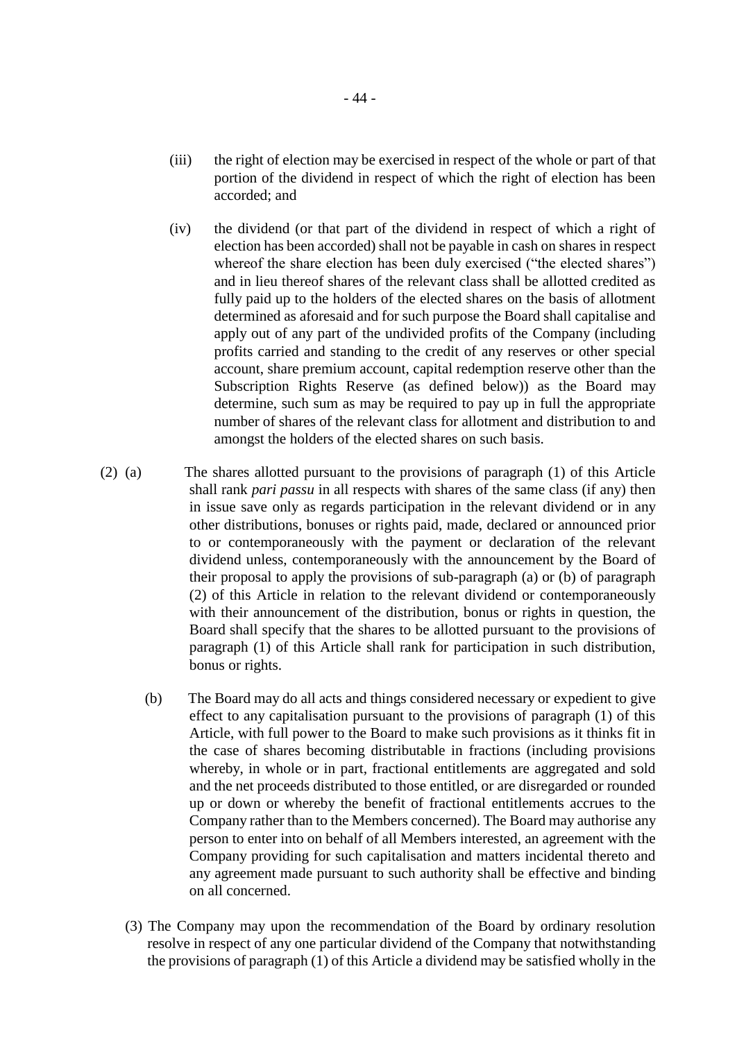- (iii) the right of election may be exercised in respect of the whole or part of that portion of the dividend in respect of which the right of election has been accorded; and
- (iv) the dividend (or that part of the dividend in respect of which a right of election has been accorded) shall not be payable in cash on shares in respect whereof the share election has been duly exercised ("the elected shares") and in lieu thereof shares of the relevant class shall be allotted credited as fully paid up to the holders of the elected shares on the basis of allotment determined as aforesaid and for such purpose the Board shall capitalise and apply out of any part of the undivided profits of the Company (including profits carried and standing to the credit of any reserves or other special account, share premium account, capital redemption reserve other than the Subscription Rights Reserve (as defined below)) as the Board may determine, such sum as may be required to pay up in full the appropriate number of shares of the relevant class for allotment and distribution to and amongst the holders of the elected shares on such basis.
- (2) (a) The shares allotted pursuant to the provisions of paragraph (1) of this Article shall rank *pari passu* in all respects with shares of the same class (if any) then in issue save only as regards participation in the relevant dividend or in any other distributions, bonuses or rights paid, made, declared or announced prior to or contemporaneously with the payment or declaration of the relevant dividend unless, contemporaneously with the announcement by the Board of their proposal to apply the provisions of sub-paragraph (a) or (b) of paragraph (2) of this Article in relation to the relevant dividend or contemporaneously with their announcement of the distribution, bonus or rights in question, the Board shall specify that the shares to be allotted pursuant to the provisions of paragraph (1) of this Article shall rank for participation in such distribution, bonus or rights.
	- (b) The Board may do all acts and things considered necessary or expedient to give effect to any capitalisation pursuant to the provisions of paragraph (1) of this Article, with full power to the Board to make such provisions as it thinks fit in the case of shares becoming distributable in fractions (including provisions whereby, in whole or in part, fractional entitlements are aggregated and sold and the net proceeds distributed to those entitled, or are disregarded or rounded up or down or whereby the benefit of fractional entitlements accrues to the Company rather than to the Members concerned). The Board may authorise any person to enter into on behalf of all Members interested, an agreement with the Company providing for such capitalisation and matters incidental thereto and any agreement made pursuant to such authority shall be effective and binding on all concerned.
	- (3) The Company may upon the recommendation of the Board by ordinary resolution resolve in respect of any one particular dividend of the Company that notwithstanding the provisions of paragraph (1) of this Article a dividend may be satisfied wholly in the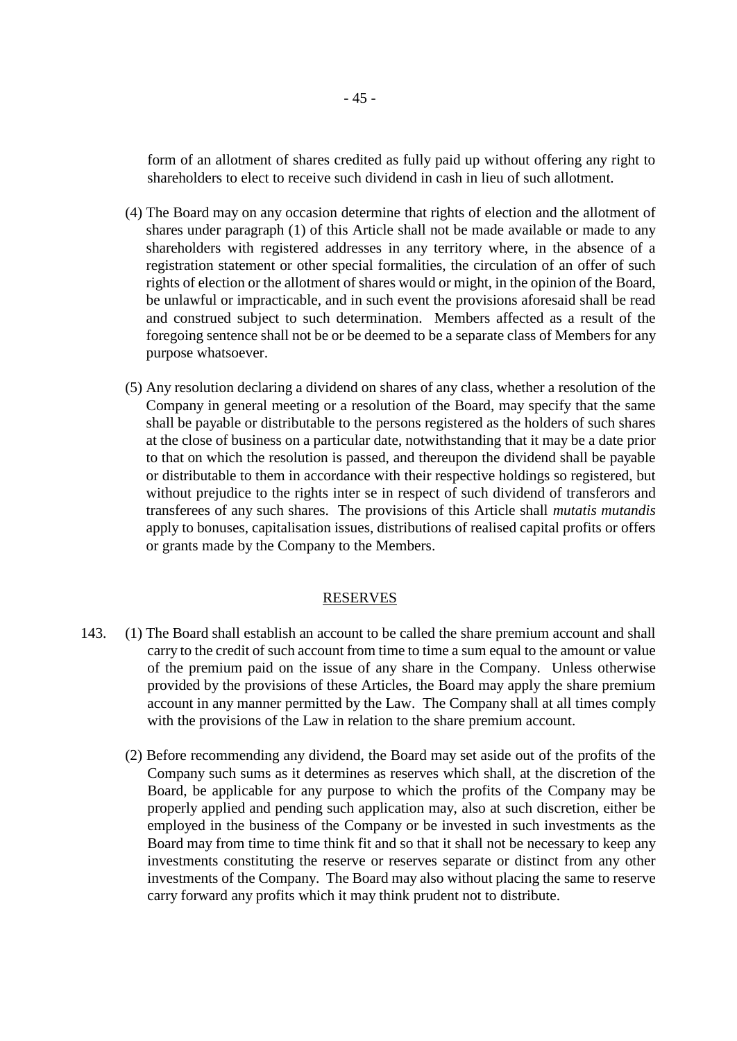form of an allotment of shares credited as fully paid up without offering any right to shareholders to elect to receive such dividend in cash in lieu of such allotment.

- (4) The Board may on any occasion determine that rights of election and the allotment of shares under paragraph (1) of this Article shall not be made available or made to any shareholders with registered addresses in any territory where, in the absence of a registration statement or other special formalities, the circulation of an offer of such rights of election or the allotment of shares would or might, in the opinion of the Board, be unlawful or impracticable, and in such event the provisions aforesaid shall be read and construed subject to such determination. Members affected as a result of the foregoing sentence shall not be or be deemed to be a separate class of Members for any purpose whatsoever.
- (5) Any resolution declaring a dividend on shares of any class, whether a resolution of the Company in general meeting or a resolution of the Board, may specify that the same shall be payable or distributable to the persons registered as the holders of such shares at the close of business on a particular date, notwithstanding that it may be a date prior to that on which the resolution is passed, and thereupon the dividend shall be payable or distributable to them in accordance with their respective holdings so registered, but without prejudice to the rights inter se in respect of such dividend of transferors and transferees of any such shares. The provisions of this Article shall *mutatis mutandis* apply to bonuses, capitalisation issues, distributions of realised capital profits or offers or grants made by the Company to the Members.

#### RESERVES

- 143. (1) The Board shall establish an account to be called the share premium account and shall carry to the credit of such account from time to time a sum equal to the amount or value of the premium paid on the issue of any share in the Company. Unless otherwise provided by the provisions of these Articles, the Board may apply the share premium account in any manner permitted by the Law. The Company shall at all times comply with the provisions of the Law in relation to the share premium account.
	- (2) Before recommending any dividend, the Board may set aside out of the profits of the Company such sums as it determines as reserves which shall, at the discretion of the Board, be applicable for any purpose to which the profits of the Company may be properly applied and pending such application may, also at such discretion, either be employed in the business of the Company or be invested in such investments as the Board may from time to time think fit and so that it shall not be necessary to keep any investments constituting the reserve or reserves separate or distinct from any other investments of the Company. The Board may also without placing the same to reserve carry forward any profits which it may think prudent not to distribute.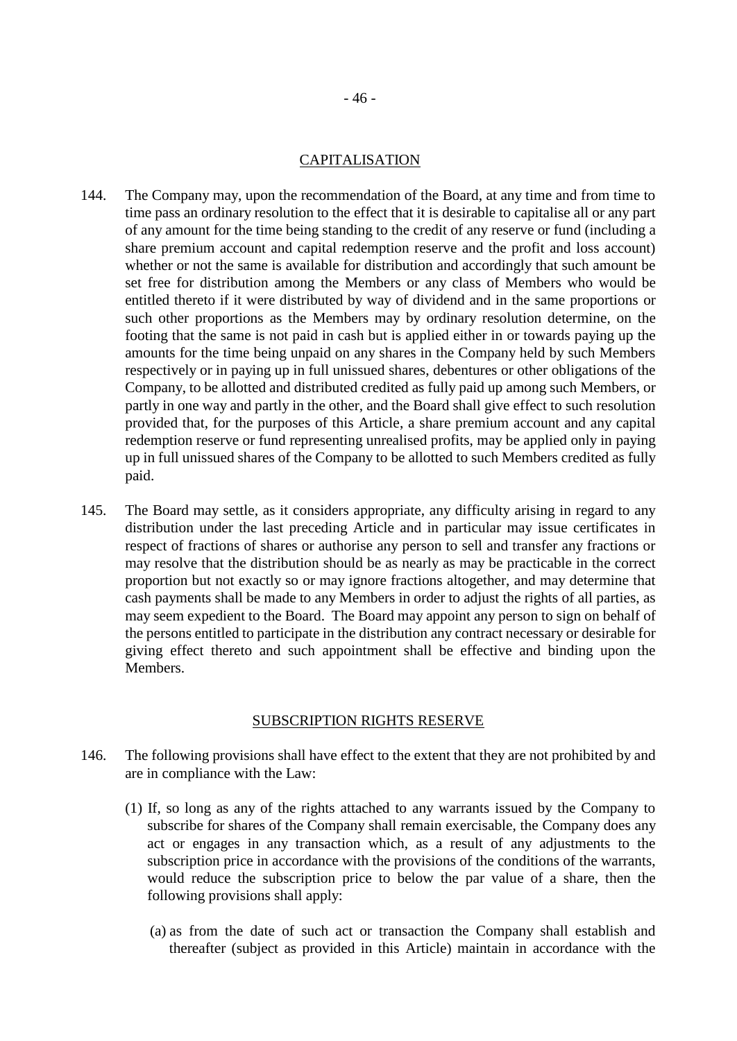### CAPITALISATION

- 144. The Company may, upon the recommendation of the Board, at any time and from time to time pass an ordinary resolution to the effect that it is desirable to capitalise all or any part of any amount for the time being standing to the credit of any reserve or fund (including a share premium account and capital redemption reserve and the profit and loss account) whether or not the same is available for distribution and accordingly that such amount be set free for distribution among the Members or any class of Members who would be entitled thereto if it were distributed by way of dividend and in the same proportions or such other proportions as the Members may by ordinary resolution determine, on the footing that the same is not paid in cash but is applied either in or towards paying up the amounts for the time being unpaid on any shares in the Company held by such Members respectively or in paying up in full unissued shares, debentures or other obligations of the Company, to be allotted and distributed credited as fully paid up among such Members, or partly in one way and partly in the other, and the Board shall give effect to such resolution provided that, for the purposes of this Article, a share premium account and any capital redemption reserve or fund representing unrealised profits, may be applied only in paying up in full unissued shares of the Company to be allotted to such Members credited as fully paid.
- 145. The Board may settle, as it considers appropriate, any difficulty arising in regard to any distribution under the last preceding Article and in particular may issue certificates in respect of fractions of shares or authorise any person to sell and transfer any fractions or may resolve that the distribution should be as nearly as may be practicable in the correct proportion but not exactly so or may ignore fractions altogether, and may determine that cash payments shall be made to any Members in order to adjust the rights of all parties, as may seem expedient to the Board. The Board may appoint any person to sign on behalf of the persons entitled to participate in the distribution any contract necessary or desirable for giving effect thereto and such appointment shall be effective and binding upon the Members.

## SUBSCRIPTION RIGHTS RESERVE

- 146. The following provisions shall have effect to the extent that they are not prohibited by and are in compliance with the Law:
	- (1) If, so long as any of the rights attached to any warrants issued by the Company to subscribe for shares of the Company shall remain exercisable, the Company does any act or engages in any transaction which, as a result of any adjustments to the subscription price in accordance with the provisions of the conditions of the warrants, would reduce the subscription price to below the par value of a share, then the following provisions shall apply:
		- (a) as from the date of such act or transaction the Company shall establish and thereafter (subject as provided in this Article) maintain in accordance with the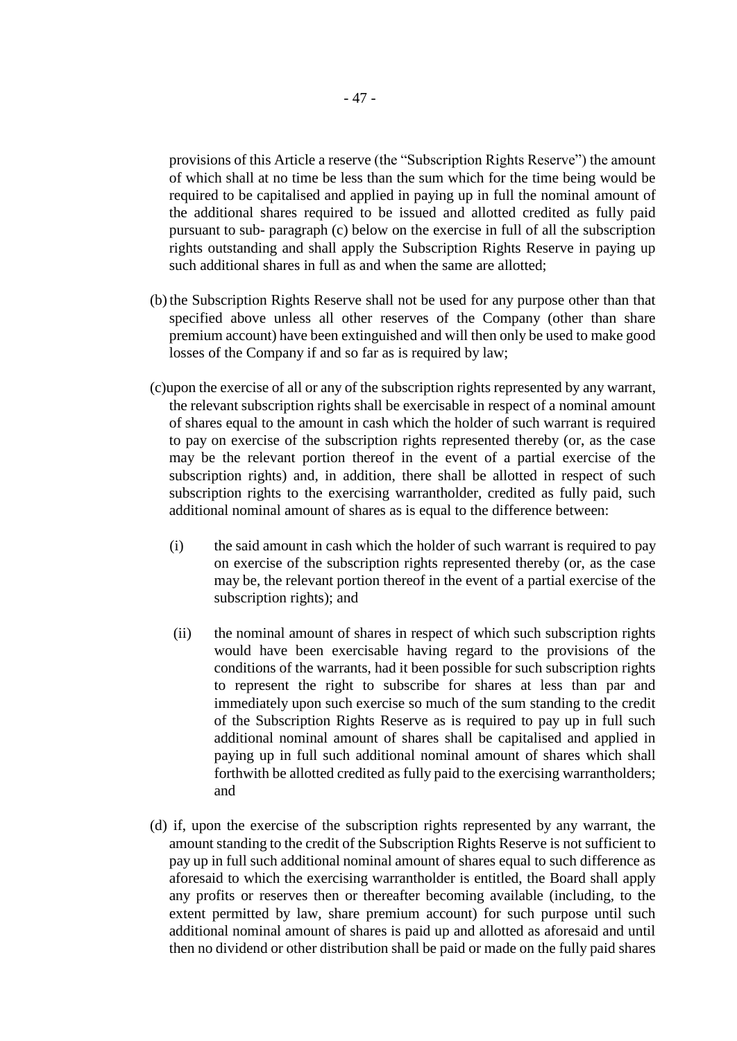provisions of this Article a reserve (the "Subscription Rights Reserve") the amount of which shall at no time be less than the sum which for the time being would be required to be capitalised and applied in paying up in full the nominal amount of the additional shares required to be issued and allotted credited as fully paid pursuant to sub- paragraph (c) below on the exercise in full of all the subscription rights outstanding and shall apply the Subscription Rights Reserve in paying up such additional shares in full as and when the same are allotted;

- (b)the Subscription Rights Reserve shall not be used for any purpose other than that specified above unless all other reserves of the Company (other than share premium account) have been extinguished and will then only be used to make good losses of the Company if and so far as is required by law;
- (c)upon the exercise of all or any of the subscription rights represented by any warrant, the relevant subscription rights shall be exercisable in respect of a nominal amount of shares equal to the amount in cash which the holder of such warrant is required to pay on exercise of the subscription rights represented thereby (or, as the case may be the relevant portion thereof in the event of a partial exercise of the subscription rights) and, in addition, there shall be allotted in respect of such subscription rights to the exercising warrantholder, credited as fully paid, such additional nominal amount of shares as is equal to the difference between:
	- (i) the said amount in cash which the holder of such warrant is required to pay on exercise of the subscription rights represented thereby (or, as the case may be, the relevant portion thereof in the event of a partial exercise of the subscription rights); and
	- (ii) the nominal amount of shares in respect of which such subscription rights would have been exercisable having regard to the provisions of the conditions of the warrants, had it been possible for such subscription rights to represent the right to subscribe for shares at less than par and immediately upon such exercise so much of the sum standing to the credit of the Subscription Rights Reserve as is required to pay up in full such additional nominal amount of shares shall be capitalised and applied in paying up in full such additional nominal amount of shares which shall forthwith be allotted credited as fully paid to the exercising warrantholders; and
- (d) if, upon the exercise of the subscription rights represented by any warrant, the amount standing to the credit of the Subscription Rights Reserve is not sufficient to pay up in full such additional nominal amount of shares equal to such difference as aforesaid to which the exercising warrantholder is entitled, the Board shall apply any profits or reserves then or thereafter becoming available (including, to the extent permitted by law, share premium account) for such purpose until such additional nominal amount of shares is paid up and allotted as aforesaid and until then no dividend or other distribution shall be paid or made on the fully paid shares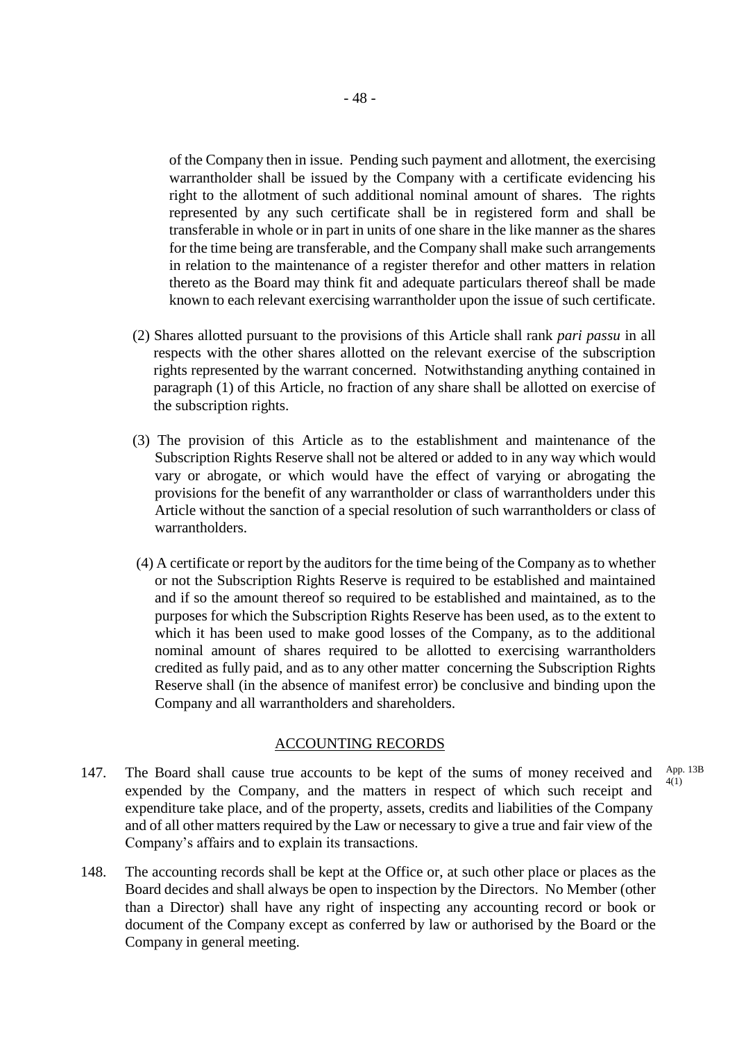of the Company then in issue. Pending such payment and allotment, the exercising warrantholder shall be issued by the Company with a certificate evidencing his right to the allotment of such additional nominal amount of shares. The rights represented by any such certificate shall be in registered form and shall be transferable in whole or in part in units of one share in the like manner as the shares for the time being are transferable, and the Company shall make such arrangements in relation to the maintenance of a register therefor and other matters in relation thereto as the Board may think fit and adequate particulars thereof shall be made known to each relevant exercising warrantholder upon the issue of such certificate.

- (2) Shares allotted pursuant to the provisions of this Article shall rank *pari passu* in all respects with the other shares allotted on the relevant exercise of the subscription rights represented by the warrant concerned. Notwithstanding anything contained in paragraph (1) of this Article, no fraction of any share shall be allotted on exercise of the subscription rights.
- (3) The provision of this Article as to the establishment and maintenance of the Subscription Rights Reserve shall not be altered or added to in any way which would vary or abrogate, or which would have the effect of varying or abrogating the provisions for the benefit of any warrantholder or class of warrantholders under this Article without the sanction of a special resolution of such warrantholders or class of warrantholders.
- (4) A certificate or report by the auditors for the time being of the Company as to whether or not the Subscription Rights Reserve is required to be established and maintained and if so the amount thereof so required to be established and maintained, as to the purposes for which the Subscription Rights Reserve has been used, as to the extent to which it has been used to make good losses of the Company, as to the additional nominal amount of shares required to be allotted to exercising warrantholders credited as fully paid, and as to any other matter concerning the Subscription Rights Reserve shall (in the absence of manifest error) be conclusive and binding upon the Company and all warrantholders and shareholders.

#### ACCOUNTING RECORDS

- 147. The Board shall cause true accounts to be kept of the sums of money received and expended by the Company, and the matters in respect of which such receipt and expenditure take place, and of the property, assets, credits and liabilities of the Company and of all other matters required by the Law or necessary to give a true and fair view of the Company's affairs and to explain its transactions. App. 13B  $4(1)$
- 148. The accounting records shall be kept at the Office or, at such other place or places as the Board decides and shall always be open to inspection by the Directors. No Member (other than a Director) shall have any right of inspecting any accounting record or book or document of the Company except as conferred by law or authorised by the Board or the Company in general meeting.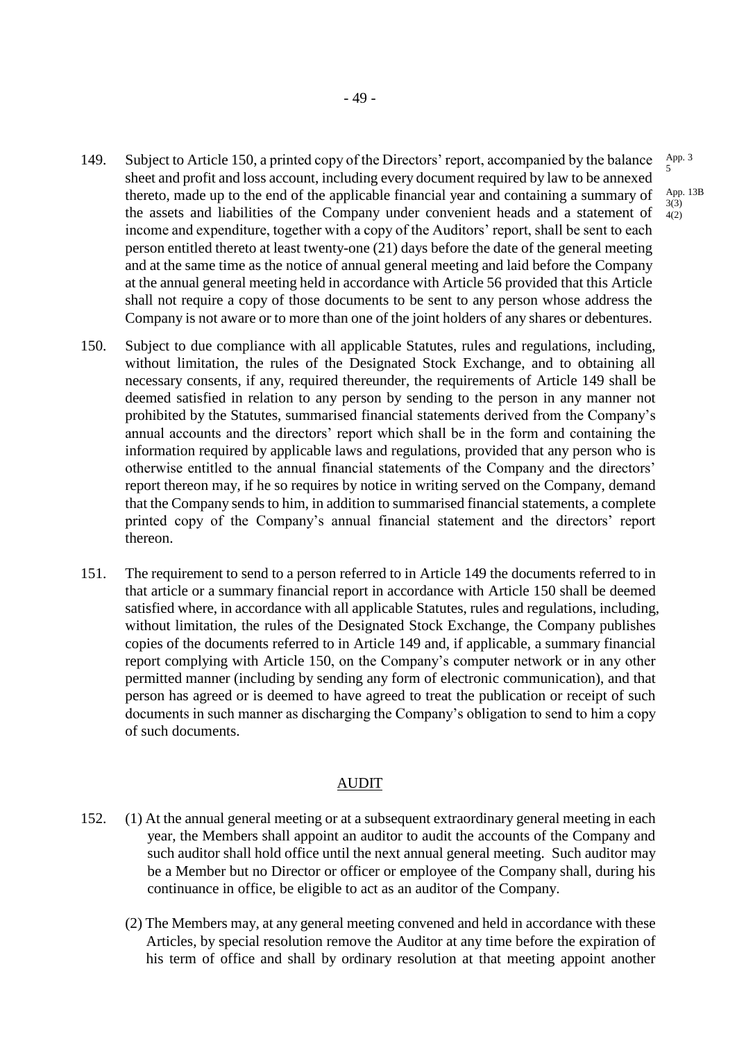- 149. Subject to Article 150, a printed copy of the Directors' report, accompanied by the balance sheet and profit and loss account, including every document required by law to be annexed thereto, made up to the end of the applicable financial year and containing a summary of the assets and liabilities of the Company under convenient heads and a statement of income and expenditure, together with a copy of the Auditors' report, shall be sent to each person entitled thereto at least twenty-one (21) days before the date of the general meeting and at the same time as the notice of annual general meeting and laid before the Company at the annual general meeting held in accordance with Article 56 provided that this Article shall not require a copy of those documents to be sent to any person whose address the Company is not aware or to more than one of the joint holders of any shares or debentures.  $4(2)$
- 150. Subject to due compliance with all applicable Statutes, rules and regulations, including, without limitation, the rules of the Designated Stock Exchange, and to obtaining all necessary consents, if any, required thereunder, the requirements of Article 149 shall be deemed satisfied in relation to any person by sending to the person in any manner not prohibited by the Statutes, summarised financial statements derived from the Company's annual accounts and the directors' report which shall be in the form and containing the information required by applicable laws and regulations, provided that any person who is otherwise entitled to the annual financial statements of the Company and the directors' report thereon may, if he so requires by notice in writing served on the Company, demand that the Company sends to him, in addition to summarised financial statements, a complete printed copy of the Company's annual financial statement and the directors' report thereon.
- 151. The requirement to send to a person referred to in Article 149 the documents referred to in that article or a summary financial report in accordance with Article 150 shall be deemed satisfied where, in accordance with all applicable Statutes, rules and regulations, including, without limitation, the rules of the Designated Stock Exchange, the Company publishes copies of the documents referred to in Article 149 and, if applicable, a summary financial report complying with Article 150, on the Company's computer network or in any other permitted manner (including by sending any form of electronic communication), and that person has agreed or is deemed to have agreed to treat the publication or receipt of such documents in such manner as discharging the Company's obligation to send to him a copy of such documents.

#### AUDIT

- 152. (1) At the annual general meeting or at a subsequent extraordinary general meeting in each year, the Members shall appoint an auditor to audit the accounts of the Company and such auditor shall hold office until the next annual general meeting. Such auditor may be a Member but no Director or officer or employee of the Company shall, during his continuance in office, be eligible to act as an auditor of the Company.
	- (2) The Members may, at any general meeting convened and held in accordance with these Articles, by special resolution remove the Auditor at any time before the expiration of his term of office and shall by ordinary resolution at that meeting appoint another

5 App. 13B 3(3)

App. 3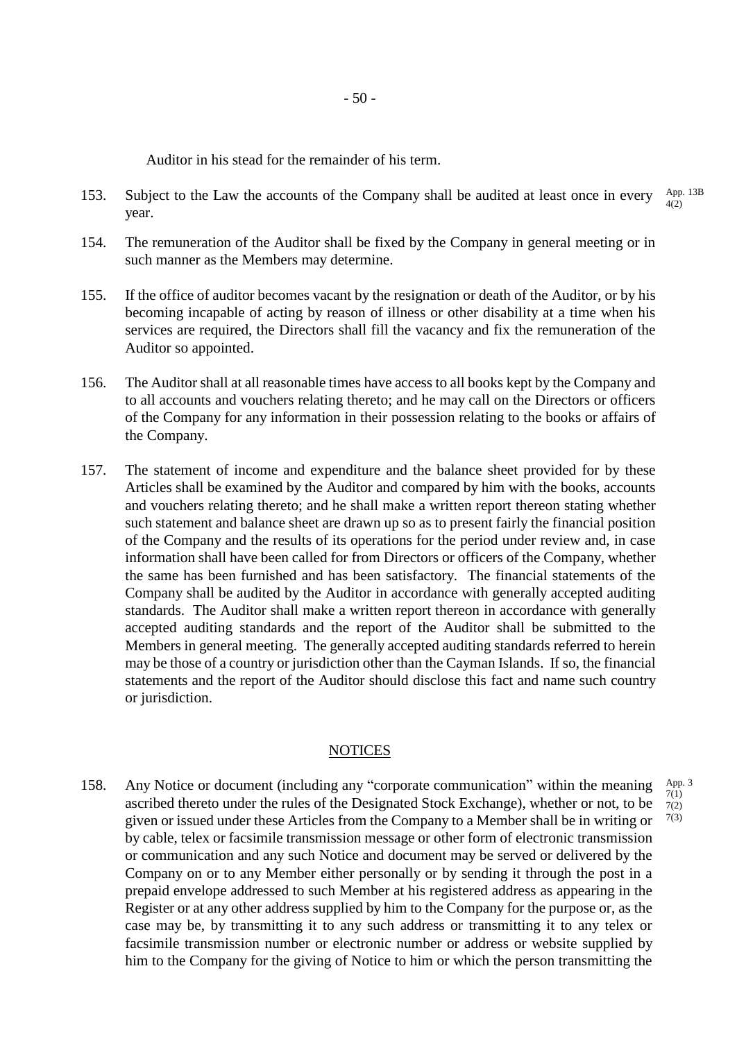Auditor in his stead for the remainder of his term.

- 153. Subject to the Law the accounts of the Company shall be audited at least once in every year. App. 13B 4(2)
- 154. The remuneration of the Auditor shall be fixed by the Company in general meeting or in such manner as the Members may determine.
- 155. If the office of auditor becomes vacant by the resignation or death of the Auditor, or by his becoming incapable of acting by reason of illness or other disability at a time when his services are required, the Directors shall fill the vacancy and fix the remuneration of the Auditor so appointed.
- 156. The Auditor shall at all reasonable times have access to all books kept by the Company and to all accounts and vouchers relating thereto; and he may call on the Directors or officers of the Company for any information in their possession relating to the books or affairs of the Company.
- 157. The statement of income and expenditure and the balance sheet provided for by these Articles shall be examined by the Auditor and compared by him with the books, accounts and vouchers relating thereto; and he shall make a written report thereon stating whether such statement and balance sheet are drawn up so as to present fairly the financial position of the Company and the results of its operations for the period under review and, in case information shall have been called for from Directors or officers of the Company, whether the same has been furnished and has been satisfactory. The financial statements of the Company shall be audited by the Auditor in accordance with generally accepted auditing standards. The Auditor shall make a written report thereon in accordance with generally accepted auditing standards and the report of the Auditor shall be submitted to the Members in general meeting. The generally accepted auditing standards referred to herein may be those of a country or jurisdiction other than the Cayman Islands. If so, the financial statements and the report of the Auditor should disclose this fact and name such country or jurisdiction.

#### **NOTICES**

App. 3 7(1) 7(2) 7(3)

158. Any Notice or document (including any "corporate communication" within the meaning ascribed thereto under the rules of the Designated Stock Exchange), whether or not, to be given or issued under these Articles from the Company to a Member shall be in writing or by cable, telex or facsimile transmission message or other form of electronic transmission or communication and any such Notice and document may be served or delivered by the Company on or to any Member either personally or by sending it through the post in a prepaid envelope addressed to such Member at his registered address as appearing in the Register or at any other address supplied by him to the Company for the purpose or, as the case may be, by transmitting it to any such address or transmitting it to any telex or facsimile transmission number or electronic number or address or website supplied by him to the Company for the giving of Notice to him or which the person transmitting the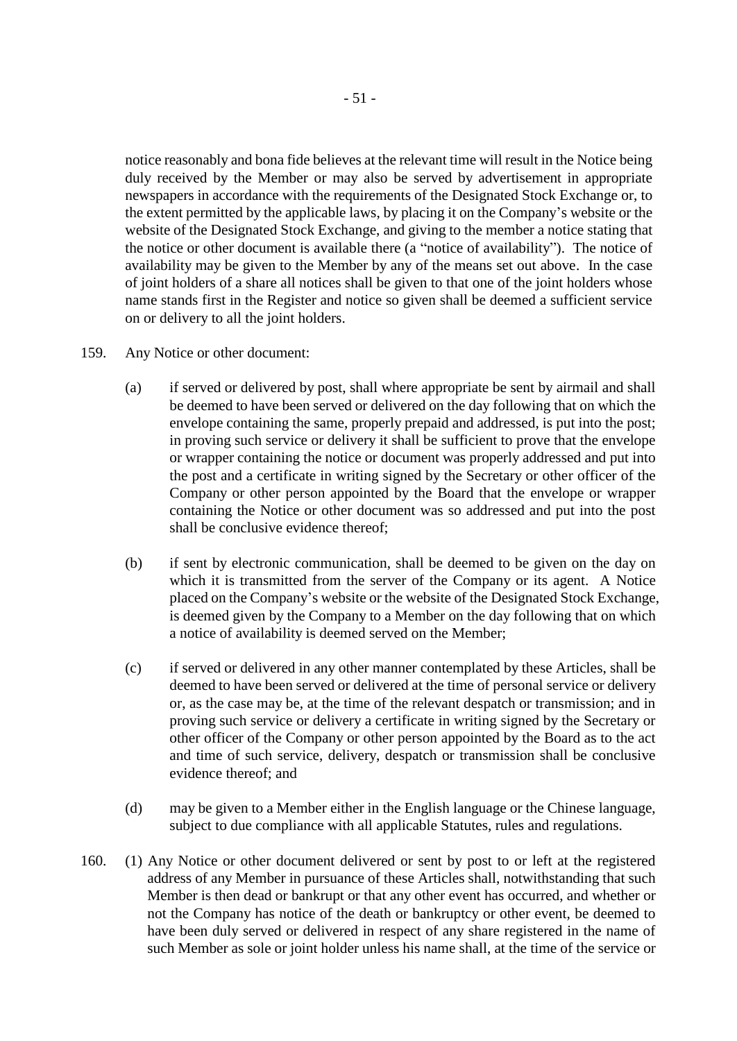notice reasonably and bona fide believes at the relevant time will result in the Notice being duly received by the Member or may also be served by advertisement in appropriate newspapers in accordance with the requirements of the Designated Stock Exchange or, to the extent permitted by the applicable laws, by placing it on the Company's website or the website of the Designated Stock Exchange, and giving to the member a notice stating that the notice or other document is available there (a "notice of availability"). The notice of availability may be given to the Member by any of the means set out above. In the case of joint holders of a share all notices shall be given to that one of the joint holders whose name stands first in the Register and notice so given shall be deemed a sufficient service on or delivery to all the joint holders.

- 159. Any Notice or other document:
	- (a) if served or delivered by post, shall where appropriate be sent by airmail and shall be deemed to have been served or delivered on the day following that on which the envelope containing the same, properly prepaid and addressed, is put into the post; in proving such service or delivery it shall be sufficient to prove that the envelope or wrapper containing the notice or document was properly addressed and put into the post and a certificate in writing signed by the Secretary or other officer of the Company or other person appointed by the Board that the envelope or wrapper containing the Notice or other document was so addressed and put into the post shall be conclusive evidence thereof;
	- (b) if sent by electronic communication, shall be deemed to be given on the day on which it is transmitted from the server of the Company or its agent. A Notice placed on the Company's website or the website of the Designated Stock Exchange, is deemed given by the Company to a Member on the day following that on which a notice of availability is deemed served on the Member;
	- (c) if served or delivered in any other manner contemplated by these Articles, shall be deemed to have been served or delivered at the time of personal service or delivery or, as the case may be, at the time of the relevant despatch or transmission; and in proving such service or delivery a certificate in writing signed by the Secretary or other officer of the Company or other person appointed by the Board as to the act and time of such service, delivery, despatch or transmission shall be conclusive evidence thereof; and
	- (d) may be given to a Member either in the English language or the Chinese language, subject to due compliance with all applicable Statutes, rules and regulations.
- 160. (1) Any Notice or other document delivered or sent by post to or left at the registered address of any Member in pursuance of these Articles shall, notwithstanding that such Member is then dead or bankrupt or that any other event has occurred, and whether or not the Company has notice of the death or bankruptcy or other event, be deemed to have been duly served or delivered in respect of any share registered in the name of such Member as sole or joint holder unless his name shall, at the time of the service or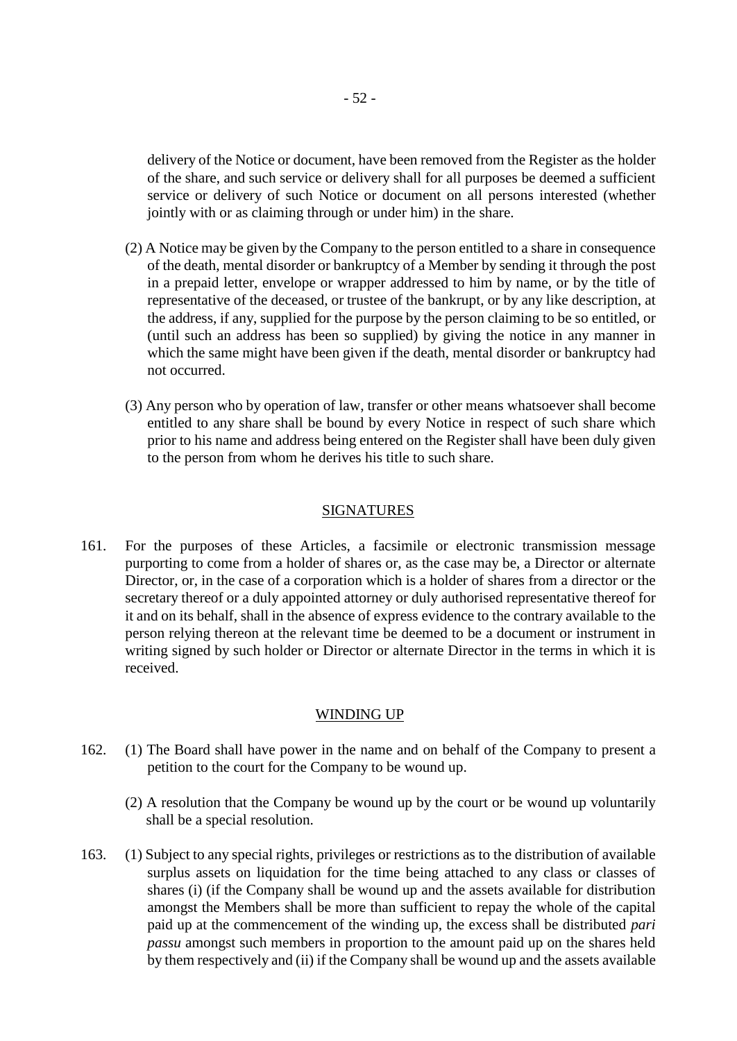delivery of the Notice or document, have been removed from the Register as the holder of the share, and such service or delivery shall for all purposes be deemed a sufficient service or delivery of such Notice or document on all persons interested (whether jointly with or as claiming through or under him) in the share.

- (2) A Notice may be given by the Company to the person entitled to a share in consequence of the death, mental disorder or bankruptcy of a Member by sending it through the post in a prepaid letter, envelope or wrapper addressed to him by name, or by the title of representative of the deceased, or trustee of the bankrupt, or by any like description, at the address, if any, supplied for the purpose by the person claiming to be so entitled, or (until such an address has been so supplied) by giving the notice in any manner in which the same might have been given if the death, mental disorder or bankruptcy had not occurred.
- (3) Any person who by operation of law, transfer or other means whatsoever shall become entitled to any share shall be bound by every Notice in respect of such share which prior to his name and address being entered on the Register shall have been duly given to the person from whom he derives his title to such share.

#### SIGNATURES

161. For the purposes of these Articles, a facsimile or electronic transmission message purporting to come from a holder of shares or, as the case may be, a Director or alternate Director, or, in the case of a corporation which is a holder of shares from a director or the secretary thereof or a duly appointed attorney or duly authorised representative thereof for it and on its behalf, shall in the absence of express evidence to the contrary available to the person relying thereon at the relevant time be deemed to be a document or instrument in writing signed by such holder or Director or alternate Director in the terms in which it is received.

#### WINDING UP

- 162. (1) The Board shall have power in the name and on behalf of the Company to present a petition to the court for the Company to be wound up.
	- (2) A resolution that the Company be wound up by the court or be wound up voluntarily shall be a special resolution.
- 163. (1) Subject to any special rights, privileges or restrictions as to the distribution of available surplus assets on liquidation for the time being attached to any class or classes of shares (i) (if the Company shall be wound up and the assets available for distribution amongst the Members shall be more than sufficient to repay the whole of the capital paid up at the commencement of the winding up, the excess shall be distributed *pari passu* amongst such members in proportion to the amount paid up on the shares held by them respectively and (ii) if the Company shall be wound up and the assets available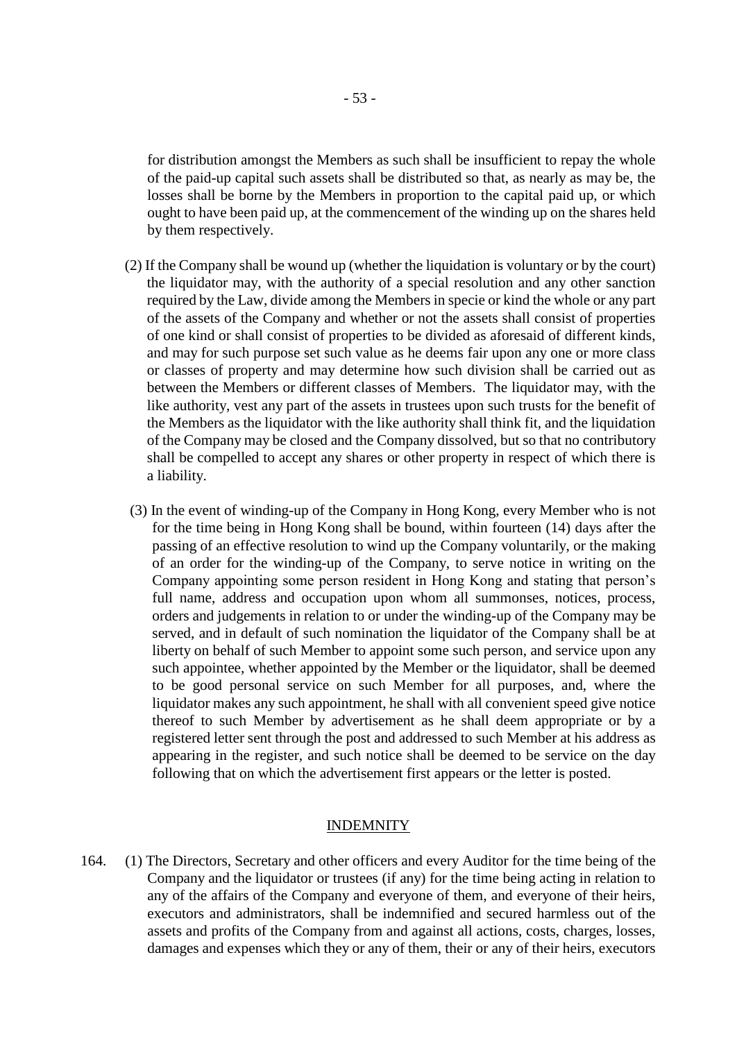for distribution amongst the Members as such shall be insufficient to repay the whole of the paid-up capital such assets shall be distributed so that, as nearly as may be, the losses shall be borne by the Members in proportion to the capital paid up, or which ought to have been paid up, at the commencement of the winding up on the shares held by them respectively.

- (2) If the Company shall be wound up (whether the liquidation is voluntary or by the court) the liquidator may, with the authority of a special resolution and any other sanction required by the Law, divide among the Members in specie or kind the whole or any part of the assets of the Company and whether or not the assets shall consist of properties of one kind or shall consist of properties to be divided as aforesaid of different kinds, and may for such purpose set such value as he deems fair upon any one or more class or classes of property and may determine how such division shall be carried out as between the Members or different classes of Members. The liquidator may, with the like authority, vest any part of the assets in trustees upon such trusts for the benefit of the Members as the liquidator with the like authority shall think fit, and the liquidation of the Company may be closed and the Company dissolved, but so that no contributory shall be compelled to accept any shares or other property in respect of which there is a liability.
- (3) In the event of winding-up of the Company in Hong Kong, every Member who is not for the time being in Hong Kong shall be bound, within fourteen (14) days after the passing of an effective resolution to wind up the Company voluntarily, or the making of an order for the winding-up of the Company, to serve notice in writing on the Company appointing some person resident in Hong Kong and stating that person's full name, address and occupation upon whom all summonses, notices, process, orders and judgements in relation to or under the winding-up of the Company may be served, and in default of such nomination the liquidator of the Company shall be at liberty on behalf of such Member to appoint some such person, and service upon any such appointee, whether appointed by the Member or the liquidator, shall be deemed to be good personal service on such Member for all purposes, and, where the liquidator makes any such appointment, he shall with all convenient speed give notice thereof to such Member by advertisement as he shall deem appropriate or by a registered letter sent through the post and addressed to such Member at his address as appearing in the register, and such notice shall be deemed to be service on the day following that on which the advertisement first appears or the letter is posted.

#### INDEMNITY

164. (1) The Directors, Secretary and other officers and every Auditor for the time being of the Company and the liquidator or trustees (if any) for the time being acting in relation to any of the affairs of the Company and everyone of them, and everyone of their heirs, executors and administrators, shall be indemnified and secured harmless out of the assets and profits of the Company from and against all actions, costs, charges, losses, damages and expenses which they or any of them, their or any of their heirs, executors